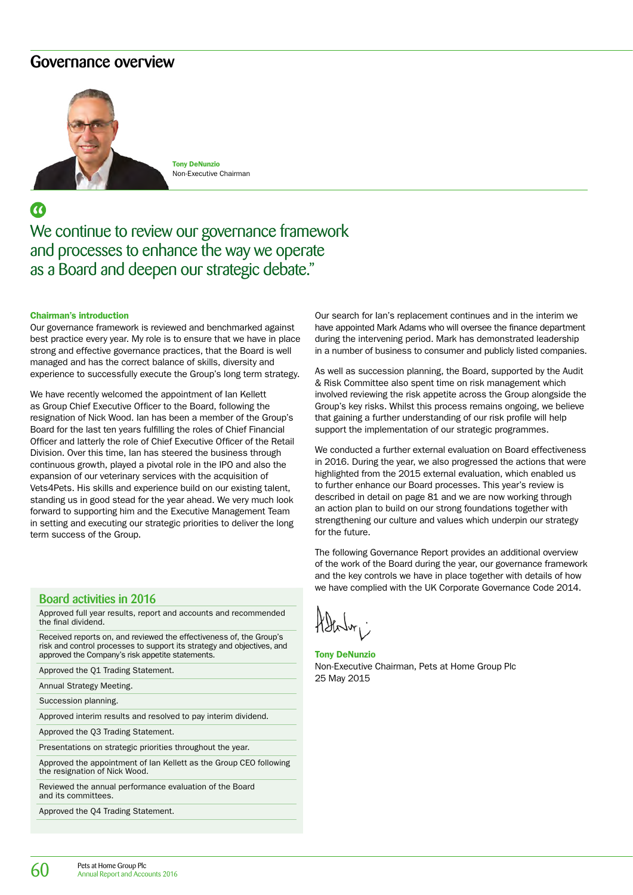## Governance overview



*<u>CC</u>* 

## We continue to review our governance framework and processes to enhance the way we operate as a Board and deepen our strategic debate."

### Chairman's introduction

Our governance framework is reviewed and benchmarked against best practice every year. My role is to ensure that we have in place strong and effective governance practices, that the Board is well managed and has the correct balance of skills, diversity and experience to successfully execute the Group's long term strategy.

We have recently welcomed the appointment of Ian Kellett as Group Chief Executive Officer to the Board, following the resignation of Nick Wood. Ian has been a member of the Group's Board for the last ten years fulfilling the roles of Chief Financial Officer and latterly the role of Chief Executive Officer of the Retail Division. Over this time, Ian has steered the business through continuous growth, played a pivotal role in the IPO and also the expansion of our veterinary services with the acquisition of Vets4Pets. His skills and experience build on our existing talent, standing us in good stead for the year ahead. We very much look forward to supporting him and the Executive Management Team in setting and executing our strategic priorities to deliver the long term success of the Group.

### Board activities in 2016

Approved full year results, report and accounts and recommended the final dividend.

Received reports on, and reviewed the effectiveness of, the Group's risk and control processes to support its strategy and objectives, and approved the Company's risk appetite statements.

Approved the Q1 Trading Statement.

Annual Strategy Meeting.

Succession planning.

Approved interim results and resolved to pay interim dividend.

Approved the Q3 Trading Statement.

Presentations on strategic priorities throughout the year.

Approved the appointment of Ian Kellett as the Group CEO following the resignation of Nick Wood.

Reviewed the annual performance evaluation of the Board and its committees.

Approved the Q4 Trading Statement.

Our search for Ian's replacement continues and in the interim we have appointed Mark Adams who will oversee the finance department during the intervening period. Mark has demonstrated leadership in a number of business to consumer and publicly listed companies.

As well as succession planning, the Board, supported by the Audit & Risk Committee also spent time on risk management which involved reviewing the risk appetite across the Group alongside the Group's key risks. Whilst this process remains ongoing, we believe that gaining a further understanding of our risk profile will help support the implementation of our strategic programmes.

We conducted a further external evaluation on Board effectiveness in 2016. During the year, we also progressed the actions that were highlighted from the 2015 external evaluation, which enabled us to further enhance our Board processes. This year's review is described in detail on page 81 and we are now working through an action plan to build on our strong foundations together with strengthening our culture and values which underpin our strategy for the future.

The following Governance Report provides an additional overview of the work of the Board during the year, our governance framework and the key controls we have in place together with details of how we have complied with the UK Corporate Governance Code 2014.

Tony DeNunzio Non-Executive Chairman, Pets at Home Group Plc 25 May 2015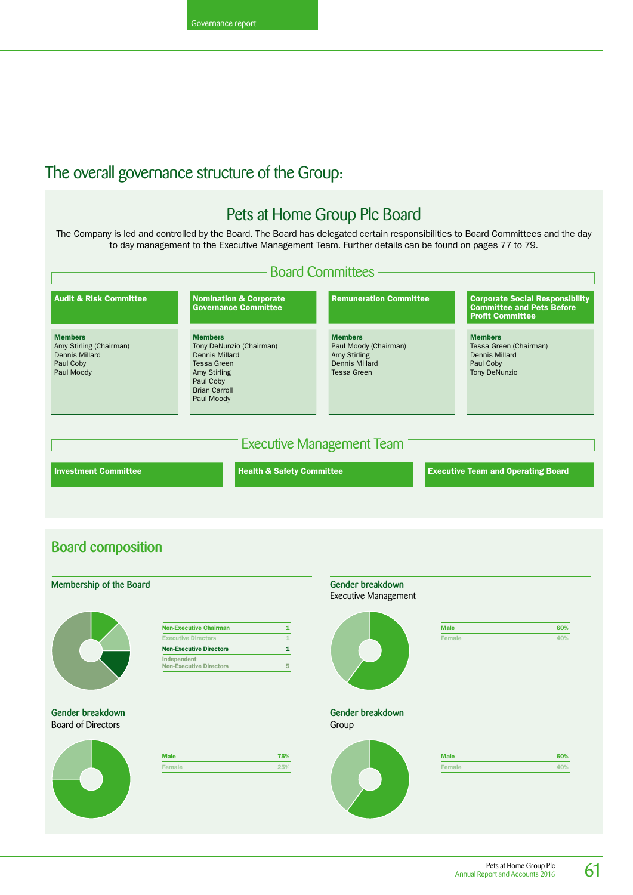## The overall governance structure of the Group:

## Pets at Home Group Plc Board

The Company is led and controlled by the Board. The Board has delegated certain responsibilities to Board Committees and the day to day management to the Executive Management Team. Further details can be found on pages 77 to 79.



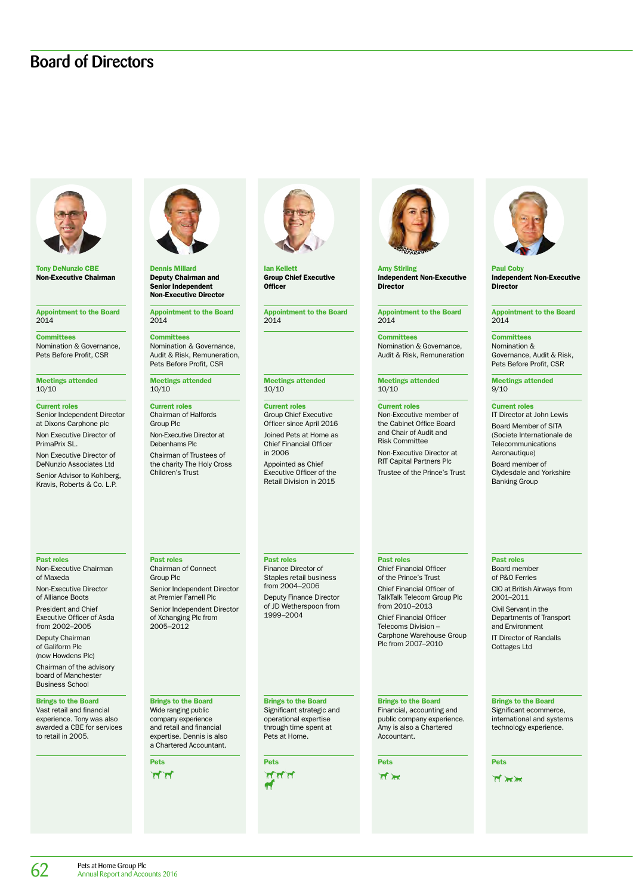## Board of Directors



Tony DeNunzio CBE Non-Executive Chairman

Appointment to the Board 2014

**Committees** Nomination & Governance, Pets Before Profit, CSR

Meetings attended 10/10

### Current roles

Senior Independent Director at Dixons Carphone plc Non Executive Director of PrimaPrix SL.

Non Executive Director of DeNunzio Associates Ltd Senior Advisor to Kohlberg, Kravis, Roberts & Co. L.P.

#### Past roles

Non-Executive Chairman of Maxeda

Non-Executive Director of Alliance Boots President and Chief

Executive Officer of Asda from 2002–2005

Deputy Chairman of Galiform Plc (now Howdens Plc) Chairman of the advisory board of Manchester Business School

#### Brings to the Board

Vast retail and financial experience. Tony was also awarded a CBE for services to retail in 2005.



Dennis Millard Deputy Chairman and Senior Independent Non-Executive Director

Appointment to the Board 2014

**Committees** Nomination & Governance, Audit & Risk, Remuneration, Pets Before Profit, CSR

Meetings attended 10/10

Current roles Chairman of Halfords Group Plc Non-Executive Director at

Debenhams Plc Chairman of Trustees of the charity The Holy Cross Children's Trust

Senior Independent Director at Premier Farnell Plc Senior Independent Director of Xchanging Plc from 2005–2012

Brings to the Board Wide ranging public company experience and retail and financial expertise. Dennis is also a Chartered Accountant.

ਲ ਲ

Past roles Chairman of Connect Group Plc

### Past roles

Finance Director of Staples retail business from 2004–2006 Deputy Finance Director of JD Wetherspoon from 1999–2004

Brings to the Board Significant strategic and operational expertise through time spent at Pets at Home.

ततत



Ian Kellett Group Chief Executive **Officer** 

Appointment to the Board 2014

#### Meetings attended 10/10

### Current roles

Group Chief Executive Officer since April 2016 Joined Pets at Home as Chief Financial Officer  $in 2006$ Appointed as Chief

Executive Officer of the Retail Division in 2015



Amy Stirling Independent Non-Executive **Director** 

#### Appointment to the Board 2014

**Committees** Nomination & Governance, Audit & Risk, Remuneration

Meetings attended 10/10

### Current roles

Non-Executive member of the Cabinet Office Board and Chair of Audit and Risk Committee Non-Executive Director at RIT Capital Partners Plc Trustee of the Prince's Trust

#### Past roles

Chief Financial Officer of the Prince's Trust Chief Financial Officer of TalkTalk Telecom Group Plc from 2010–2013 Chief Financial Officer Telecoms Division – Carphone Warehouse Group Plc from 2007–2010

#### Brings to the Board

Financial, accounting and public company experience. Amy is also a Chartered Accountant.

 $\pi$   $\pi$ 



Paul Coby Independent Non-Executive **Director** 

Appointment to the Board 2014

**Committees** Nomination & Governance, Audit & Risk, Pets Before Profit, CSR

Meetings attended 9/10

### Current roles

IT Director at John Lewis Board Member of SITA (Societe Internationale de Telecommunications Aeronautique)

Board member of Clydesdale and Yorkshire Banking Group

### Past roles

Board member of P&O Ferries CIO at British Airways from 2001–2011

Civil Servant in the Departments of Transport and Environment

IT Director of Randalls Cottages Ltd

#### Brings to the Board

Significant ecommerce, international and systems technology experience.

### Pets Pets Pets Pets Pets Pets

 $M \times \times$ 

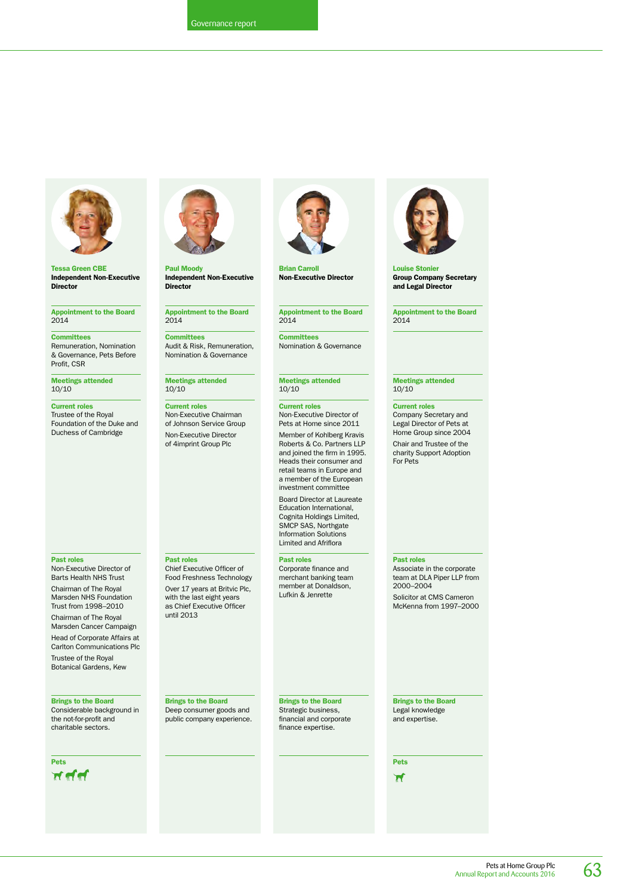

Tessa Green CBE Independent Non-Executive **Director** 

Appointment to the Board 2014

**Committees** Remuneration, Nomination & Governance, Pets Before Profit, CSR

Meetings attended 10/10

#### Current roles Trustee of the Royal Foundation of the Duke and Duchess of Cambridge

#### Past roles

Non-Executive Director of Barts Health NHS Trust Chairman of The Royal Marsden NHS Foundation Trust from 1998–2010 Chairman of The Royal Marsden Cancer Campaign Head of Corporate Affairs at Carlton Communications Plc Trustee of the Royal Botanical Gardens, Kew

#### Brings to the Board

Considerable background in the not-for-profit and charitable sectors.

Pets Pets Pets Pets Pets Pets  $H$  of of



Paul Moody Independent Non-Executive **Director** 

#### Appointment to the Board 2014

**Committees** Audit & Risk, Remuneration, Nomination & Governance

Meetings attended 10/10

### Current roles

Non-Executive Chairman of Johnson Service Group Non-Executive Director of 4imprint Group Plc

#### Past roles

Chief Executive Officer of Food Freshness Technology Over 17 years at Britvic Plc, with the last eight years as Chief Executive Officer until 2013

### Brings to the Board Deep consumer goods and

public company experience.



Brian Carroll Non-Executive Director

Appointment to the Board 2014

**Committees** Nomination & Governance

Meetings attended 10/10

### Current roles

Non-Executive Director of Pets at Home since 2011 Member of Kohlberg Kravis Roberts & Co. Partners LLP and joined the firm in 1995. Heads their consumer and retail teams in Europe and a member of the European investment committee

Board Director at Laureate Education International, Cognita Holdings Limited, SMCP SAS, Northgate Information Solutions Limited and Afriflora

#### Past roles

Corporate finance and merchant banking team member at Donaldson, Lufkin & Jenrette

Brings to the Board Strategic business, financial and corporate finance expertise.



Louise Stonier Group Company Secretary and Legal Director

Appointment to the Board 2014

Meetings attended 10/10

#### Current roles

Company Secretary and Legal Director of Pets at Home Group since 2004 Chair and Trustee of the charity Support Adoption For Pets

#### Past roles

Associate in the corporate team at DLA Piper LLP from 2000–2004 Solicitor at CMS Cameron McKenna from 1997–2000

Brings to the Board Legal knowledge and expertise.

 $\blacktriangledown$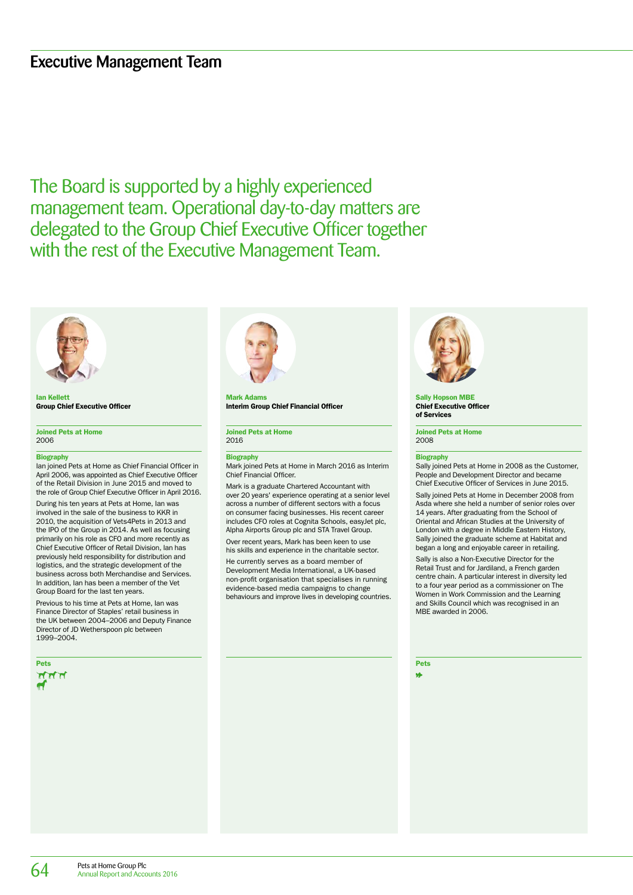## Executive Management Team

The Board is supported by a highly experienced management team. Operational day-to-day matters are delegated to the Group Chief Executive Officer together with the rest of the Executive Management Team.



Ian Kellett Group Chief Executive Officer

Joined Pets at Home 2006

### Biography

Ian joined Pets at Home as Chief Financial Officer in April 2006, was appointed as Chief Executive Officer of the Retail Division in June 2015 and moved to the role of Group Chief Executive Officer in April 2016.

During his ten years at Pets at Home, Ian was involved in the sale of the business to KKR in 2010, the acquisition of Vets4Pets in 2013 and the IPO of the Group in 2014. As well as focusing primarily on his role as CFO and more recently as Chief Executive Officer of Retail Division, Ian has previously held responsibility for distribution and logistics, and the strategic development of the business across both Merchandise and Services. In addition, Ian has been a member of the Vet Group Board for the last ten years.

Previous to his time at Pets at Home, Ian was Finance Director of Staples' retail business in the UK between 2004–2006 and Deputy Finance Director of JD Wetherspoon plc between 1999–2004.





## Interim Group Chief Financial Officer

Joined Pets at Home  $2016$ 

#### **Biography**

Mark joined Pets at Home in March 2016 as Interim Chief Financial Officer.

Mark is a graduate Chartered Accountant with over 20 years' experience operating at a senior level across a number of different sectors with a focus on consumer facing businesses. His recent career includes CFO roles at Cognita Schools, easyJet plc, Alpha Airports Group plc and STA Travel Group. Over recent years, Mark has been keen to use his skills and experience in the charitable sector.

He currently serves as a board member of Development Media International, a UK-based non-profit organisation that specialises in running evidence-based media campaigns to change behaviours and improve lives in developing countries.



Sally Hopson MBE Chief Executive Officer of Services

Joined Pets at Home 2008

### Biography

Sally joined Pets at Home in 2008 as the Customer, People and Development Director and became Chief Executive Officer of Services in June 2015.

Sally joined Pets at Home in December 2008 from Asda where she held a number of senior roles over 14 years. After graduating from the School of Oriental and African Studies at the University of London with a degree in Middle Eastern History, Sally joined the graduate scheme at Habitat and began a long and enjoyable career in retailing.

Sally is also a Non-Executive Director for the Retail Trust and for Jardiland, a French garden centre chain. A particular interest in diversity led to a four year period as a commissioner on The Women in Work Commission and the Learning and Skills Council which was recognised in an MBE awarded in 2006.

**M**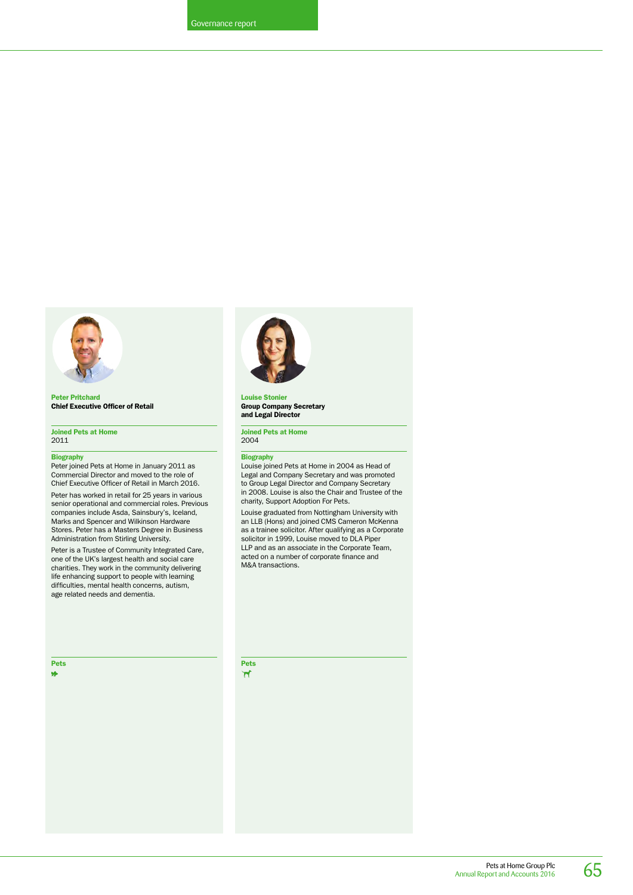

Peter Pritchard Chief Executive Officer of Retail

Joined Pets at Home 2011

### **Biography**

Peter joined Pets at Home in January 2011 as Commercial Director and moved to the role of Chief Executive Officer of Retail in March 2016.

Peter has worked in retail for 25 years in various senior operational and commercial roles. Previous companies include Asda, Sainsbury's, Iceland, Marks and Spencer and Wilkinson Hardware Stores. Peter has a Masters Degree in Business Administration from Stirling University.

Peter is a Trustee of Community Integrated Care, one of the UK's largest health and social care charities. They work in the community delivering life enhancing support to people with learning difficulties, mental health concerns, autism, age related needs and dementia.

Louise Stonier Group Company Secretary and Legal Director

Joined Pets at Home 2004

**Biography** 

Louise joined Pets at Home in 2004 as Head of Legal and Company Secretary and was promoted to Group Legal Director and Company Secretary in 2008. Louise is also the Chair and Trustee of the charity, Support Adoption For Pets.

Louise graduated from Nottingham University with an LLB (Hons) and joined CMS Cameron McKenna as a trainee solicitor. After qualifying as a Corporate solicitor in 1999, Louise moved to DLA Piper LLP and as an associate in the Corporate Team, acted on a number of corporate finance and M&A transactions.

M

Pets Pets Pets Pets  $\overline{\mathbf{M}}$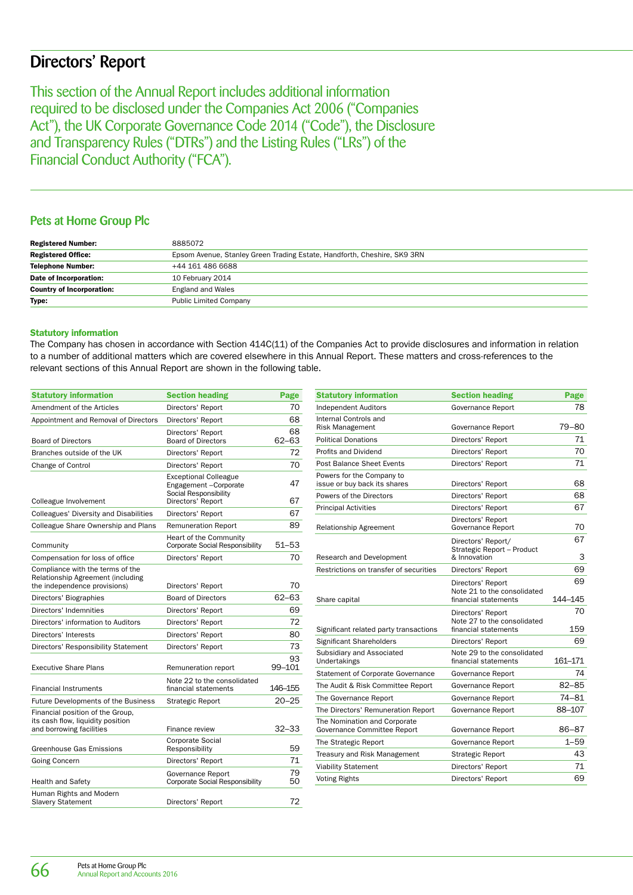## Directors' Report

This section of the Annual Report includes additional information required to be disclosed under the Companies Act 2006 ("Companies Act"), the UK Corporate Governance Code 2014 ("Code"), the Disclosure and Transparency Rules ("DTRs") and the Listing Rules ("LRs") of the Financial Conduct Authority ("FCA").

### Pets at Home Group Plc

| <b>Registered Number:</b>        | 8885072                                                                  |
|----------------------------------|--------------------------------------------------------------------------|
| <b>Registered Office:</b>        | Epsom Avenue, Stanley Green Trading Estate, Handforth, Cheshire, SK9 3RN |
| <b>Telephone Number:</b>         | +44 161 486 6688                                                         |
| Date of Incorporation:           | 10 February 2014                                                         |
| <b>Country of Incorporation:</b> | England and Wales                                                        |
| Type:                            | <b>Public Limited Company</b>                                            |

### Statutory information

The Company has chosen in accordance with Section 414C(11) of the Companies Act to provide disclosures and information in relation to a number of additional matters which are covered elsewhere in this Annual Report. These matters and cross-references to the relevant sections of this Annual Report are shown in the following table.

| <b>Statutory information</b>                                                                          | <b>Section heading</b>                                                                             | Page         |
|-------------------------------------------------------------------------------------------------------|----------------------------------------------------------------------------------------------------|--------------|
| Amendment of the Articles                                                                             | Directors' Report                                                                                  | 70           |
| Appointment and Removal of Directors                                                                  | Directors' Report                                                                                  | 68           |
| <b>Board of Directors</b>                                                                             | Directors' Report<br><b>Board of Directors</b>                                                     | 68<br>62–63  |
| Branches outside of the UK                                                                            | Directors' Report                                                                                  | 72           |
| <b>Change of Control</b>                                                                              | Directors' Report                                                                                  | 70           |
| Colleague Involvement                                                                                 | <b>Exceptional Colleague</b><br>Engagement-Corporate<br>Social Responsibility<br>Directors' Report | 47<br>67     |
| <b>Colleagues' Diversity and Disabilities</b>                                                         | Directors' Report                                                                                  | 67           |
| Colleague Share Ownership and Plans                                                                   | <b>Remuneration Report</b>                                                                         | 89           |
| Community                                                                                             | Heart of the Community<br><b>Corporate Social Responsibility</b>                                   | 51–53        |
| Compensation for loss of office                                                                       | Directors' Report                                                                                  | 70           |
| Compliance with the terms of the<br>Relationship Agreement (including<br>the independence provisions) | Directors' Report                                                                                  | 70           |
| Directors' Biographies                                                                                | <b>Board of Directors</b>                                                                          | 62–63        |
| Directors' Indemnities                                                                                | Directors' Report                                                                                  | 69           |
| Directors' information to Auditors                                                                    | Directors' Report                                                                                  | 72           |
| Directors' Interests                                                                                  | Directors' Report                                                                                  | 80           |
| Directors' Responsibility Statement                                                                   | Directors' Report                                                                                  | 73           |
| <b>Executive Share Plans</b>                                                                          | Remuneration report                                                                                | 93<br>99-101 |
| <b>Financial Instruments</b>                                                                          | Note 22 to the consolidated<br>financial statements                                                | 146–155      |
| <b>Future Developments of the Business</b>                                                            | <b>Strategic Report</b>                                                                            | 20–25        |
| Financial position of the Group,<br>its cash flow, liquidity position<br>and borrowing facilities     | Finance review                                                                                     | 32–33        |
| Greenhouse Gas Emissions                                                                              | Corporate Social<br>Responsibility                                                                 | 59           |
| Going Concern                                                                                         | Directors' Report                                                                                  | 71           |
| <b>Health and Safety</b>                                                                              | Governance Report<br><b>Corporate Social Responsibility</b>                                        | 79<br>50     |
| Human Rights and Modern<br><b>Slavery Statement</b>                                                   | Directors' Report                                                                                  | 72           |

| <b>Statutory information</b>                                | <b>Section heading</b>                                                   | Page          |
|-------------------------------------------------------------|--------------------------------------------------------------------------|---------------|
| <b>Independent Auditors</b>                                 | Governance Report                                                        | 78            |
| Internal Controls and<br>Risk Management                    | Governance Report                                                        | 79–80         |
| <b>Political Donations</b>                                  | Directors' Report                                                        | 71            |
| Profits and Dividend                                        | Directors' Report                                                        | 70            |
| Post Balance Sheet Events                                   | Directors' Report                                                        | 71            |
| Powers for the Company to<br>issue or buy back its shares   | Directors' Report                                                        | 68            |
| Powers of the Directors                                     | Directors' Report                                                        | 68            |
| <b>Principal Activities</b>                                 | Directors' Report                                                        | 67            |
| Relationship Agreement                                      | Directors' Report<br>Governance Report                                   | 70            |
| Research and Development                                    | Directors' Report/<br>Strategic Report - Product<br>& Innovation         | 67<br>3       |
| Restrictions on transfer of securities                      | Directors' Report                                                        | 69            |
| Share capital                                               | Directors' Report<br>Note 21 to the consolidated<br>financial statements | 69<br>144–145 |
| Significant related party transactions                      | Directors' Report<br>Note 27 to the consolidated<br>financial statements | 70<br>159     |
| <b>Significant Shareholders</b>                             | Directors' Report                                                        | 69            |
| Subsidiary and Associated<br>Undertakings                   | Note 29 to the consolidated<br>financial statements                      | 161-171       |
| <b>Statement of Corporate Governance</b>                    | Governance Report                                                        | 74            |
| The Audit & Risk Committee Report                           | Governance Report                                                        | $82 - 85$     |
| The Governance Report                                       | Governance Report                                                        | 74–81         |
| The Directors' Remuneration Report                          | Governance Report                                                        | 88-107        |
| The Nomination and Corporate<br>Governance Committee Report | Governance Report                                                        | 86-87         |
| The Strategic Report                                        | Governance Report                                                        | $1 - 59$      |
| Treasury and Risk Management                                | <b>Strategic Report</b>                                                  | 43            |
| <b>Viability Statement</b>                                  | Directors' Report                                                        | 71            |
| <b>Voting Rights</b>                                        | Directors' Report                                                        | 69            |
|                                                             |                                                                          |               |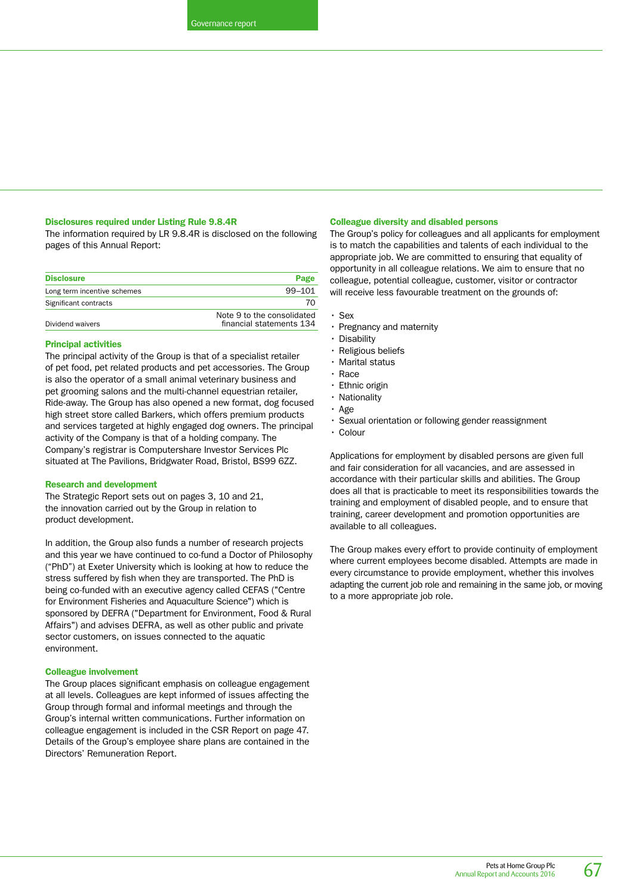### Disclosures required under Listing Rule 9.8.4R

The information required by LR 9.8.4R is disclosed on the following pages of this Annual Report:

| <b>Disclosure</b>           | Page                                                   |
|-----------------------------|--------------------------------------------------------|
| Long term incentive schemes | 99-101                                                 |
| Significant contracts       | 70                                                     |
| Dividend waivers            | Note 9 to the consolidated<br>financial statements 134 |

### Principal activities

The principal activity of the Group is that of a specialist retailer of pet food, pet related products and pet accessories. The Group is also the operator of a small animal veterinary business and pet grooming salons and the multi-channel equestrian retailer, Ride-away. The Group has also opened a new format, dog focused high street store called Barkers, which offers premium products and services targeted at highly engaged dog owners. The principal activity of the Company is that of a holding company. The Company's registrar is Computershare Investor Services Plc situated at The Pavilions, Bridgwater Road, Bristol, BS99 6ZZ.

### Research and development

The Strategic Report sets out on pages 3, 10 and 21, the innovation carried out by the Group in relation to product development.

In addition, the Group also funds a number of research projects and this year we have continued to co-fund a Doctor of Philosophy ("PhD") at Exeter University which is looking at how to reduce the stress suffered by fish when they are transported. The PhD is being co-funded with an executive agency called CEFAS ("Centre for Environment Fisheries and Aquaculture Science") which is sponsored by DEFRA ("Department for Environment, Food & Rural Affairs") and advises DEFRA, as well as other public and private sector customers, on issues connected to the aquatic environment.

### Colleague involvement

The Group places significant emphasis on colleague engagement at all levels. Colleagues are kept informed of issues affecting the Group through formal and informal meetings and through the Group's internal written communications. Further information on colleague engagement is included in the CSR Report on page 47. Details of the Group's employee share plans are contained in the Directors' Remuneration Report.

### Colleague diversity and disabled persons

The Group's policy for colleagues and all applicants for employment is to match the capabilities and talents of each individual to the appropriate job. We are committed to ensuring that equality of opportunity in all colleague relations. We aim to ensure that no colleague, potential colleague, customer, visitor or contractor will receive less favourable treatment on the grounds of:

### • Sex

- Pregnancy and maternity
- Disability
- Religious beliefs
- Marital status
- Race
- Ethnic origin
- Nationality
- Age
- Sexual orientation or following gender reassignment
- Colour

Applications for employment by disabled persons are given full and fair consideration for all vacancies, and are assessed in accordance with their particular skills and abilities. The Group does all that is practicable to meet its responsibilities towards the training and employment of disabled people, and to ensure that training, career development and promotion opportunities are available to all colleagues.

The Group makes every effort to provide continuity of employment where current employees become disabled. Attempts are made in every circumstance to provide employment, whether this involves adapting the current job role and remaining in the same job, or moving to a more appropriate job role.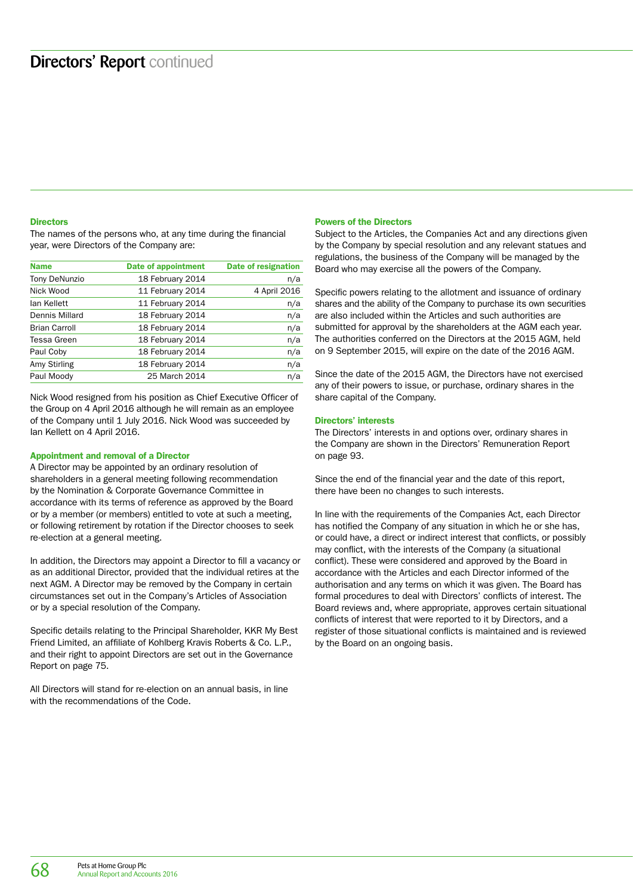### **Directors**

The names of the persons who, at any time during the financial year, were Directors of the Company are:

| <b>Name</b>          | Date of appointment | Date of resignation |
|----------------------|---------------------|---------------------|
| <b>Tony DeNunzio</b> | 18 February 2014    | n/a                 |
| Nick Wood            | 11 February 2014    | 4 April 2016        |
| lan Kellett          | 11 February 2014    | n/a                 |
| Dennis Millard       | 18 February 2014    | n/a                 |
| <b>Brian Carroll</b> | 18 February 2014    | n/a                 |
| Tessa Green          | 18 February 2014    | n/a                 |
| Paul Coby            | 18 February 2014    | n/a                 |
| Amy Stirling         | 18 February 2014    | n/a                 |
| Paul Moody           | 25 March 2014       | n/a                 |
|                      |                     |                     |

Nick Wood resigned from his position as Chief Executive Officer of the Group on 4 April 2016 although he will remain as an employee of the Company until 1 July 2016. Nick Wood was succeeded by Ian Kellett on 4 April 2016.

### Appointment and removal of a Director

A Director may be appointed by an ordinary resolution of shareholders in a general meeting following recommendation by the Nomination & Corporate Governance Committee in accordance with its terms of reference as approved by the Board or by a member (or members) entitled to vote at such a meeting, or following retirement by rotation if the Director chooses to seek re-election at a general meeting.

In addition, the Directors may appoint a Director to fill a vacancy or as an additional Director, provided that the individual retires at the next AGM. A Director may be removed by the Company in certain circumstances set out in the Company's Articles of Association or by a special resolution of the Company.

Specific details relating to the Principal Shareholder, KKR My Best Friend Limited, an affiliate of Kohlberg Kravis Roberts & Co. L.P., and their right to appoint Directors are set out in the Governance Report on page 75.

All Directors will stand for re-election on an annual basis, in line with the recommendations of the Code.

### Powers of the Directors

Subject to the Articles, the Companies Act and any directions given by the Company by special resolution and any relevant statues and regulations, the business of the Company will be managed by the Board who may exercise all the powers of the Company.

Specific powers relating to the allotment and issuance of ordinary shares and the ability of the Company to purchase its own securities are also included within the Articles and such authorities are submitted for approval by the shareholders at the AGM each year. The authorities conferred on the Directors at the 2015 AGM, held on 9 September 2015, will expire on the date of the 2016 AGM.

Since the date of the 2015 AGM, the Directors have not exercised any of their powers to issue, or purchase, ordinary shares in the share capital of the Company.

### Directors' interests

The Directors' interests in and options over, ordinary shares in the Company are shown in the Directors' Remuneration Report on page 93.

Since the end of the financial year and the date of this report, there have been no changes to such interests.

In line with the requirements of the Companies Act, each Director has notified the Company of any situation in which he or she has, or could have, a direct or indirect interest that conflicts, or possibly may conflict, with the interests of the Company (a situational conflict). These were considered and approved by the Board in accordance with the Articles and each Director informed of the authorisation and any terms on which it was given. The Board has formal procedures to deal with Directors' conflicts of interest. The Board reviews and, where appropriate, approves certain situational conflicts of interest that were reported to it by Directors, and a register of those situational conflicts is maintained and is reviewed by the Board on an ongoing basis.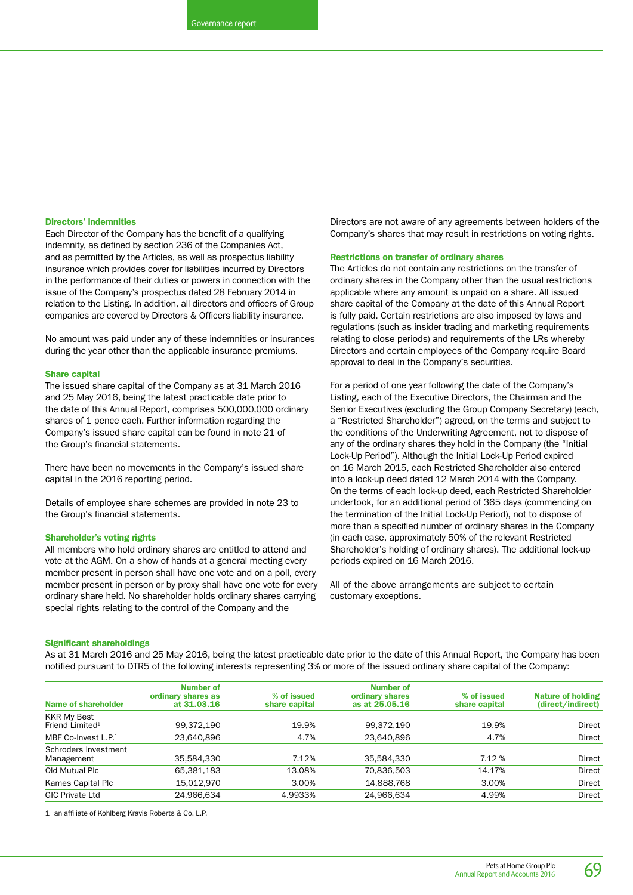### Directors' indemnities

Each Director of the Company has the benefit of a qualifying indemnity, as defined by section 236 of the Companies Act, and as permitted by the Articles, as well as prospectus liability insurance which provides cover for liabilities incurred by Directors in the performance of their duties or powers in connection with the issue of the Company's prospectus dated 28 February 2014 in relation to the Listing. In addition, all directors and officers of Group companies are covered by Directors & Officers liability insurance.

No amount was paid under any of these indemnities or insurances during the year other than the applicable insurance premiums.

#### Share capital

The issued share capital of the Company as at 31 March 2016 and 25 May 2016, being the latest practicable date prior to the date of this Annual Report, comprises 500,000,000 ordinary shares of 1 pence each. Further information regarding the Company's issued share capital can be found in note 21 of the Group's financial statements.

There have been no movements in the Company's issued share capital in the 2016 reporting period.

Details of employee share schemes are provided in note 23 to the Group's financial statements.

### Shareholder's voting rights

All members who hold ordinary shares are entitled to attend and vote at the AGM. On a show of hands at a general meeting every member present in person shall have one vote and on a poll, every member present in person or by proxy shall have one vote for every ordinary share held. No shareholder holds ordinary shares carrying special rights relating to the control of the Company and the

Directors are not aware of any agreements between holders of the Company's shares that may result in restrictions on voting rights.

### Restrictions on transfer of ordinary shares

The Articles do not contain any restrictions on the transfer of ordinary shares in the Company other than the usual restrictions applicable where any amount is unpaid on a share. All issued share capital of the Company at the date of this Annual Report is fully paid. Certain restrictions are also imposed by laws and regulations (such as insider trading and marketing requirements relating to close periods) and requirements of the LRs whereby Directors and certain employees of the Company require Board approval to deal in the Company's securities.

For a period of one year following the date of the Company's Listing, each of the Executive Directors, the Chairman and the Senior Executives (excluding the Group Company Secretary) (each, a "Restricted Shareholder") agreed, on the terms and subject to the conditions of the Underwriting Agreement, not to dispose of any of the ordinary shares they hold in the Company (the "Initial Lock-Up Period"). Although the Initial Lock-Up Period expired on 16 March 2015, each Restricted Shareholder also entered into a lock-up deed dated 12 March 2014 with the Company. On the terms of each lock-up deed, each Restricted Shareholder undertook, for an additional period of 365 days (commencing on the termination of the Initial Lock-Up Period), not to dispose of more than a specified number of ordinary shares in the Company (in each case, approximately 50% of the relevant Restricted Shareholder's holding of ordinary shares). The additional lock-up periods expired on 16 March 2016.

All of the above arrangements are subject to certain customary exceptions.

#### Significant shareholdings

As at 31 March 2016 and 25 May 2016, being the latest practicable date prior to the date of this Annual Report, the Company has been notified pursuant to DTR5 of the following interests representing 3% or more of the issued ordinary share capital of the Company:

| Name of shareholder                               | <b>Number of</b><br>ordinary shares as<br>at 31,03.16 | % of issued<br>share capital | <b>Number of</b><br>ordinary shares<br>as at 25,05,16 | % of issued<br>share capital | <b>Nature of holding</b><br>(direct/indirect) |
|---------------------------------------------------|-------------------------------------------------------|------------------------------|-------------------------------------------------------|------------------------------|-----------------------------------------------|
| <b>KKR My Best</b><br>Friend Limited <sup>1</sup> | 99.372.190                                            | 19.9%                        | 99.372.190                                            | 19.9%                        | Direct                                        |
| MBF Co-Invest L.P.1                               | 23.640.896                                            | 4.7%                         | 23.640.896                                            | 4.7%                         | <b>Direct</b>                                 |
| Schroders Investment<br>Management                | 35,584,330                                            | 7.12%                        | 35,584,330                                            | 7.12 %                       | Direct                                        |
| Old Mutual Plc                                    | 65,381,183                                            | 13.08%                       | 70,836,503                                            | 14.17%                       | <b>Direct</b>                                 |
| Kames Capital Plc                                 | 15.012.970                                            | 3.00%                        | 14,888,768                                            | 3.00%                        | <b>Direct</b>                                 |
| <b>GIC Private Ltd</b>                            | 24,966,634                                            | 4.9933%                      | 24,966,634                                            | 4.99%                        | <b>Direct</b>                                 |

1 an affiliate of Kohlberg Kravis Roberts & Co. L.P.

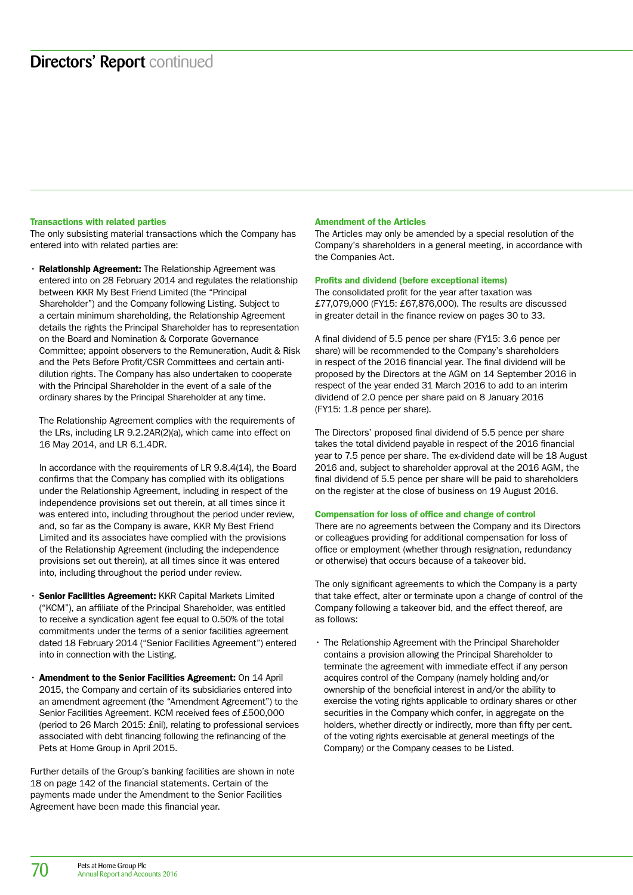## **Directors' Report continued**

### Transactions with related parties

The only subsisting material transactions which the Company has entered into with related parties are:

• Relationship Agreement: The Relationship Agreement was entered into on 28 February 2014 and regulates the relationship between KKR My Best Friend Limited (the "Principal Shareholder") and the Company following Listing. Subject to a certain minimum shareholding, the Relationship Agreement details the rights the Principal Shareholder has to representation on the Board and Nomination & Corporate Governance Committee; appoint observers to the Remuneration, Audit & Risk and the Pets Before Profit/CSR Committees and certain antidilution rights. The Company has also undertaken to cooperate with the Principal Shareholder in the event of a sale of the ordinary shares by the Principal Shareholder at any time.

The Relationship Agreement complies with the requirements of the LRs, including LR 9.2.2AR(2)(a), which came into effect on 16 May 2014, and LR 6.1.4DR.

In accordance with the requirements of LR 9.8.4(14), the Board confirms that the Company has complied with its obligations under the Relationship Agreement, including in respect of the independence provisions set out therein, at all times since it was entered into, including throughout the period under review, and, so far as the Company is aware, KKR My Best Friend Limited and its associates have complied with the provisions of the Relationship Agreement (including the independence provisions set out therein), at all times since it was entered into, including throughout the period under review.

- Senior Facilities Agreement: KKR Capital Markets Limited ("KCM"), an affiliate of the Principal Shareholder, was entitled to receive a syndication agent fee equal to 0.50% of the total commitments under the terms of a senior facilities agreement dated 18 February 2014 ("Senior Facilities Agreement") entered into in connection with the Listing.
- Amendment to the Senior Facilities Agreement: On 14 April 2015, the Company and certain of its subsidiaries entered into an amendment agreement (the "Amendment Agreement") to the Senior Facilities Agreement. KCM received fees of £500,000 (period to 26 March 2015: £nil), relating to professional services associated with debt financing following the refinancing of the Pets at Home Group in April 2015.

Further details of the Group's banking facilities are shown in note 18 on page 142 of the financial statements. Certain of the payments made under the Amendment to the Senior Facilities Agreement have been made this financial year.

### Amendment of the Articles

The Articles may only be amended by a special resolution of the Company's shareholders in a general meeting, in accordance with the Companies Act.

### Profits and dividend (before exceptional items)

The consolidated profit for the year after taxation was £77,079,000 (FY15: £67,876,000). The results are discussed in greater detail in the finance review on pages 30 to 33.

A final dividend of 5.5 pence per share (FY15: 3.6 pence per share) will be recommended to the Company's shareholders in respect of the 2016 financial year. The final dividend will be proposed by the Directors at the AGM on 14 September 2016 in respect of the year ended 31 March 2016 to add to an interim dividend of 2.0 pence per share paid on 8 January 2016 (FY15: 1.8 pence per share).

The Directors' proposed final dividend of 5.5 pence per share takes the total dividend payable in respect of the 2016 financial year to 7.5 pence per share. The ex-dividend date will be 18 August 2016 and, subject to shareholder approval at the 2016 AGM, the final dividend of 5.5 pence per share will be paid to shareholders on the register at the close of business on 19 August 2016.

### Compensation for loss of office and change of control

There are no agreements between the Company and its Directors or colleagues providing for additional compensation for loss of office or employment (whether through resignation, redundancy or otherwise) that occurs because of a takeover bid.

The only significant agreements to which the Company is a party that take effect, alter or terminate upon a change of control of the Company following a takeover bid, and the effect thereof, are as follows:

• The Relationship Agreement with the Principal Shareholder contains a provision allowing the Principal Shareholder to terminate the agreement with immediate effect if any person acquires control of the Company (namely holding and/or ownership of the beneficial interest in and/or the ability to exercise the voting rights applicable to ordinary shares or other securities in the Company which confer, in aggregate on the holders, whether directly or indirectly, more than fifty per cent. of the voting rights exercisable at general meetings of the Company) or the Company ceases to be Listed.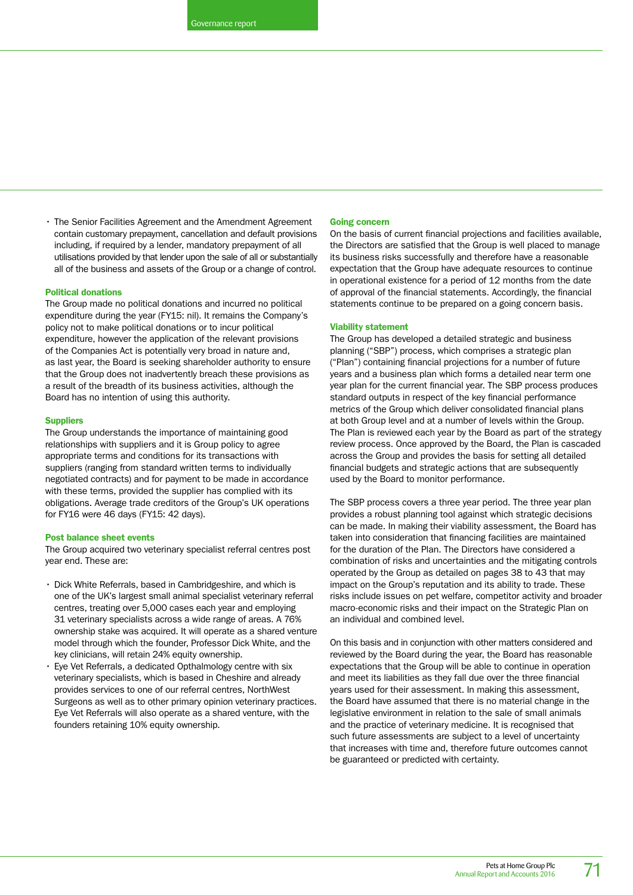• The Senior Facilities Agreement and the Amendment Agreement contain customary prepayment, cancellation and default provisions including, if required by a lender, mandatory prepayment of all utilisations provided by that lender upon the sale of all or substantially all of the business and assets of the Group or a change of control.

### Political donations

The Group made no political donations and incurred no political expenditure during the year (FY15: nil). It remains the Company's policy not to make political donations or to incur political expenditure, however the application of the relevant provisions of the Companies Act is potentially very broad in nature and, as last year, the Board is seeking shareholder authority to ensure that the Group does not inadvertently breach these provisions as a result of the breadth of its business activities, although the Board has no intention of using this authority.

### **Suppliers**

The Group understands the importance of maintaining good relationships with suppliers and it is Group policy to agree appropriate terms and conditions for its transactions with suppliers (ranging from standard written terms to individually negotiated contracts) and for payment to be made in accordance with these terms, provided the supplier has complied with its obligations. Average trade creditors of the Group's UK operations for FY16 were 46 days (FY15: 42 days).

#### Post balance sheet events

The Group acquired two veterinary specialist referral centres post year end. These are:

- Dick White Referrals, based in Cambridgeshire, and which is one of the UK's largest small animal specialist veterinary referral centres, treating over 5,000 cases each year and employing 31 veterinary specialists across a wide range of areas. A 76% ownership stake was acquired. It will operate as a shared venture model through which the founder, Professor Dick White, and the key clinicians, will retain 24% equity ownership.
- Eye Vet Referrals, a dedicated Opthalmology centre with six veterinary specialists, which is based in Cheshire and already provides services to one of our referral centres, NorthWest Surgeons as well as to other primary opinion veterinary practices. Eye Vet Referrals will also operate as a shared venture, with the founders retaining 10% equity ownership.

### Going concern

On the basis of current financial projections and facilities available, the Directors are satisfied that the Group is well placed to manage its business risks successfully and therefore have a reasonable expectation that the Group have adequate resources to continue in operational existence for a period of 12 months from the date of approval of the financial statements. Accordingly, the financial statements continue to be prepared on a going concern basis.

### Viability statement

The Group has developed a detailed strategic and business planning ("SBP") process, which comprises a strategic plan ("Plan") containing financial projections for a number of future years and a business plan which forms a detailed near term one year plan for the current financial year. The SBP process produces standard outputs in respect of the key financial performance metrics of the Group which deliver consolidated financial plans at both Group level and at a number of levels within the Group. The Plan is reviewed each year by the Board as part of the strategy review process. Once approved by the Board, the Plan is cascaded across the Group and provides the basis for setting all detailed financial budgets and strategic actions that are subsequently used by the Board to monitor performance.

The SBP process covers a three year period. The three year plan provides a robust planning tool against which strategic decisions can be made. In making their viability assessment, the Board has taken into consideration that financing facilities are maintained for the duration of the Plan. The Directors have considered a combination of risks and uncertainties and the mitigating controls operated by the Group as detailed on pages 38 to 43 that may impact on the Group's reputation and its ability to trade. These risks include issues on pet welfare, competitor activity and broader macro-economic risks and their impact on the Strategic Plan on an individual and combined level.

On this basis and in conjunction with other matters considered and reviewed by the Board during the year, the Board has reasonable expectations that the Group will be able to continue in operation and meet its liabilities as they fall due over the three financial years used for their assessment. In making this assessment, the Board have assumed that there is no material change in the legislative environment in relation to the sale of small animals and the practice of veterinary medicine. It is recognised that such future assessments are subject to a level of uncertainty that increases with time and, therefore future outcomes cannot be guaranteed or predicted with certainty.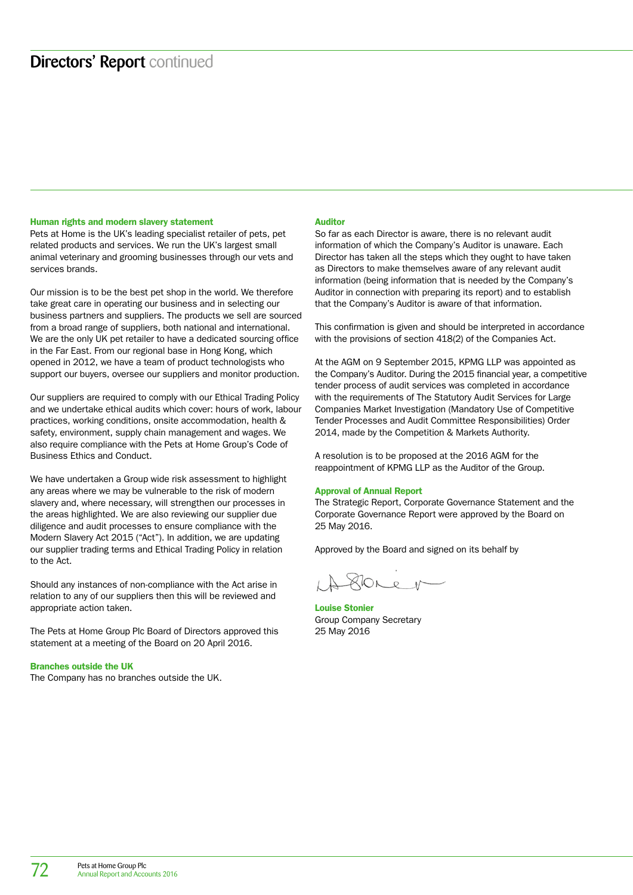## **Directors' Report continued**

### Human rights and modern slavery statement

Pets at Home is the UK's leading specialist retailer of pets, pet related products and services. We run the UK's largest small animal veterinary and grooming businesses through our vets and services brands.

Our mission is to be the best pet shop in the world. We therefore take great care in operating our business and in selecting our business partners and suppliers. The products we sell are sourced from a broad range of suppliers, both national and international. We are the only UK pet retailer to have a dedicated sourcing office in the Far East. From our regional base in Hong Kong, which opened in 2012, we have a team of product technologists who support our buyers, oversee our suppliers and monitor production.

Our suppliers are required to comply with our Ethical Trading Policy and we undertake ethical audits which cover: hours of work, labour practices, working conditions, onsite accommodation, health & safety, environment, supply chain management and wages. We also require compliance with the Pets at Home Group's Code of Business Ethics and Conduct.

We have undertaken a Group wide risk assessment to highlight any areas where we may be vulnerable to the risk of modern slavery and, where necessary, will strengthen our processes in the areas highlighted. We are also reviewing our supplier due diligence and audit processes to ensure compliance with the Modern Slavery Act 2015 ("Act"). In addition, we are updating our supplier trading terms and Ethical Trading Policy in relation to the Act.

Should any instances of non-compliance with the Act arise in relation to any of our suppliers then this will be reviewed and appropriate action taken.

The Pets at Home Group Plc Board of Directors approved this statement at a meeting of the Board on 20 April 2016.

### Branches outside the UK

The Company has no branches outside the UK.

### Auditor

So far as each Director is aware, there is no relevant audit information of which the Company's Auditor is unaware. Each Director has taken all the steps which they ought to have taken as Directors to make themselves aware of any relevant audit information (being information that is needed by the Company's Auditor in connection with preparing its report) and to establish that the Company's Auditor is aware of that information.

This confirmation is given and should be interpreted in accordance with the provisions of section 418(2) of the Companies Act.

At the AGM on 9 September 2015, KPMG LLP was appointed as the Company's Auditor. During the 2015 financial year, a competitive tender process of audit services was completed in accordance with the requirements of The Statutory Audit Services for Large Companies Market Investigation (Mandatory Use of Competitive Tender Processes and Audit Committee Responsibilities) Order 2014, made by the Competition & Markets Authority.

A resolution is to be proposed at the 2016 AGM for the reappointment of KPMG LLP as the Auditor of the Group.

### Approval of Annual Report

The Strategic Report, Corporate Governance Statement and the Corporate Governance Report were approved by the Board on 25 May 2016.

Approved by the Board and signed on its behalf by

Roner

Louise Stonier Group Company Secretary 25 May 2016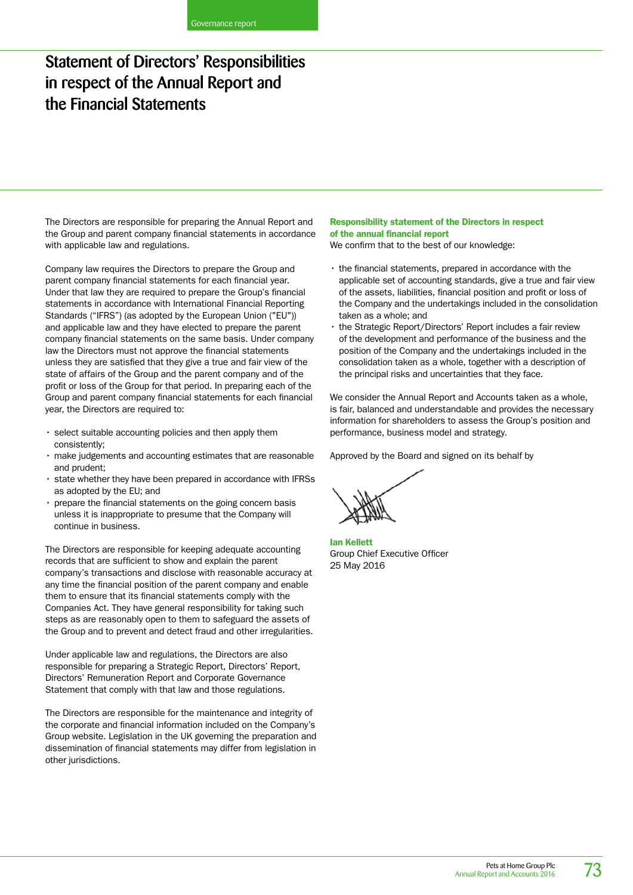## Statement of Directors' Responsibilities in respect of the Annual Report and the Financial Statements

The Directors are responsible for preparing the Annual Report and the Group and parent company financial statements in accordance with applicable law and regulations.

Company law requires the Directors to prepare the Group and parent company financial statements for each financial year. Under that law they are required to prepare the Group's financial statements in accordance with International Financial Reporting Standards ("IFRS") (as adopted by the European Union ("EU")) and applicable law and they have elected to prepare the parent company financial statements on the same basis. Under company law the Directors must not approve the financial statements unless they are satisfied that they give a true and fair view of the state of affairs of the Group and the parent company and of the profit or loss of the Group for that period. In preparing each of the Group and parent company financial statements for each financial year, the Directors are required to:

- select suitable accounting policies and then apply them consistently;
- make judgements and accounting estimates that are reasonable and prudent;
- state whether they have been prepared in accordance with IFRSs as adopted by the EU; and
- prepare the financial statements on the going concern basis unless it is inappropriate to presume that the Company will continue in business.

The Directors are responsible for keeping adequate accounting records that are sufficient to show and explain the parent company's transactions and disclose with reasonable accuracy at any time the financial position of the parent company and enable them to ensure that its financial statements comply with the Companies Act. They have general responsibility for taking such steps as are reasonably open to them to safeguard the assets of the Group and to prevent and detect fraud and other irregularities.

Under applicable law and regulations, the Directors are also responsible for preparing a Strategic Report, Directors' Report, Directors' Remuneration Report and Corporate Governance Statement that comply with that law and those regulations.

The Directors are responsible for the maintenance and integrity of the corporate and financial information included on the Company's Group website. Legislation in the UK governing the preparation and dissemination of financial statements may differ from legislation in other jurisdictions.

### Responsibility statement of the Directors in respect of the annual financial report

We confirm that to the best of our knowledge:

- the financial statements, prepared in accordance with the applicable set of accounting standards, give a true and fair view of the assets, liabilities, financial position and profit or loss of the Company and the undertakings included in the consolidation taken as a whole; and
- the Strategic Report/Directors' Report includes a fair review of the development and performance of the business and the position of the Company and the undertakings included in the consolidation taken as a whole, together with a description of the principal risks and uncertainties that they face.

We consider the Annual Report and Accounts taken as a whole, is fair, balanced and understandable and provides the necessary information for shareholders to assess the Group's position and performance, business model and strategy.

Approved by the Board and signed on its behalf by

Ian Kellett Group Chief Executive Officer 25 May 2016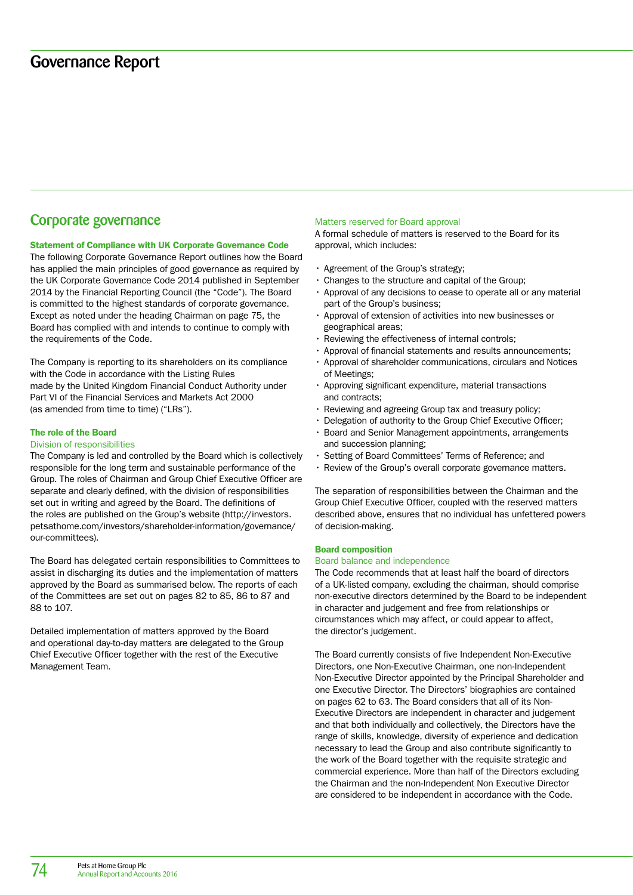## Corporate governance

### Statement of Compliance with UK Corporate Governance Code

The following Corporate Governance Report outlines how the Board has applied the main principles of good governance as required by the UK Corporate Governance Code 2014 published in September 2014 by the Financial Reporting Council (the "Code"). The Board is committed to the highest standards of corporate governance. Except as noted under the heading Chairman on page 75, the Board has complied with and intends to continue to comply with the requirements of the Code.

The Company is reporting to its shareholders on its compliance with the Code in accordance with the Listing Rules made by the United Kingdom Financial Conduct Authority under Part VI of the Financial Services and Markets Act 2000 (as amended from time to time) ("LRs").

### The role of the Board

### Division of responsibilities

The Company is led and controlled by the Board which is collectively responsible for the long term and sustainable performance of the Group. The roles of Chairman and Group Chief Executive Officer are separate and clearly defined, with the division of responsibilities set out in writing and agreed by the Board. The definitions of the roles are published on the Group's website (http://investors. petsathome.com/investors/shareholder-information/governance/ our-committees).

The Board has delegated certain responsibilities to Committees to assist in discharging its duties and the implementation of matters approved by the Board as summarised below. The reports of each of the Committees are set out on pages 82 to 85, 86 to 87 and 88 to 107.

Detailed implementation of matters approved by the Board and operational day-to-day matters are delegated to the Group Chief Executive Officer together with the rest of the Executive Management Team.

### Matters reserved for Board approval

A formal schedule of matters is reserved to the Board for its approval, which includes:

- Agreement of the Group's strategy;
- Changes to the structure and capital of the Group;
- Approval of any decisions to cease to operate all or any material part of the Group's business;
- Approval of extension of activities into new businesses or geographical areas;
- Reviewing the effectiveness of internal controls;
- Approval of financial statements and results announcements;
- Approval of shareholder communications, circulars and Notices of Meetings;
- Approving significant expenditure, material transactions and contracts;
- Reviewing and agreeing Group tax and treasury policy;
- Delegation of authority to the Group Chief Executive Officer;
- Board and Senior Management appointments, arrangements and succession planning;
- Setting of Board Committees' Terms of Reference; and
- Review of the Group's overall corporate governance matters.

The separation of responsibilities between the Chairman and the Group Chief Executive Officer, coupled with the reserved matters described above, ensures that no individual has unfettered powers of decision-making.

### Board composition

### Board balance and independence

The Code recommends that at least half the board of directors of a UK-listed company, excluding the chairman, should comprise non-executive directors determined by the Board to be independent in character and judgement and free from relationships or circumstances which may affect, or could appear to affect, the director's judgement.

The Board currently consists of five Independent Non-Executive Directors, one Non-Executive Chairman, one non-Independent Non-Executive Director appointed by the Principal Shareholder and one Executive Director. The Directors' biographies are contained on pages 62 to 63. The Board considers that all of its Non-Executive Directors are independent in character and judgement and that both individually and collectively, the Directors have the range of skills, knowledge, diversity of experience and dedication necessary to lead the Group and also contribute significantly to the work of the Board together with the requisite strategic and commercial experience. More than half of the Directors excluding the Chairman and the non-Independent Non Executive Director are considered to be independent in accordance with the Code.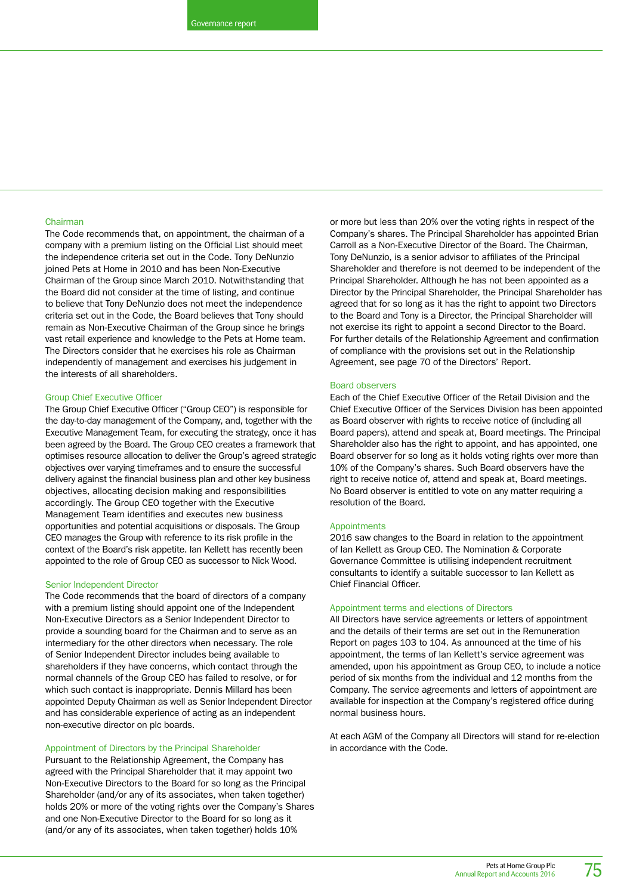### Chairman

The Code recommends that, on appointment, the chairman of a company with a premium listing on the Official List should meet the independence criteria set out in the Code. Tony DeNunzio joined Pets at Home in 2010 and has been Non-Executive Chairman of the Group since March 2010. Notwithstanding that the Board did not consider at the time of listing, and continue to believe that Tony DeNunzio does not meet the independence criteria set out in the Code, the Board believes that Tony should remain as Non-Executive Chairman of the Group since he brings vast retail experience and knowledge to the Pets at Home team. The Directors consider that he exercises his role as Chairman independently of management and exercises his judgement in the interests of all shareholders.

### Group Chief Executive Officer

The Group Chief Executive Officer ("Group CEO") is responsible for the day-to-day management of the Company, and, together with the Executive Management Team, for executing the strategy, once it has been agreed by the Board. The Group CEO creates a framework that optimises resource allocation to deliver the Group's agreed strategic objectives over varying timeframes and to ensure the successful delivery against the financial business plan and other key business objectives, allocating decision making and responsibilities accordingly. The Group CEO together with the Executive Management Team identifies and executes new business opportunities and potential acquisitions or disposals. The Group CEO manages the Group with reference to its risk profile in the context of the Board's risk appetite. Ian Kellett has recently been appointed to the role of Group CEO as successor to Nick Wood.

### Senior Independent Director

The Code recommends that the board of directors of a company with a premium listing should appoint one of the Independent Non-Executive Directors as a Senior Independent Director to provide a sounding board for the Chairman and to serve as an intermediary for the other directors when necessary. The role of Senior Independent Director includes being available to shareholders if they have concerns, which contact through the normal channels of the Group CEO has failed to resolve, or for which such contact is inappropriate. Dennis Millard has been appointed Deputy Chairman as well as Senior Independent Director and has considerable experience of acting as an independent non-executive director on plc boards.

### Appointment of Directors by the Principal Shareholder

Pursuant to the Relationship Agreement, the Company has agreed with the Principal Shareholder that it may appoint two Non-Executive Directors to the Board for so long as the Principal Shareholder (and/or any of its associates, when taken together) holds 20% or more of the voting rights over the Company's Shares and one Non-Executive Director to the Board for so long as it (and/or any of its associates, when taken together) holds 10%

or more but less than 20% over the voting rights in respect of the Company's shares. The Principal Shareholder has appointed Brian Carroll as a Non-Executive Director of the Board. The Chairman, Tony DeNunzio, is a senior advisor to affiliates of the Principal Shareholder and therefore is not deemed to be independent of the Principal Shareholder. Although he has not been appointed as a Director by the Principal Shareholder, the Principal Shareholder has agreed that for so long as it has the right to appoint two Directors to the Board and Tony is a Director, the Principal Shareholder will not exercise its right to appoint a second Director to the Board. For further details of the Relationship Agreement and confirmation of compliance with the provisions set out in the Relationship Agreement, see page 70 of the Directors' Report.

### Board observers

Each of the Chief Executive Officer of the Retail Division and the Chief Executive Officer of the Services Division has been appointed as Board observer with rights to receive notice of (including all Board papers), attend and speak at, Board meetings. The Principal Shareholder also has the right to appoint, and has appointed, one Board observer for so long as it holds voting rights over more than 10% of the Company's shares. Such Board observers have the right to receive notice of, attend and speak at, Board meetings. No Board observer is entitled to vote on any matter requiring a resolution of the Board.

### Appointments

2016 saw changes to the Board in relation to the appointment of Ian Kellett as Group CEO. The Nomination & Corporate Governance Committee is utilising independent recruitment consultants to identify a suitable successor to Ian Kellett as Chief Financial Officer.

#### Appointment terms and elections of Directors

All Directors have service agreements or letters of appointment and the details of their terms are set out in the Remuneration Report on pages 103 to 104. As announced at the time of his appointment, the terms of Ian Kellett's service agreement was amended, upon his appointment as Group CEO, to include a notice period of six months from the individual and 12 months from the Company. The service agreements and letters of appointment are available for inspection at the Company's registered office during normal business hours.

At each AGM of the Company all Directors will stand for re-election in accordance with the Code.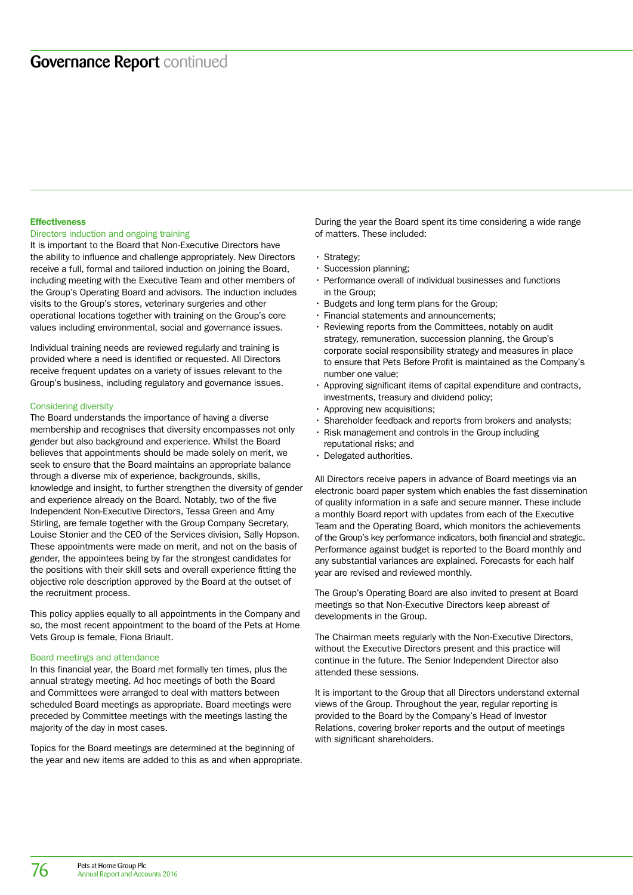### **Effectiveness**

### Directors induction and ongoing training

It is important to the Board that Non-Executive Directors have the ability to influence and challenge appropriately. New Directors receive a full, formal and tailored induction on joining the Board, including meeting with the Executive Team and other members of the Group's Operating Board and advisors. The induction includes visits to the Group's stores, veterinary surgeries and other operational locations together with training on the Group's core values including environmental, social and governance issues.

Individual training needs are reviewed regularly and training is provided where a need is identified or requested. All Directors receive frequent updates on a variety of issues relevant to the Group's business, including regulatory and governance issues.

### Considering diversity

The Board understands the importance of having a diverse membership and recognises that diversity encompasses not only gender but also background and experience. Whilst the Board believes that appointments should be made solely on merit, we seek to ensure that the Board maintains an appropriate balance through a diverse mix of experience, backgrounds, skills, knowledge and insight, to further strengthen the diversity of gender and experience already on the Board. Notably, two of the five Independent Non-Executive Directors, Tessa Green and Amy Stirling, are female together with the Group Company Secretary, Louise Stonier and the CEO of the Services division, Sally Hopson. These appointments were made on merit, and not on the basis of gender, the appointees being by far the strongest candidates for the positions with their skill sets and overall experience fitting the objective role description approved by the Board at the outset of the recruitment process.

This policy applies equally to all appointments in the Company and so, the most recent appointment to the board of the Pets at Home Vets Group is female, Fiona Briault.

### Board meetings and attendance

In this financial year, the Board met formally ten times, plus the annual strategy meeting. Ad hoc meetings of both the Board and Committees were arranged to deal with matters between scheduled Board meetings as appropriate. Board meetings were preceded by Committee meetings with the meetings lasting the majority of the day in most cases.

Topics for the Board meetings are determined at the beginning of the year and new items are added to this as and when appropriate. During the year the Board spent its time considering a wide range of matters. These included:

- Strategy;
- Succession planning;
- Performance overall of individual businesses and functions in the Group;
- Budgets and long term plans for the Group;
- Financial statements and announcements;
- Reviewing reports from the Committees, notably on audit strategy, remuneration, succession planning, the Group's corporate social responsibility strategy and measures in place to ensure that Pets Before Profit is maintained as the Company's number one value;
- Approving significant items of capital expenditure and contracts, investments, treasury and dividend policy;
- Approving new acquisitions;
- Shareholder feedback and reports from brokers and analysts;
- Risk management and controls in the Group including reputational risks; and
- Delegated authorities.

All Directors receive papers in advance of Board meetings via an electronic board paper system which enables the fast dissemination of quality information in a safe and secure manner. These include a monthly Board report with updates from each of the Executive Team and the Operating Board, which monitors the achievements of the Group's key performance indicators, both financial and strategic. Performance against budget is reported to the Board monthly and any substantial variances are explained. Forecasts for each half year are revised and reviewed monthly.

The Group's Operating Board are also invited to present at Board meetings so that Non-Executive Directors keep abreast of developments in the Group.

The Chairman meets regularly with the Non-Executive Directors, without the Executive Directors present and this practice will continue in the future. The Senior Independent Director also attended these sessions.

It is important to the Group that all Directors understand external views of the Group. Throughout the year, regular reporting is provided to the Board by the Company's Head of Investor Relations, covering broker reports and the output of meetings with significant shareholders.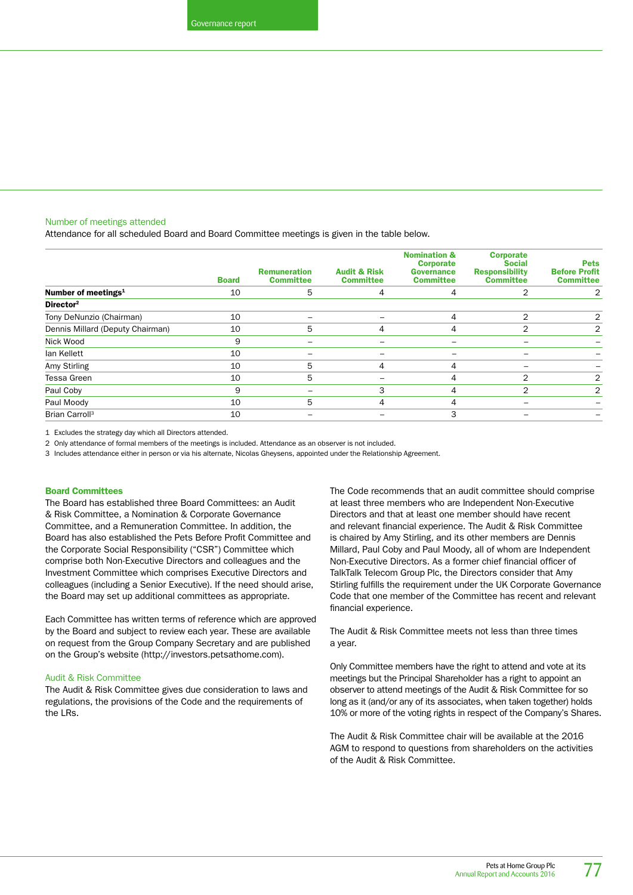### Number of meetings attended

Attendance for all scheduled Board and Board Committee meetings is given in the table below.

|                                  |              | <b>Remuneration</b> | <b>Audit &amp; Risk</b> | <b>Nomination &amp;</b><br><b>Corporate</b><br><b>Governance</b> | <b>Corporate</b><br><b>Social</b><br><b>Responsibility</b> | <b>Pets</b><br><b>Before Profit</b> |
|----------------------------------|--------------|---------------------|-------------------------|------------------------------------------------------------------|------------------------------------------------------------|-------------------------------------|
|                                  | <b>Board</b> | <b>Committee</b>    | <b>Committee</b>        | <b>Committee</b>                                                 | <b>Committee</b>                                           | <b>Committee</b>                    |
| Number of meetings <sup>1</sup>  | 10           | 5                   | 4                       | 4                                                                | 2                                                          | 2                                   |
| Director <sup>2</sup>            |              |                     |                         |                                                                  |                                                            |                                     |
| Tony DeNunzio (Chairman)         | 10           |                     |                         | 4                                                                | $\overline{2}$                                             | 2                                   |
| Dennis Millard (Deputy Chairman) | 10           | 5                   | 4                       | 4                                                                | $\overline{2}$                                             | 2                                   |
| Nick Wood                        | 9            |                     |                         |                                                                  |                                                            |                                     |
| lan Kellett                      | 10           |                     |                         |                                                                  |                                                            |                                     |
| Amy Stirling                     | 10           | 5                   | 4                       | 4                                                                |                                                            |                                     |
| Tessa Green                      | 10           | 5                   |                         | 4                                                                | 2                                                          | $\overline{2}$                      |
| Paul Coby                        | 9            |                     | 3                       | 4                                                                | $\overline{2}$                                             | 2                                   |
| Paul Moody                       | 10           | 5                   | 4                       | 4                                                                |                                                            |                                     |
| Brian Carroll <sup>3</sup>       | 10           |                     |                         | 3                                                                |                                                            |                                     |

1 Excludes the strategy day which all Directors attended.

2 Only attendance of formal members of the meetings is included. Attendance as an observer is not included.

3 Includes attendance either in person or via his alternate, Nicolas Gheysens, appointed under the Relationship Agreement.

### Board Committees

The Board has established three Board Committees: an Audit & Risk Committee, a Nomination & Corporate Governance Committee, and a Remuneration Committee. In addition, the Board has also established the Pets Before Profit Committee and the Corporate Social Responsibility ("CSR") Committee which comprise both Non-Executive Directors and colleagues and the Investment Committee which comprises Executive Directors and colleagues (including a Senior Executive). If the need should arise, the Board may set up additional committees as appropriate.

Each Committee has written terms of reference which are approved by the Board and subject to review each year. These are available on request from the Group Company Secretary and are published on the Group's website (http://investors.petsathome.com).

### Audit & Risk Committee

The Audit & Risk Committee gives due consideration to laws and regulations, the provisions of the Code and the requirements of the LRs.

The Code recommends that an audit committee should comprise at least three members who are Independent Non-Executive Directors and that at least one member should have recent and relevant financial experience. The Audit & Risk Committee is chaired by Amy Stirling, and its other members are Dennis Millard, Paul Coby and Paul Moody, all of whom are Independent Non-Executive Directors. As a former chief financial officer of TalkTalk Telecom Group Plc, the Directors consider that Amy Stirling fulfills the requirement under the UK Corporate Governance Code that one member of the Committee has recent and relevant financial experience.

The Audit & Risk Committee meets not less than three times a year.

Only Committee members have the right to attend and vote at its meetings but the Principal Shareholder has a right to appoint an observer to attend meetings of the Audit & Risk Committee for so long as it (and/or any of its associates, when taken together) holds 10% or more of the voting rights in respect of the Company's Shares.

The Audit & Risk Committee chair will be available at the 2016 AGM to respond to questions from shareholders on the activities of the Audit & Risk Committee.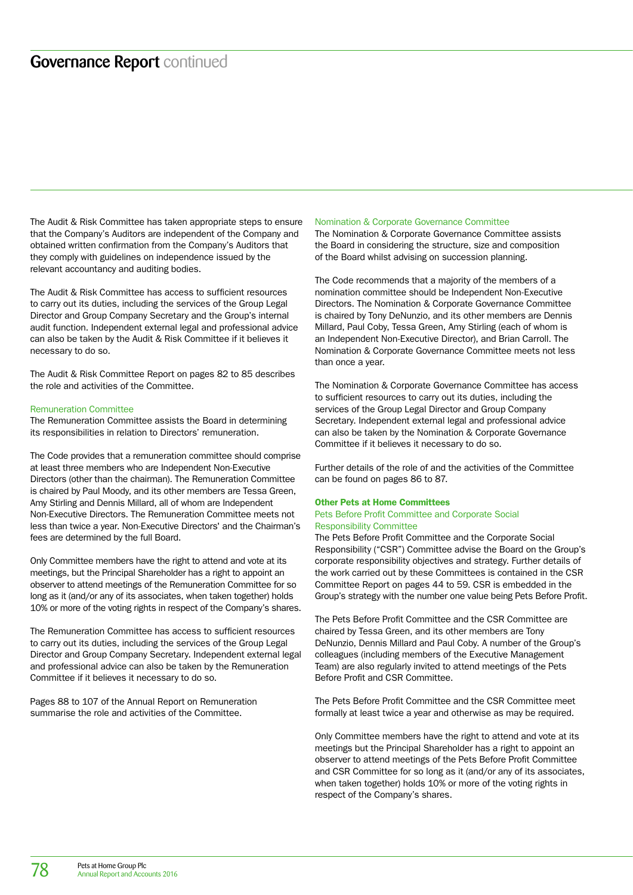## **Governance Report continued**

The Audit & Risk Committee has taken appropriate steps to ensure that the Company's Auditors are independent of the Company and obtained written confirmation from the Company's Auditors that they comply with guidelines on independence issued by the relevant accountancy and auditing bodies.

The Audit & Risk Committee has access to sufficient resources to carry out its duties, including the services of the Group Legal Director and Group Company Secretary and the Group's internal audit function. Independent external legal and professional advice can also be taken by the Audit & Risk Committee if it believes it necessary to do so.

The Audit & Risk Committee Report on pages 82 to 85 describes the role and activities of the Committee.

### Remuneration Committee

The Remuneration Committee assists the Board in determining its responsibilities in relation to Directors' remuneration.

The Code provides that a remuneration committee should comprise at least three members who are Independent Non-Executive Directors (other than the chairman). The Remuneration Committee is chaired by Paul Moody, and its other members are Tessa Green, Amy Stirling and Dennis Millard, all of whom are Independent Non-Executive Directors. The Remuneration Committee meets not less than twice a year. Non-Executive Directors' and the Chairman's fees are determined by the full Board.

Only Committee members have the right to attend and vote at its meetings, but the Principal Shareholder has a right to appoint an observer to attend meetings of the Remuneration Committee for so long as it (and/or any of its associates, when taken together) holds 10% or more of the voting rights in respect of the Company's shares.

The Remuneration Committee has access to sufficient resources to carry out its duties, including the services of the Group Legal Director and Group Company Secretary. Independent external legal and professional advice can also be taken by the Remuneration Committee if it believes it necessary to do so.

Pages 88 to 107 of the Annual Report on Remuneration summarise the role and activities of the Committee.

#### Nomination & Corporate Governance Committee

The Nomination & Corporate Governance Committee assists the Board in considering the structure, size and composition of the Board whilst advising on succession planning.

The Code recommends that a majority of the members of a nomination committee should be Independent Non-Executive Directors. The Nomination & Corporate Governance Committee is chaired by Tony DeNunzio, and its other members are Dennis Millard, Paul Coby, Tessa Green, Amy Stirling (each of whom is an Independent Non-Executive Director), and Brian Carroll. The Nomination & Corporate Governance Committee meets not less than once a year.

The Nomination & Corporate Governance Committee has access to sufficient resources to carry out its duties, including the services of the Group Legal Director and Group Company Secretary. Independent external legal and professional advice can also be taken by the Nomination & Corporate Governance Committee if it believes it necessary to do so.

Further details of the role of and the activities of the Committee can be found on pages 86 to 87.

### Other Pets at Home Committees

Pets Before Profit Committee and Corporate Social Responsibility Committee

The Pets Before Profit Committee and the Corporate Social Responsibility ("CSR") Committee advise the Board on the Group's corporate responsibility objectives and strategy. Further details of the work carried out by these Committees is contained in the CSR Committee Report on pages 44 to 59. CSR is embedded in the Group's strategy with the number one value being Pets Before Profit.

The Pets Before Profit Committee and the CSR Committee are chaired by Tessa Green, and its other members are Tony DeNunzio, Dennis Millard and Paul Coby. A number of the Group's colleagues (including members of the Executive Management Team) are also regularly invited to attend meetings of the Pets Before Profit and CSR Committee.

The Pets Before Profit Committee and the CSR Committee meet formally at least twice a year and otherwise as may be required.

Only Committee members have the right to attend and vote at its meetings but the Principal Shareholder has a right to appoint an observer to attend meetings of the Pets Before Profit Committee and CSR Committee for so long as it (and/or any of its associates, when taken together) holds 10% or more of the voting rights in respect of the Company's shares.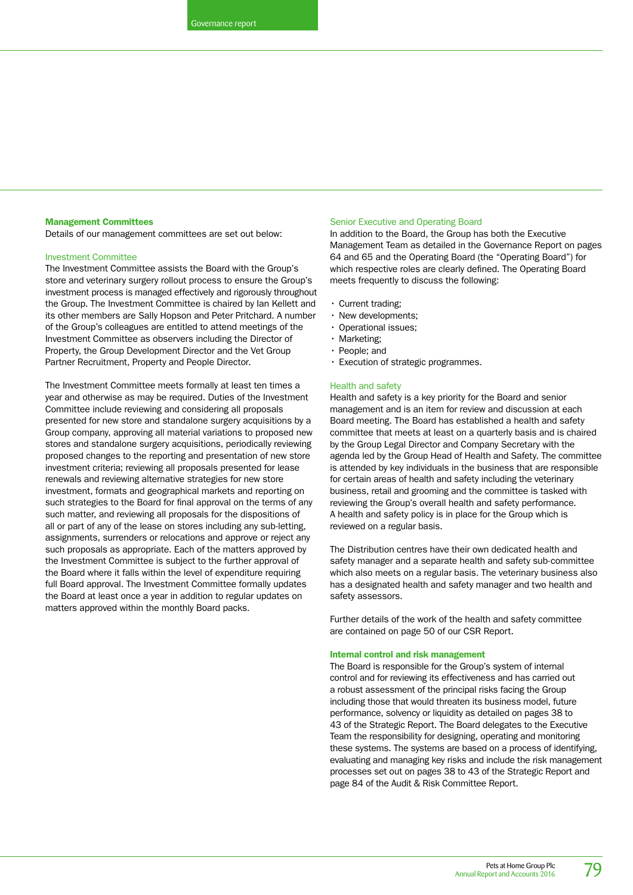### Management Committees

Details of our management committees are set out below:

### Investment Committee

The Investment Committee assists the Board with the Group's store and veterinary surgery rollout process to ensure the Group's investment process is managed effectively and rigorously throughout the Group. The Investment Committee is chaired by Ian Kellett and its other members are Sally Hopson and Peter Pritchard. A number of the Group's colleagues are entitled to attend meetings of the Investment Committee as observers including the Director of Property, the Group Development Director and the Vet Group Partner Recruitment, Property and People Director.

The Investment Committee meets formally at least ten times a year and otherwise as may be required. Duties of the Investment Committee include reviewing and considering all proposals presented for new store and standalone surgery acquisitions by a Group company, approving all material variations to proposed new stores and standalone surgery acquisitions, periodically reviewing proposed changes to the reporting and presentation of new store investment criteria; reviewing all proposals presented for lease renewals and reviewing alternative strategies for new store investment, formats and geographical markets and reporting on such strategies to the Board for final approval on the terms of any such matter, and reviewing all proposals for the dispositions of all or part of any of the lease on stores including any sub-letting, assignments, surrenders or relocations and approve or reject any such proposals as appropriate. Each of the matters approved by the Investment Committee is subject to the further approval of the Board where it falls within the level of expenditure requiring full Board approval. The Investment Committee formally updates the Board at least once a year in addition to regular updates on matters approved within the monthly Board packs.

### Senior Executive and Operating Board

In addition to the Board, the Group has both the Executive Management Team as detailed in the Governance Report on pages 64 and 65 and the Operating Board (the "Operating Board") for which respective roles are clearly defined. The Operating Board meets frequently to discuss the following:

- Current trading;
- New developments;
- Operational issues;
- Marketing;
- People; and
- Execution of strategic programmes.

### Health and safety

Health and safety is a key priority for the Board and senior management and is an item for review and discussion at each Board meeting. The Board has established a health and safety committee that meets at least on a quarterly basis and is chaired by the Group Legal Director and Company Secretary with the agenda led by the Group Head of Health and Safety. The committee is attended by key individuals in the business that are responsible for certain areas of health and safety including the veterinary business, retail and grooming and the committee is tasked with reviewing the Group's overall health and safety performance. A health and safety policy is in place for the Group which is reviewed on a regular basis.

The Distribution centres have their own dedicated health and safety manager and a separate health and safety sub-committee which also meets on a regular basis. The veterinary business also has a designated health and safety manager and two health and safety assessors.

Further details of the work of the health and safety committee are contained on page 50 of our CSR Report.

### Internal control and risk management

The Board is responsible for the Group's system of internal control and for reviewing its effectiveness and has carried out a robust assessment of the principal risks facing the Group including those that would threaten its business model, future performance, solvency or liquidity as detailed on pages 38 to 43 of the Strategic Report. The Board delegates to the Executive Team the responsibility for designing, operating and monitoring these systems. The systems are based on a process of identifying, evaluating and managing key risks and include the risk management processes set out on pages 38 to 43 of the Strategic Report and page 84 of the Audit & Risk Committee Report.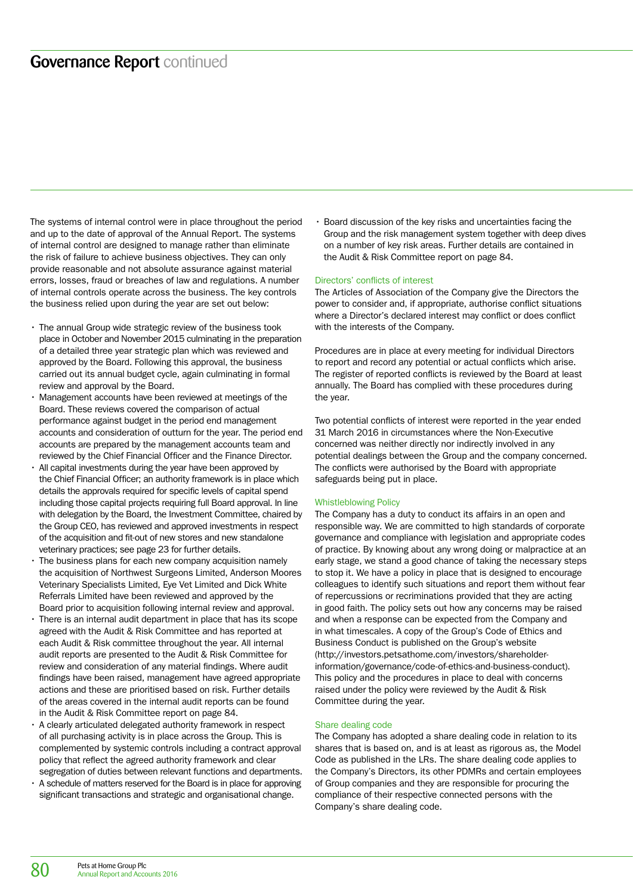## **Governance Report continued**

The systems of internal control were in place throughout the period and up to the date of approval of the Annual Report. The systems of internal control are designed to manage rather than eliminate the risk of failure to achieve business objectives. They can only provide reasonable and not absolute assurance against material errors, losses, fraud or breaches of law and regulations. A number of internal controls operate across the business. The key controls the business relied upon during the year are set out below:

- The annual Group wide strategic review of the business took place in October and November 2015 culminating in the preparation of a detailed three year strategic plan which was reviewed and approved by the Board. Following this approval, the business carried out its annual budget cycle, again culminating in formal review and approval by the Board.
- Management accounts have been reviewed at meetings of the Board. These reviews covered the comparison of actual performance against budget in the period end management accounts and consideration of outturn for the year. The period end accounts are prepared by the management accounts team and reviewed by the Chief Financial Officer and the Finance Director.
- All capital investments during the year have been approved by the Chief Financial Officer; an authority framework is in place which details the approvals required for specific levels of capital spend including those capital projects requiring full Board approval. In line with delegation by the Board, the Investment Committee, chaired by the Group CEO, has reviewed and approved investments in respect of the acquisition and fit-out of new stores and new standalone veterinary practices; see page 23 for further details.
- The business plans for each new company acquisition namely the acquisition of Northwest Surgeons Limited, Anderson Moores Veterinary Specialists Limited, Eye Vet Limited and Dick White Referrals Limited have been reviewed and approved by the Board prior to acquisition following internal review and approval.
- There is an internal audit department in place that has its scope agreed with the Audit & Risk Committee and has reported at each Audit & Risk committee throughout the year. All internal audit reports are presented to the Audit & Risk Committee for review and consideration of any material findings. Where audit findings have been raised, management have agreed appropriate actions and these are prioritised based on risk. Further details of the areas covered in the internal audit reports can be found in the Audit & Risk Committee report on page 84.
- A clearly articulated delegated authority framework in respect of all purchasing activity is in place across the Group. This is complemented by systemic controls including a contract approval policy that reflect the agreed authority framework and clear segregation of duties between relevant functions and departments.
- A schedule of matters reserved for the Board is in place for approving significant transactions and strategic and organisational change.

• Board discussion of the key risks and uncertainties facing the Group and the risk management system together with deep dives on a number of key risk areas. Further details are contained in the Audit & Risk Committee report on page 84.

### Directors' conflicts of interest

The Articles of Association of the Company give the Directors the power to consider and, if appropriate, authorise conflict situations where a Director's declared interest may conflict or does conflict with the interests of the Company.

Procedures are in place at every meeting for individual Directors to report and record any potential or actual conflicts which arise. The register of reported conflicts is reviewed by the Board at least annually. The Board has complied with these procedures during the year.

Two potential conflicts of interest were reported in the year ended 31 March 2016 in circumstances where the Non-Executive concerned was neither directly nor indirectly involved in any potential dealings between the Group and the company concerned. The conflicts were authorised by the Board with appropriate safeguards being put in place.

### Whistleblowing Policy

The Company has a duty to conduct its affairs in an open and responsible way. We are committed to high standards of corporate governance and compliance with legislation and appropriate codes of practice. By knowing about any wrong doing or malpractice at an early stage, we stand a good chance of taking the necessary steps to stop it. We have a policy in place that is designed to encourage colleagues to identify such situations and report them without fear of repercussions or recriminations provided that they are acting in good faith. The policy sets out how any concerns may be raised and when a response can be expected from the Company and in what timescales. A copy of the Group's Code of Ethics and Business Conduct is published on the Group's website (http://investors.petsathome.com/investors/shareholderinformation/governance/code-of-ethics-and-business-conduct). This policy and the procedures in place to deal with concerns raised under the policy were reviewed by the Audit & Risk Committee during the year.

### Share dealing code

The Company has adopted a share dealing code in relation to its shares that is based on, and is at least as rigorous as, the Model Code as published in the LRs. The share dealing code applies to the Company's Directors, its other PDMRs and certain employees of Group companies and they are responsible for procuring the compliance of their respective connected persons with the Company's share dealing code.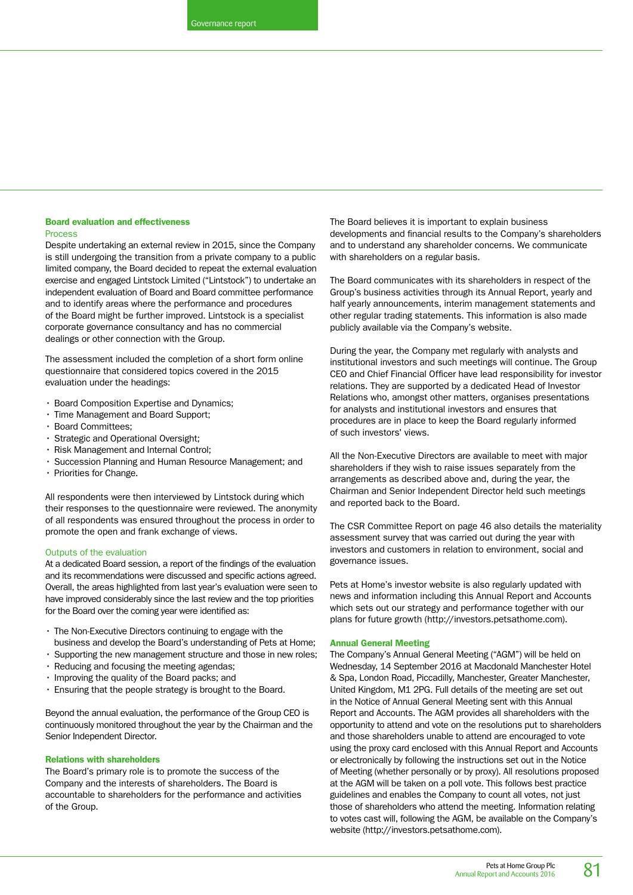### Board evaluation and effectiveness Process

Despite undertaking an external review in 2015, since the Company is still undergoing the transition from a private company to a public limited company, the Board decided to repeat the external evaluation exercise and engaged Lintstock Limited ("Lintstock") to undertake an independent evaluation of Board and Board committee performance and to identify areas where the performance and procedures of the Board might be further improved. Lintstock is a specialist corporate governance consultancy and has no commercial dealings or other connection with the Group.

The assessment included the completion of a short form online questionnaire that considered topics covered in the 2015 evaluation under the headings:

- Board Composition Expertise and Dynamics;
- Time Management and Board Support;
- Board Committees;
- Strategic and Operational Oversight;
- Risk Management and Internal Control;
- Succession Planning and Human Resource Management; and
- Priorities for Change.

All respondents were then interviewed by Lintstock during which their responses to the questionnaire were reviewed. The anonymity of all respondents was ensured throughout the process in order to promote the open and frank exchange of views.

### Outputs of the evaluation

At a dedicated Board session, a report of the findings of the evaluation and its recommendations were discussed and specific actions agreed. Overall, the areas highlighted from last year's evaluation were seen to have improved considerably since the last review and the top priorities for the Board over the coming year were identified as:

- The Non-Executive Directors continuing to engage with the business and develop the Board's understanding of Pets at Home;
- Supporting the new management structure and those in new roles;
- Reducing and focusing the meeting agendas;
- Improving the quality of the Board packs; and
- Ensuring that the people strategy is brought to the Board.

Beyond the annual evaluation, the performance of the Group CEO is continuously monitored throughout the year by the Chairman and the Senior Independent Director.

### Relations with shareholders

The Board's primary role is to promote the success of the Company and the interests of shareholders. The Board is accountable to shareholders for the performance and activities of the Group.

The Board believes it is important to explain business developments and financial results to the Company's shareholders and to understand any shareholder concerns. We communicate with shareholders on a regular basis.

The Board communicates with its shareholders in respect of the Group's business activities through its Annual Report, yearly and half yearly announcements, interim management statements and other regular trading statements. This information is also made publicly available via the Company's website.

During the year, the Company met regularly with analysts and institutional investors and such meetings will continue. The Group CEO and Chief Financial Officer have lead responsibility for investor relations. They are supported by a dedicated Head of Investor Relations who, amongst other matters, organises presentations for analysts and institutional investors and ensures that procedures are in place to keep the Board regularly informed of such investors' views.

All the Non-Executive Directors are available to meet with major shareholders if they wish to raise issues separately from the arrangements as described above and, during the year, the Chairman and Senior Independent Director held such meetings and reported back to the Board.

The CSR Committee Report on page 46 also details the materiality assessment survey that was carried out during the year with investors and customers in relation to environment, social and governance issues.

Pets at Home's investor website is also regularly updated with news and information including this Annual Report and Accounts which sets out our strategy and performance together with our plans for future growth (http://investors.petsathome.com).

### Annual General Meeting

The Company's Annual General Meeting ("AGM") will be held on Wednesday, 14 September 2016 at Macdonald Manchester Hotel & Spa, London Road, Piccadilly, Manchester, Greater Manchester, United Kingdom, M1 2PG. Full details of the meeting are set out in the Notice of Annual General Meeting sent with this Annual Report and Accounts. The AGM provides all shareholders with the opportunity to attend and vote on the resolutions put to shareholders and those shareholders unable to attend are encouraged to vote using the proxy card enclosed with this Annual Report and Accounts or electronically by following the instructions set out in the Notice of Meeting (whether personally or by proxy). All resolutions proposed at the AGM will be taken on a poll vote. This follows best practice guidelines and enables the Company to count all votes, not just those of shareholders who attend the meeting. Information relating to votes cast will, following the AGM, be available on the Company's website (http://investors.petsathome.com).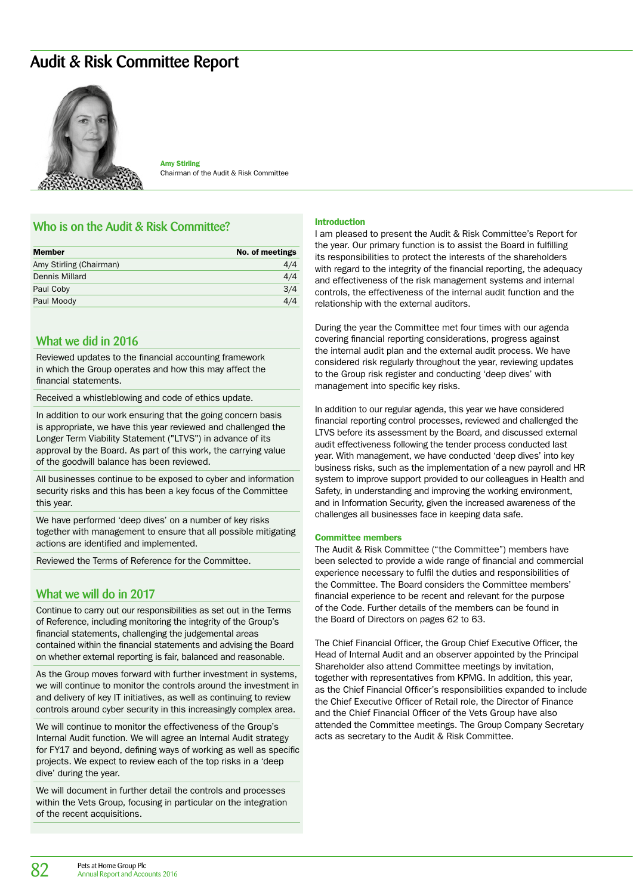## Audit & Risk Committee Report



Amy Stirling Chairman of the Audit & Risk Committee

### Who is on the Audit & Risk Committee?

| <b>Member</b>           | No. of meetings |
|-------------------------|-----------------|
| Amy Stirling (Chairman) | 4/4             |
| Dennis Millard          | 4/4             |
| Paul Coby               | 3/4             |
| Paul Moody              |                 |

### What we did in 2016

Reviewed updates to the financial accounting framework in which the Group operates and how this may affect the financial statements.

Received a whistleblowing and code of ethics update.

In addition to our work ensuring that the going concern basis is appropriate, we have this year reviewed and challenged the Longer Term Viability Statement ("LTVS") in advance of its approval by the Board. As part of this work, the carrying value of the goodwill balance has been reviewed.

All businesses continue to be exposed to cyber and information security risks and this has been a key focus of the Committee this year.

We have performed 'deep dives' on a number of key risks together with management to ensure that all possible mitigating actions are identified and implemented.

Reviewed the Terms of Reference for the Committee.

### What we will do in 2017

Continue to carry out our responsibilities as set out in the Terms of Reference, including monitoring the integrity of the Group's financial statements, challenging the judgemental areas contained within the financial statements and advising the Board on whether external reporting is fair, balanced and reasonable.

As the Group moves forward with further investment in systems, we will continue to monitor the controls around the investment in and delivery of key IT initiatives, as well as continuing to review controls around cyber security in this increasingly complex area.

We will continue to monitor the effectiveness of the Group's Internal Audit function. We will agree an Internal Audit strategy for FY17 and beyond, defining ways of working as well as specific projects. We expect to review each of the top risks in a 'deep dive' during the year.

We will document in further detail the controls and processes within the Vets Group, focusing in particular on the integration of the recent acquisitions.

### Introduction

I am pleased to present the Audit & Risk Committee's Report for the year. Our primary function is to assist the Board in fulfilling its responsibilities to protect the interests of the shareholders with regard to the integrity of the financial reporting, the adequacy and effectiveness of the risk management systems and internal controls, the effectiveness of the internal audit function and the relationship with the external auditors.

During the year the Committee met four times with our agenda covering financial reporting considerations, progress against the internal audit plan and the external audit process. We have considered risk regularly throughout the year, reviewing updates to the Group risk register and conducting 'deep dives' with management into specific key risks.

In addition to our regular agenda, this year we have considered financial reporting control processes, reviewed and challenged the LTVS before its assessment by the Board, and discussed external audit effectiveness following the tender process conducted last year. With management, we have conducted 'deep dives' into key business risks, such as the implementation of a new payroll and HR system to improve support provided to our colleagues in Health and Safety, in understanding and improving the working environment, and in Information Security, given the increased awareness of the challenges all businesses face in keeping data safe.

### Committee members

The Audit & Risk Committee ("the Committee") members have been selected to provide a wide range of financial and commercial experience necessary to fulfil the duties and responsibilities of the Committee. The Board considers the Committee members' financial experience to be recent and relevant for the purpose of the Code. Further details of the members can be found in the Board of Directors on pages 62 to 63.

The Chief Financial Officer, the Group Chief Executive Officer, the Head of Internal Audit and an observer appointed by the Principal Shareholder also attend Committee meetings by invitation, together with representatives from KPMG. In addition, this year, as the Chief Financial Officer's responsibilities expanded to include the Chief Executive Officer of Retail role, the Director of Finance and the Chief Financial Officer of the Vets Group have also attended the Committee meetings. The Group Company Secretary acts as secretary to the Audit & Risk Committee.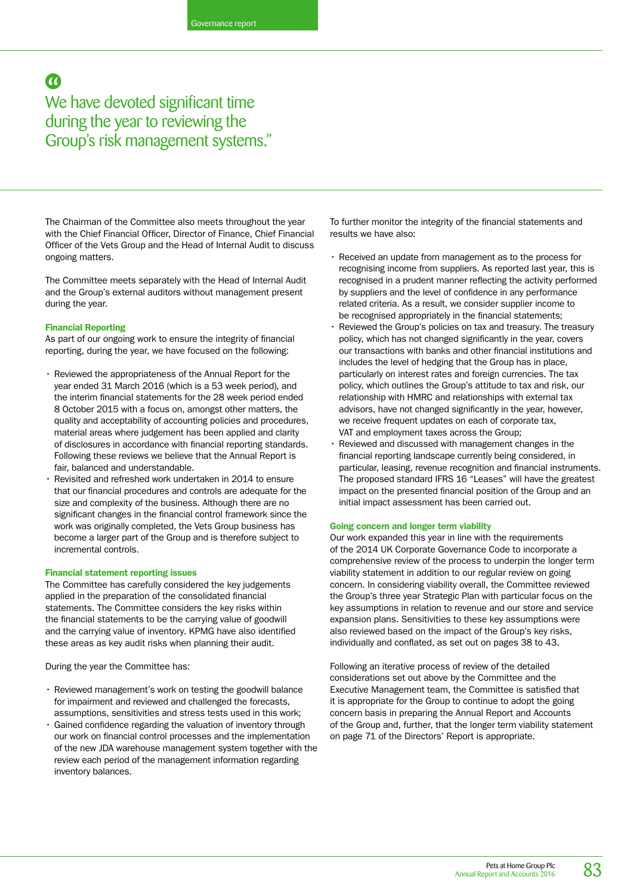## **Q** We have devoted significant time during the year to reviewing the Group's risk management systems."

The Chairman of the Committee also meets throughout the year with the Chief Financial Officer, Director of Finance, Chief Financial Officer of the Vets Group and the Head of Internal Audit to discuss ongoing matters.

The Committee meets separately with the Head of Internal Audit and the Group's external auditors without management present during the year.

### Financial Reporting

As part of our ongoing work to ensure the integrity of financial reporting, during the year, we have focused on the following:

- Reviewed the appropriateness of the Annual Report for the year ended 31 March 2016 (which is a 53 week period), and the interim financial statements for the 28 week period ended 8 October 2015 with a focus on, amongst other matters, the quality and acceptability of accounting policies and procedures, material areas where judgement has been applied and clarity of disclosures in accordance with financial reporting standards. Following these reviews we believe that the Annual Report is fair, balanced and understandable.
- Revisited and refreshed work undertaken in 2014 to ensure that our financial procedures and controls are adequate for the size and complexity of the business. Although there are no significant changes in the financial control framework since the work was originally completed, the Vets Group business has become a larger part of the Group and is therefore subject to incremental controls.

### Financial statement reporting issues

The Committee has carefully considered the key judgements applied in the preparation of the consolidated financial statements. The Committee considers the key risks within the financial statements to be the carrying value of goodwill and the carrying value of inventory. KPMG have also identified these areas as key audit risks when planning their audit.

During the year the Committee has:

- Reviewed management's work on testing the goodwill balance for impairment and reviewed and challenged the forecasts, assumptions, sensitivities and stress tests used in this work;
- Gained confidence regarding the valuation of inventory through our work on financial control processes and the implementation of the new JDA warehouse management system together with the review each period of the management information regarding inventory balances.

To further monitor the integrity of the financial statements and results we have also:

- Received an update from management as to the process for recognising income from suppliers. As reported last year, this is recognised in a prudent manner reflecting the activity performed by suppliers and the level of confidence in any performance related criteria. As a result, we consider supplier income to be recognised appropriately in the financial statements;
- Reviewed the Group's policies on tax and treasury. The treasury policy, which has not changed significantly in the year, covers our transactions with banks and other financial institutions and includes the level of hedging that the Group has in place, particularly on interest rates and foreign currencies. The tax policy, which outlines the Group's attitude to tax and risk, our relationship with HMRC and relationships with external tax advisors, have not changed significantly in the year, however, we receive frequent updates on each of corporate tax, VAT and employment taxes across the Group;
- Reviewed and discussed with management changes in the financial reporting landscape currently being considered, in particular, leasing, revenue recognition and financial instruments. The proposed standard IFRS 16 "Leases" will have the greatest impact on the presented financial position of the Group and an initial impact assessment has been carried out.

### Going concern and longer term viability

Our work expanded this year in line with the requirements of the 2014 UK Corporate Governance Code to incorporate a comprehensive review of the process to underpin the longer term viability statement in addition to our regular review on going concern. In considering viability overall, the Committee reviewed the Group's three year Strategic Plan with particular focus on the key assumptions in relation to revenue and our store and service expansion plans. Sensitivities to these key assumptions were also reviewed based on the impact of the Group's key risks, individually and conflated, as set out on pages 38 to 43.

Following an iterative process of review of the detailed considerations set out above by the Committee and the Executive Management team, the Committee is satisfied that it is appropriate for the Group to continue to adopt the going concern basis in preparing the Annual Report and Accounts of the Group and, further, that the longer term viability statement on page 71 of the Directors' Report is appropriate.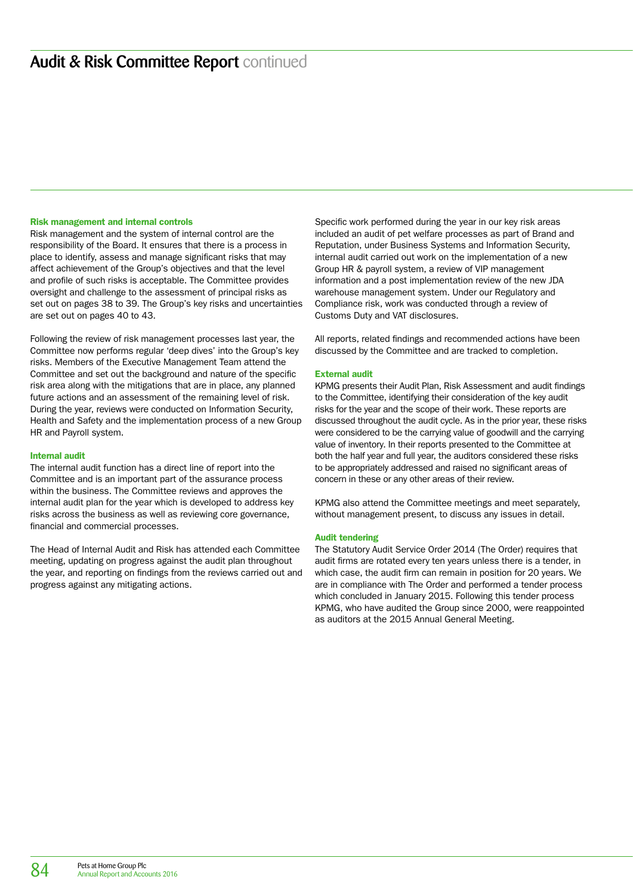## Audit & Risk Committee Report continued

### Risk management and internal controls

Risk management and the system of internal control are the responsibility of the Board. It ensures that there is a process in place to identify, assess and manage significant risks that may affect achievement of the Group's objectives and that the level and profile of such risks is acceptable. The Committee provides oversight and challenge to the assessment of principal risks as set out on pages 38 to 39. The Group's key risks and uncertainties are set out on pages 40 to 43.

Following the review of risk management processes last year, the Committee now performs regular 'deep dives' into the Group's key risks. Members of the Executive Management Team attend the Committee and set out the background and nature of the specific risk area along with the mitigations that are in place, any planned future actions and an assessment of the remaining level of risk. During the year, reviews were conducted on Information Security, Health and Safety and the implementation process of a new Group HR and Payroll system.

### Internal audit

The internal audit function has a direct line of report into the Committee and is an important part of the assurance process within the business. The Committee reviews and approves the internal audit plan for the year which is developed to address key risks across the business as well as reviewing core governance, financial and commercial processes.

The Head of Internal Audit and Risk has attended each Committee meeting, updating on progress against the audit plan throughout the year, and reporting on findings from the reviews carried out and progress against any mitigating actions.

Specific work performed during the year in our key risk areas included an audit of pet welfare processes as part of Brand and Reputation, under Business Systems and Information Security, internal audit carried out work on the implementation of a new Group HR & payroll system, a review of VIP management information and a post implementation review of the new JDA warehouse management system. Under our Regulatory and Compliance risk, work was conducted through a review of Customs Duty and VAT disclosures.

All reports, related findings and recommended actions have been discussed by the Committee and are tracked to completion.

### External audit

KPMG presents their Audit Plan, Risk Assessment and audit findings to the Committee, identifying their consideration of the key audit risks for the year and the scope of their work. These reports are discussed throughout the audit cycle. As in the prior year, these risks were considered to be the carrying value of goodwill and the carrying value of inventory. In their reports presented to the Committee at both the half year and full year, the auditors considered these risks to be appropriately addressed and raised no significant areas of concern in these or any other areas of their review.

KPMG also attend the Committee meetings and meet separately, without management present, to discuss any issues in detail.

### Audit tendering

The Statutory Audit Service Order 2014 (The Order) requires that audit firms are rotated every ten years unless there is a tender, in which case, the audit firm can remain in position for 20 years. We are in compliance with The Order and performed a tender process which concluded in January 2015. Following this tender process KPMG, who have audited the Group since 2000, were reappointed as auditors at the 2015 Annual General Meeting.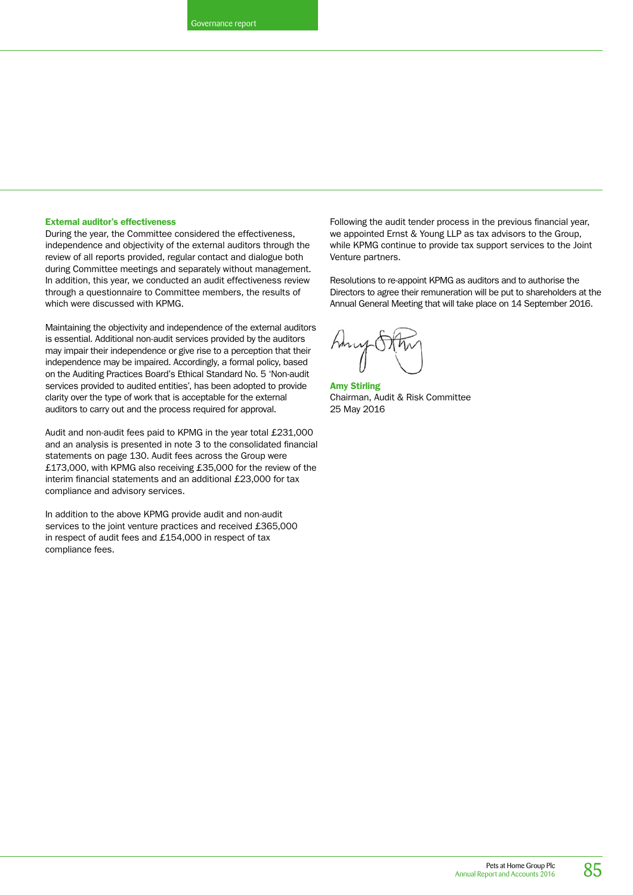### External auditor's effectiveness

During the year, the Committee considered the effectiveness, independence and objectivity of the external auditors through the review of all reports provided, regular contact and dialogue both during Committee meetings and separately without management. In addition, this year, we conducted an audit effectiveness review through a questionnaire to Committee members, the results of which were discussed with KPMG.

Maintaining the objectivity and independence of the external auditors is essential. Additional non-audit services provided by the auditors may impair their independence or give rise to a perception that their independence may be impaired. Accordingly, a formal policy, based on the Auditing Practices Board's Ethical Standard No. 5 'Non-audit services provided to audited entities', has been adopted to provide clarity over the type of work that is acceptable for the external auditors to carry out and the process required for approval.

Audit and non-audit fees paid to KPMG in the year total £231,000 and an analysis is presented in note 3 to the consolidated financial statements on page 130. Audit fees across the Group were £173,000, with KPMG also receiving £35,000 for the review of the interim financial statements and an additional £23,000 for tax compliance and advisory services.

In addition to the above KPMG provide audit and non-audit services to the joint venture practices and received £365,000 in respect of audit fees and £154,000 in respect of tax compliance fees.

Following the audit tender process in the previous financial year, we appointed Ernst & Young LLP as tax advisors to the Group, while KPMG continue to provide tax support services to the Joint Venture partners.

Resolutions to re-appoint KPMG as auditors and to authorise the Directors to agree their remuneration will be put to shareholders at the Annual General Meeting that will take place on 14 September 2016.

Amy Stirling Chairman, Audit & Risk Committee 25 May 2016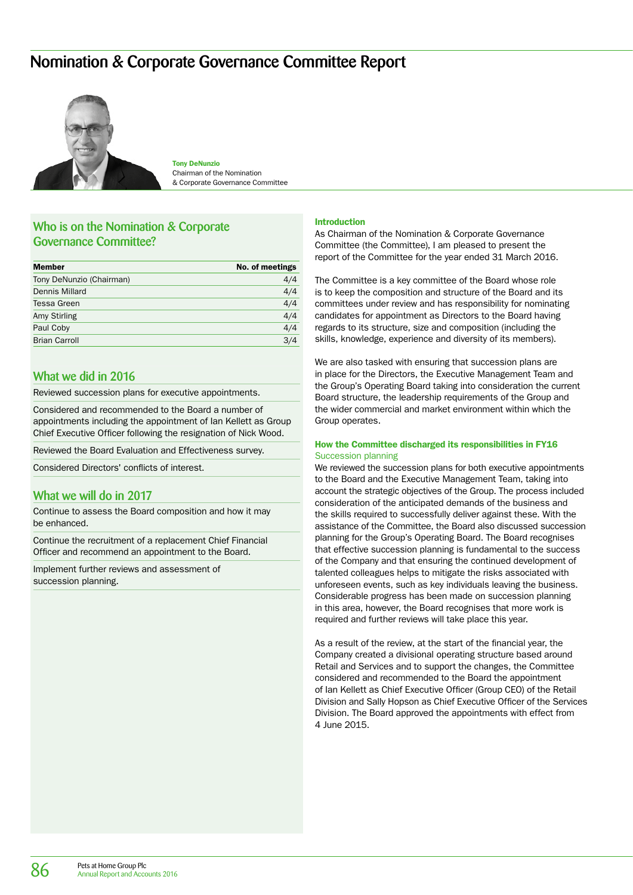## Nomination & Corporate Governance Committee Report



Tony DeNunzio Chairman of the Nomination & Corporate Governance Committee

### Who is on the Nomination & Corporate Governance Committee?

| <b>Member</b>            | No. of meetings |
|--------------------------|-----------------|
| Tony DeNunzio (Chairman) | 4/4             |
| Dennis Millard           | 4/4             |
| <b>Tessa Green</b>       | 4/4             |
| Amy Stirling             | 4/4             |
| Paul Coby                | 4/4             |
| <b>Brian Carroll</b>     | 3/4             |

### What we did in 2016

Reviewed succession plans for executive appointments.

Considered and recommended to the Board a number of appointments including the appointment of Ian Kellett as Group Chief Executive Officer following the resignation of Nick Wood.

Reviewed the Board Evaluation and Effectiveness survey.

Considered Directors' conflicts of interest.

### What we will do in 2017

Continue to assess the Board composition and how it may be enhanced.

Continue the recruitment of a replacement Chief Financial Officer and recommend an appointment to the Board.

Implement further reviews and assessment of succession planning.

### Introduction

As Chairman of the Nomination & Corporate Governance Committee (the Committee), I am pleased to present the report of the Committee for the year ended 31 March 2016.

The Committee is a key committee of the Board whose role is to keep the composition and structure of the Board and its committees under review and has responsibility for nominating candidates for appointment as Directors to the Board having regards to its structure, size and composition (including the skills, knowledge, experience and diversity of its members).

We are also tasked with ensuring that succession plans are in place for the Directors, the Executive Management Team and the Group's Operating Board taking into consideration the current Board structure, the leadership requirements of the Group and the wider commercial and market environment within which the Group operates.

### How the Committee discharged its responsibilities in FY16 Succession planning

We reviewed the succession plans for both executive appointments to the Board and the Executive Management Team, taking into account the strategic objectives of the Group. The process included consideration of the anticipated demands of the business and the skills required to successfully deliver against these. With the assistance of the Committee, the Board also discussed succession planning for the Group's Operating Board. The Board recognises that effective succession planning is fundamental to the success of the Company and that ensuring the continued development of talented colleagues helps to mitigate the risks associated with unforeseen events, such as key individuals leaving the business. Considerable progress has been made on succession planning in this area, however, the Board recognises that more work is required and further reviews will take place this year.

As a result of the review, at the start of the financial year, the Company created a divisional operating structure based around Retail and Services and to support the changes, the Committee considered and recommended to the Board the appointment of Ian Kellett as Chief Executive Officer (Group CEO) of the Retail Division and Sally Hopson as Chief Executive Officer of the Services Division. The Board approved the appointments with effect from 4 June 2015.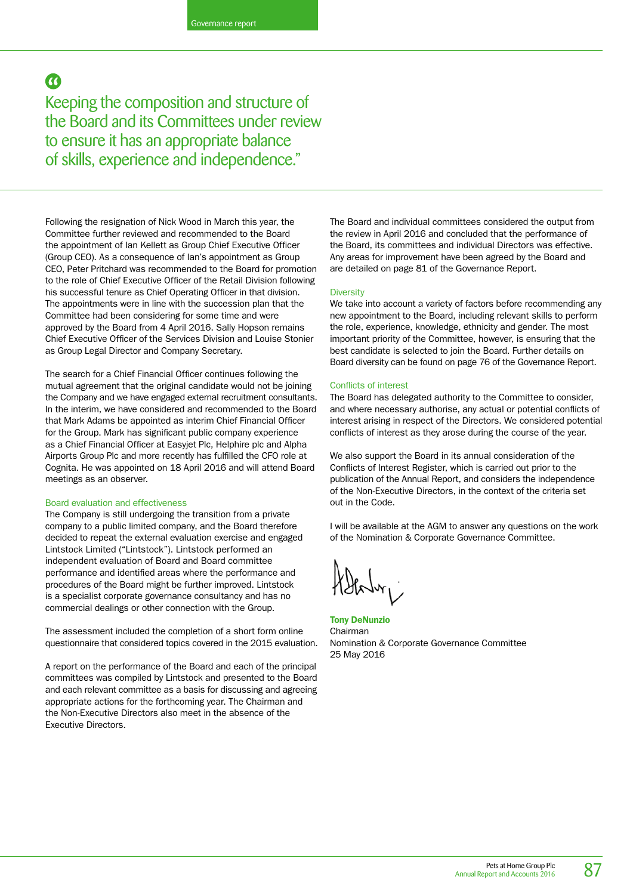# **Q**

Keeping the composition and structure of the Board and its Committees under review to ensure it has an appropriate balance of skills, experience and independence."

Following the resignation of Nick Wood in March this year, the Committee further reviewed and recommended to the Board the appointment of Ian Kellett as Group Chief Executive Officer (Group CEO). As a consequence of Ian's appointment as Group CEO, Peter Pritchard was recommended to the Board for promotion to the role of Chief Executive Officer of the Retail Division following his successful tenure as Chief Operating Officer in that division. The appointments were in line with the succession plan that the Committee had been considering for some time and were approved by the Board from 4 April 2016. Sally Hopson remains Chief Executive Officer of the Services Division and Louise Stonier as Group Legal Director and Company Secretary.

The search for a Chief Financial Officer continues following the mutual agreement that the original candidate would not be joining the Company and we have engaged external recruitment consultants. In the interim, we have considered and recommended to the Board that Mark Adams be appointed as interim Chief Financial Officer for the Group. Mark has significant public company experience as a Chief Financial Officer at Easyjet Plc, Helphire plc and Alpha Airports Group Plc and more recently has fulfilled the CFO role at Cognita. He was appointed on 18 April 2016 and will attend Board meetings as an observer.

### Board evaluation and effectiveness

The Company is still undergoing the transition from a private company to a public limited company, and the Board therefore decided to repeat the external evaluation exercise and engaged Lintstock Limited ("Lintstock"). Lintstock performed an independent evaluation of Board and Board committee performance and identified areas where the performance and procedures of the Board might be further improved. Lintstock is a specialist corporate governance consultancy and has no commercial dealings or other connection with the Group.

The assessment included the completion of a short form online questionnaire that considered topics covered in the 2015 evaluation.

A report on the performance of the Board and each of the principal committees was compiled by Lintstock and presented to the Board and each relevant committee as a basis for discussing and agreeing appropriate actions for the forthcoming year. The Chairman and the Non-Executive Directors also meet in the absence of the Executive Directors.

The Board and individual committees considered the output from the review in April 2016 and concluded that the performance of the Board, its committees and individual Directors was effective. Any areas for improvement have been agreed by the Board and are detailed on page 81 of the Governance Report.

### **Diversity**

We take into account a variety of factors before recommending any new appointment to the Board, including relevant skills to perform the role, experience, knowledge, ethnicity and gender. The most important priority of the Committee, however, is ensuring that the best candidate is selected to join the Board. Further details on Board diversity can be found on page 76 of the Governance Report.

### Conflicts of interest

The Board has delegated authority to the Committee to consider, and where necessary authorise, any actual or potential conflicts of interest arising in respect of the Directors. We considered potential conflicts of interest as they arose during the course of the year.

We also support the Board in its annual consideration of the Conflicts of Interest Register, which is carried out prior to the publication of the Annual Report, and considers the independence of the Non-Executive Directors, in the context of the criteria set out in the Code.

I will be available at the AGM to answer any questions on the work of the Nomination & Corporate Governance Committee.

Tony DeNunzio Chairman Nomination & Corporate Governance Committee 25 May 2016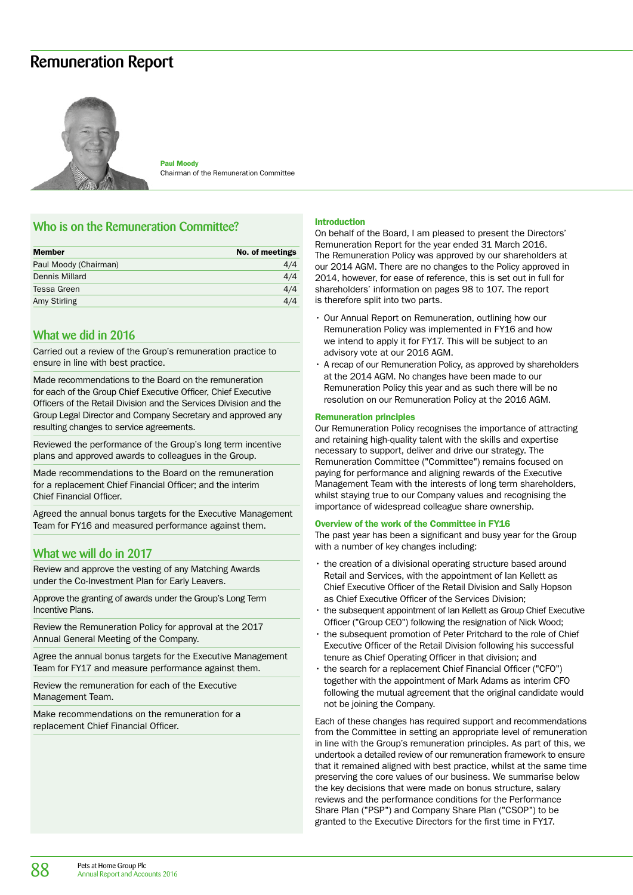## Remuneration Report



Paul Moody Chairman of the Remuneration Committee

### Who is on the Remuneration Committee?

| <b>Member</b>         | No. of meetings |
|-----------------------|-----------------|
| Paul Moody (Chairman) | 4/4             |
| Dennis Millard        | 4/4             |
| Tessa Green           | 4/4             |
| Amy Stirling          |                 |

### What we did in 2016

Carried out a review of the Group's remuneration practice to ensure in line with best practice.

Made recommendations to the Board on the remuneration for each of the Group Chief Executive Officer, Chief Executive Officers of the Retail Division and the Services Division and the Group Legal Director and Company Secretary and approved any resulting changes to service agreements.

Reviewed the performance of the Group's long term incentive plans and approved awards to colleagues in the Group.

Made recommendations to the Board on the remuneration for a replacement Chief Financial Officer; and the interim Chief Financial Officer.

Agreed the annual bonus targets for the Executive Management Team for FY16 and measured performance against them.

### What we will do in 2017

Review and approve the vesting of any Matching Awards under the Co-Investment Plan for Early Leavers.

Approve the granting of awards under the Group's Long Term Incentive Plans.

Review the Remuneration Policy for approval at the 2017 Annual General Meeting of the Company.

Agree the annual bonus targets for the Executive Management Team for FY17 and measure performance against them.

Review the remuneration for each of the Executive Management Team.

Make recommendations on the remuneration for a replacement Chief Financial Officer.

### Introduction

On behalf of the Board, I am pleased to present the Directors' Remuneration Report for the year ended 31 March 2016. The Remuneration Policy was approved by our shareholders at our 2014 AGM. There are no changes to the Policy approved in 2014, however, for ease of reference, this is set out in full for shareholders' information on pages 98 to 107. The report is therefore split into two parts.

- Our Annual Report on Remuneration, outlining how our Remuneration Policy was implemented in FY16 and how we intend to apply it for FY17. This will be subject to an advisory vote at our 2016 AGM.
- A recap of our Remuneration Policy, as approved by shareholders at the 2014 AGM. No changes have been made to our Remuneration Policy this year and as such there will be no resolution on our Remuneration Policy at the 2016 AGM.

### Remuneration principles

Our Remuneration Policy recognises the importance of attracting and retaining high-quality talent with the skills and expertise necessary to support, deliver and drive our strategy. The Remuneration Committee ("Committee") remains focused on paying for performance and aligning rewards of the Executive Management Team with the interests of long term shareholders, whilst staying true to our Company values and recognising the importance of widespread colleague share ownership.

### Overview of the work of the Committee in FY16

The past year has been a significant and busy year for the Group with a number of key changes including:

- the creation of a divisional operating structure based around Retail and Services, with the appointment of Ian Kellett as Chief Executive Officer of the Retail Division and Sally Hopson as Chief Executive Officer of the Services Division;
- the subsequent appointment of Ian Kellett as Group Chief Executive Officer ("Group CEO") following the resignation of Nick Wood;
- the subsequent promotion of Peter Pritchard to the role of Chief Executive Officer of the Retail Division following his successful tenure as Chief Operating Officer in that division; and
- the search for a replacement Chief Financial Officer ("CFO") together with the appointment of Mark Adams as interim CFO following the mutual agreement that the original candidate would not be joining the Company.

Each of these changes has required support and recommendations from the Committee in setting an appropriate level of remuneration in line with the Group's remuneration principles. As part of this, we undertook a detailed review of our remuneration framework to ensure that it remained aligned with best practice, whilst at the same time preserving the core values of our business. We summarise below the key decisions that were made on bonus structure, salary reviews and the performance conditions for the Performance Share Plan ("PSP") and Company Share Plan ("CSOP") to be granted to the Executive Directors for the first time in FY17.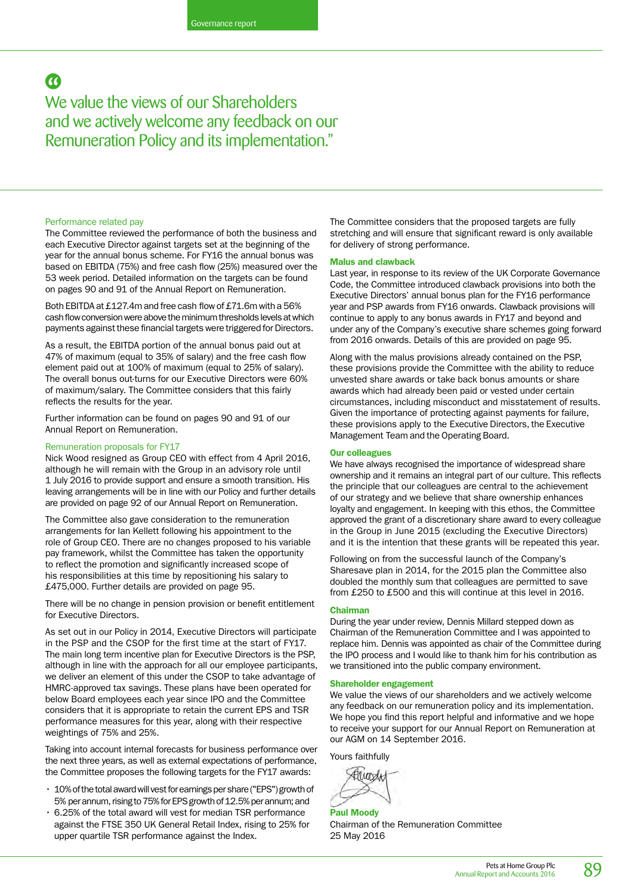# **Q**

We value the views of our Shareholders and we actively welcome any feedback on our Remuneration Policy and its implementation."

### Performance related pay

The Committee reviewed the performance of both the business and each Executive Director against targets set at the beginning of the year for the annual bonus scheme. For FY16 the annual bonus was based on EBITDA (75%) and free cash flow (25%) measured over the 53 week period. Detailed information on the targets can be found on pages 90 and 91 of the Annual Report on Remuneration.

Both EBITDA at £127.4m and free cash flow of £71.6m with a 56% cash flow conversion were above the minimum thresholds levels at which payments against these financial targets were triggered for Directors.

As a result, the EBITDA portion of the annual bonus paid out at 47% of maximum (equal to 35% of salary) and the free cash flow element paid out at 100% of maximum (equal to 25% of salary). The overall bonus out-turns for our Executive Directors were 60% of maximum/salary. The Committee considers that this fairly reflects the results for the year.

Further information can be found on pages 90 and 91 of our Annual Report on Remuneration.

### Remuneration proposals for FY17

Nick Wood resigned as Group CEO with effect from 4 April 2016, although he will remain with the Group in an advisory role until 1 July 2016 to provide support and ensure a smooth transition. His leaving arrangements will be in line with our Policy and further details are provided on page 92 of our Annual Report on Remuneration.

The Committee also gave consideration to the remuneration arrangements for Ian Kellett following his appointment to the role of Group CEO. There are no changes proposed to his variable pay framework, whilst the Committee has taken the opportunity to reflect the promotion and significantly increased scope of his responsibilities at this time by repositioning his salary to £475,000. Further details are provided on page 95.

There will be no change in pension provision or benefit entitlement for Executive Directors.

As set out in our Policy in 2014, Executive Directors will participate in the PSP and the CSOP for the first time at the start of FY17. The main long term incentive plan for Executive Directors is the PSP, although in line with the approach for all our employee participants, we deliver an element of this under the CSOP to take advantage of HMRC-approved tax savings. These plans have been operated for below Board employees each year since IPO and the Committee considers that it is appropriate to retain the current EPS and TSR performance measures for this year, along with their respective weightings of 75% and 25%.

Taking into account internal forecasts for business performance over the next three years, as well as external expectations of performance, the Committee proposes the following targets for the FY17 awards:

- 10% of the total award will vest for earnings per share ("EPS") growth of 5% per annum, rising to 75% for EPS growth of 12.5% per annum; and
- 6.25% of the total award will vest for median TSR performance against the FTSE 350 UK General Retail Index, rising to 25% for upper quartile TSR performance against the Index.

The Committee considers that the proposed targets are fully stretching and will ensure that significant reward is only available for delivery of strong performance.

### Malus and clawback

Last year, in response to its review of the UK Corporate Governance Code, the Committee introduced clawback provisions into both the Executive Directors' annual bonus plan for the FY16 performance year and PSP awards from FY16 onwards. Clawback provisions will continue to apply to any bonus awards in FY17 and beyond and under any of the Company's executive share schemes going forward from 2016 onwards. Details of this are provided on page 95.

Along with the malus provisions already contained on the PSP, these provisions provide the Committee with the ability to reduce unvested share awards or take back bonus amounts or share awards which had already been paid or vested under certain circumstances, including misconduct and misstatement of results. Given the importance of protecting against payments for failure, these provisions apply to the Executive Directors, the Executive Management Team and the Operating Board.

### Our colleagues

We have always recognised the importance of widespread share ownership and it remains an integral part of our culture. This reflects the principle that our colleagues are central to the achievement of our strategy and we believe that share ownership enhances loyalty and engagement. In keeping with this ethos, the Committee approved the grant of a discretionary share award to every colleague in the Group in June 2015 (excluding the Executive Directors) and it is the intention that these grants will be repeated this year.

Following on from the successful launch of the Company's Sharesave plan in 2014, for the 2015 plan the Committee also doubled the monthly sum that colleagues are permitted to save from £250 to £500 and this will continue at this level in 2016.

### Chairman

During the year under review, Dennis Millard stepped down as Chairman of the Remuneration Committee and I was appointed to replace him. Dennis was appointed as chair of the Committee during the IPO process and I would like to thank him for his contribution as we transitioned into the public company environment.

### Shareholder engagement

We value the views of our shareholders and we actively welcome any feedback on our remuneration policy and its implementation. We hope you find this report helpful and informative and we hope to receive your support for our Annual Report on Remuneration at our AGM on 14 September 2016.

Yours faithfully

Alwady Paul Moody

Chairman of the Remuneration Committee 25 May 2016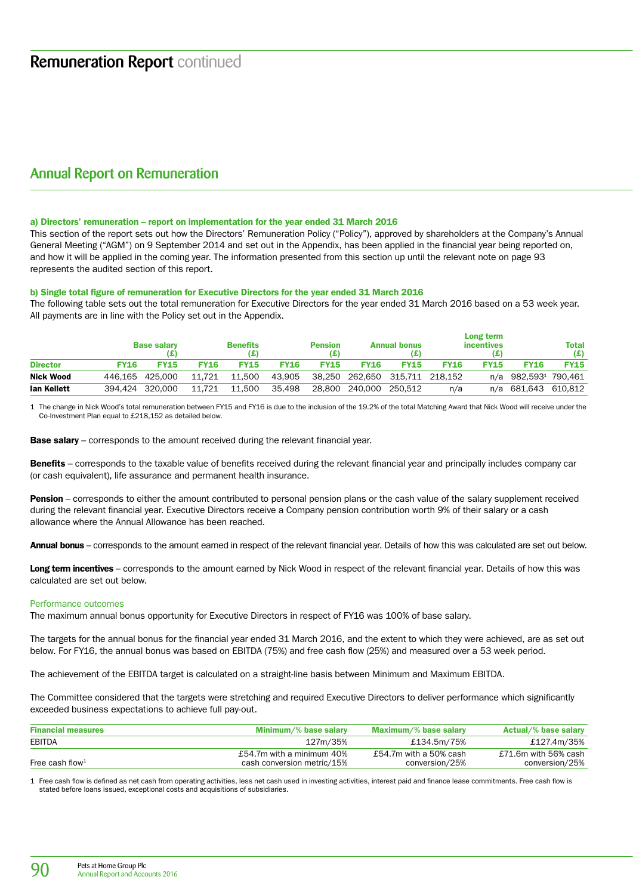## Annual Report on Remuneration

### a) Directors' remuneration – report on implementation for the year ended 31 March 2016

This section of the report sets out how the Directors' Remuneration Policy ("Policy"), approved by shareholders at the Company's Annual General Meeting ("AGM") on 9 September 2014 and set out in the Appendix, has been applied in the financial year being reported on, and how it will be applied in the coming year. The information presented from this section up until the relevant note on page 93 represents the audited section of this report.

### b) Single total figure of remuneration for Executive Directors for the year ended 31 March 2016

The following table sets out the total remuneration for Executive Directors for the year ended 31 March 2016 based on a 53 week year. All payments are in line with the Policy set out in the Appendix.

|                  |             | <b>Base salary</b> |             | <b>Benefits</b><br>(£) |             | <b>Pension</b><br>(£) |                                | <b>Annual bonus</b><br>(£) |             | Long term<br><i>incentives</i><br>(£ |                                  | <b>Total</b><br>(E) |
|------------------|-------------|--------------------|-------------|------------------------|-------------|-----------------------|--------------------------------|----------------------------|-------------|--------------------------------------|----------------------------------|---------------------|
| <b>Director</b>  | <b>FY16</b> | <b>FY15</b>        | <b>FY16</b> | <b>FY15</b>            | <b>FY16</b> | <b>FY15</b>           | <b>FY16</b>                    | <b>FY15</b>                | <b>FY16</b> | <b>FY15</b>                          | <b>FY16</b>                      | <b>FY15</b>         |
| <b>Nick Wood</b> | 446.165     | 425.000            | 11.721      | 11.500                 | 43.905      |                       | 38,250 262,650 315,711 218,152 |                            |             |                                      | n/a 982.593 <sup>1</sup> 790.461 |                     |
| lan Kellett      |             | 394.424 320.000    | 11.721      | 11.500                 | 35.498      | 28.800                | 240.000                        | 250.512                    | n/a         | n/a                                  | 681.643                          | 610.812             |

1 The change in Nick Wood's total remuneration between FY15 and FY16 is due to the inclusion of the 19.2% of the total Matching Award that Nick Wood will receive under the Co-Investment Plan equal to £218,152 as detailed below.

**Base salary** – corresponds to the amount received during the relevant financial year.

Benefits – corresponds to the taxable value of benefits received during the relevant financial year and principally includes company car (or cash equivalent), life assurance and permanent health insurance.

Pension – corresponds to either the amount contributed to personal pension plans or the cash value of the salary supplement received during the relevant financial year. Executive Directors receive a Company pension contribution worth 9% of their salary or a cash allowance where the Annual Allowance has been reached.

Annual bonus – corresponds to the amount earned in respect of the relevant financial year. Details of how this was calculated are set out below.

Long term incentives – corresponds to the amount earned by Nick Wood in respect of the relevant financial year. Details of how this was calculated are set out below.

### Performance outcomes

The maximum annual bonus opportunity for Executive Directors in respect of FY16 was 100% of base salary.

The targets for the annual bonus for the financial year ended 31 March 2016, and the extent to which they were achieved, are as set out below. For FY16, the annual bonus was based on EBITDA (75%) and free cash flow (25%) and measured over a 53 week period.

The achievement of the EBITDA target is calculated on a straight-line basis between Minimum and Maximum EBITDA.

The Committee considered that the targets were stretching and required Executive Directors to deliver performance which significantly exceeded business expectations to achieve full pay-out.

| <b>Financial measures</b>   | Minimum/% base salary                                   | Maximum/% base salary                    | <b>Actual/% base salary</b>            |
|-----------------------------|---------------------------------------------------------|------------------------------------------|----------------------------------------|
| EBITDA                      | 127m/35%                                                | £134.5m/75%                              | £127.4m/35%                            |
| Free cash flow <sup>1</sup> | £54.7m with a minimum 40%<br>cash conversion metric/15% | £54.7m with a 50% cash<br>conversion/25% | £71.6m with 56% cash<br>conversion/25% |

1 Free cash flow is defined as net cash from operating activities, less net cash used in investing activities, interest paid and finance lease commitments. Free cash flow is stated before loans issued, exceptional costs and acquisitions of subsidiaries.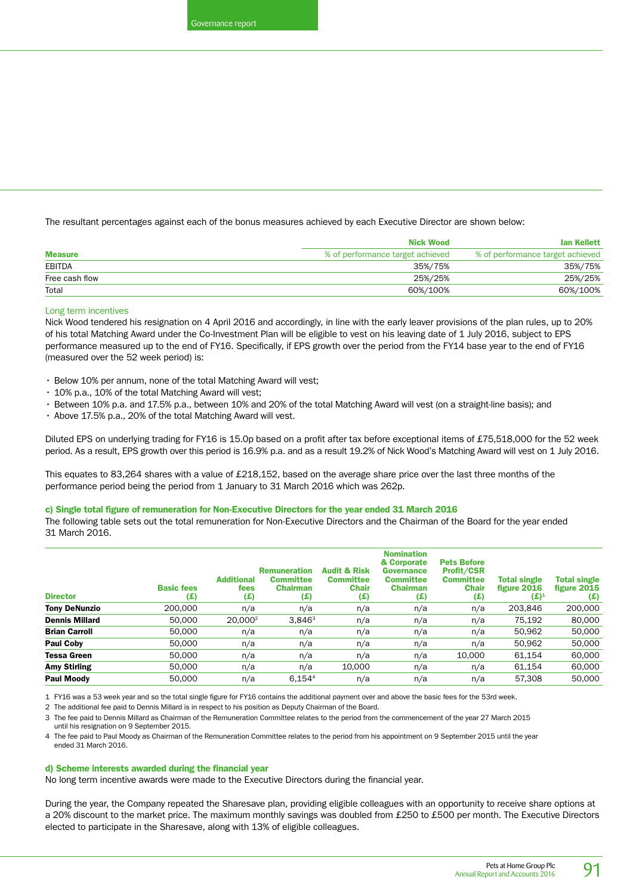The resultant percentages against each of the bonus measures achieved by each Executive Director are shown below:

|                | <b>Nick Wood</b>                 | <b>lan Kellett</b>               |  |
|----------------|----------------------------------|----------------------------------|--|
| <b>Measure</b> | % of performance target achieved | % of performance target achieved |  |
| <b>EBITDA</b>  | 35%/75%                          | 35%/75%                          |  |
| Free cash flow | 25%/25%                          | 25%/25%                          |  |
| Total          | 60%/100%                         | 60%/100%                         |  |

### Long term incentives

Nick Wood tendered his resignation on 4 April 2016 and accordingly, in line with the early leaver provisions of the plan rules, up to 20% of his total Matching Award under the Co-Investment Plan will be eligible to vest on his leaving date of 1 July 2016, subject to EPS performance measured up to the end of FY16. Specifically, if EPS growth over the period from the FY14 base year to the end of FY16 (measured over the 52 week period) is:

- Below 10% per annum, none of the total Matching Award will vest;
- 10% p.a., 10% of the total Matching Award will vest;
- Between 10% p.a. and 17.5% p.a., between 10% and 20% of the total Matching Award will vest (on a straight-line basis); and
- Above 17.5% p.a., 20% of the total Matching Award will vest.

Diluted EPS on underlying trading for FY16 is 15.0p based on a profit after tax before exceptional items of £75,518,000 for the 52 week period. As a result, EPS growth over this period is 16.9% p.a. and as a result 19.2% of Nick Wood's Matching Award will vest on 1 July 2016.

This equates to 83,264 shares with a value of £218,152, based on the average share price over the last three months of the performance period being the period from 1 January to 31 March 2016 which was 262p.

### c) Single total figure of remuneration for Non-Executive Directors for the year ended 31 March 2016

The following table sets out the total remuneration for Non-Executive Directors and the Chairman of the Board for the year ended 31 March 2016.

| <b>Director</b>       | <b>Basic fees</b><br>(£) | <b>Additional</b><br>fees<br>(£) | <b>Remuneration</b><br><b>Committee</b><br><b>Chairman</b><br>(£) | <b>Audit &amp; Risk</b><br><b>Committee</b><br><b>Chair</b><br>(E) | <b>Nomination</b><br>& Corporate<br>Governance<br><b>Committee</b><br><b>Chairman</b><br>(E) | <b>Pets Before</b><br><b>Profit/CSR</b><br><b>Committee</b><br><b>Chair</b><br>(£) | <b>Total single</b><br>figure 2016<br>$(E)^1$ | <b>Total single</b><br>figure 2015<br>(E) |
|-----------------------|--------------------------|----------------------------------|-------------------------------------------------------------------|--------------------------------------------------------------------|----------------------------------------------------------------------------------------------|------------------------------------------------------------------------------------|-----------------------------------------------|-------------------------------------------|
| <b>Tony DeNunzio</b>  | 200.000                  | n/a                              | n/a                                                               | n/a                                                                | n/a                                                                                          | n/a                                                                                | 203,846                                       | 200,000                                   |
| <b>Dennis Millard</b> | 50,000                   | 20,000 <sup>2</sup>              | $3,846^3$                                                         | n/a                                                                | n/a                                                                                          | n/a                                                                                | 75,192                                        | 80,000                                    |
| <b>Brian Carroll</b>  | 50,000                   | n/a                              | n/a                                                               | n/a                                                                | n/a                                                                                          | n/a                                                                                | 50,962                                        | 50,000                                    |
| <b>Paul Coby</b>      | 50,000                   | n/a                              | n/a                                                               | n/a                                                                | n/a                                                                                          | n/a                                                                                | 50,962                                        | 50,000                                    |
| <b>Tessa Green</b>    | 50,000                   | n/a                              | n/a                                                               | n/a                                                                | n/a                                                                                          | 10,000                                                                             | 61,154                                        | 60,000                                    |
| <b>Amy Stirling</b>   | 50,000                   | n/a                              | n/a                                                               | 10,000                                                             | n/a                                                                                          | n/a                                                                                | 61,154                                        | 60,000                                    |
| <b>Paul Moody</b>     | 50,000                   | n/a                              | $6,154^{4}$                                                       | n/a                                                                | n/a                                                                                          | n/a                                                                                | 57,308                                        | 50,000                                    |

1 FY16 was a 53 week year and so the total single figure for FY16 contains the additional payment over and above the basic fees for the 53rd week.

2 The additional fee paid to Dennis Millard is in respect to his position as Deputy Chairman of the Board.

3 The fee paid to Dennis Millard as Chairman of the Remuneration Committee relates to the period from the commencement of the year 27 March 2015 until his resignation on 9 September 2015.

4 The fee paid to Paul Moody as Chairman of the Remuneration Committee relates to the period from his appointment on 9 September 2015 until the year ended 31 March 2016.

### d) Scheme interests awarded during the financial year

No long term incentive awards were made to the Executive Directors during the financial year.

During the year, the Company repeated the Sharesave plan, providing eligible colleagues with an opportunity to receive share options at a 20% discount to the market price. The maximum monthly savings was doubled from £250 to £500 per month. The Executive Directors elected to participate in the Sharesave, along with 13% of eligible colleagues.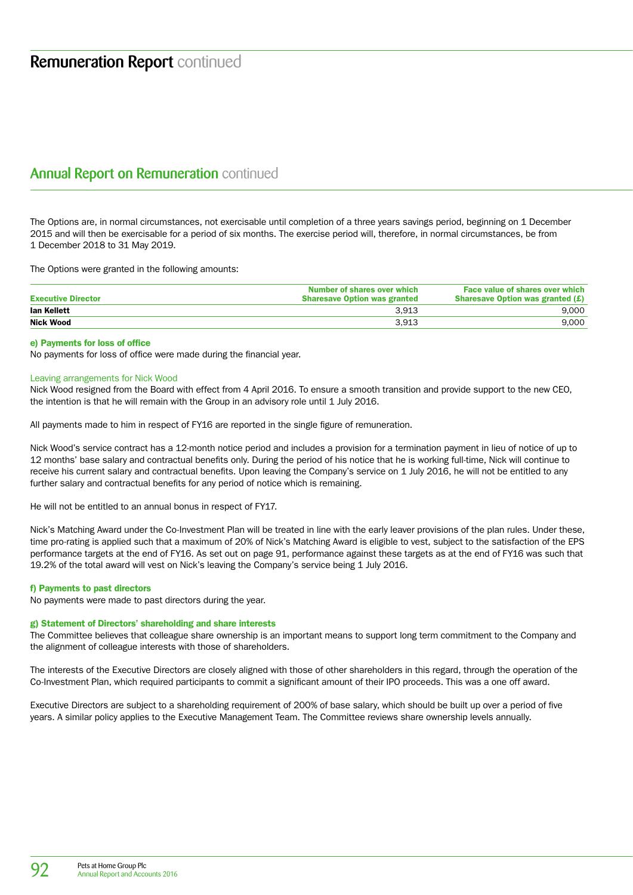## **Remuneration Report continued**

## **Annual Report on Remuneration continued**

The Options are, in normal circumstances, not exercisable until completion of a three years savings period, beginning on 1 December 2015 and will then be exercisable for a period of six months. The exercise period will, therefore, in normal circumstances, be from 1 December 2018 to 31 May 2019.

The Options were granted in the following amounts:

| <b>Executive Director</b> | Number of shares over which<br><b>Sharesave Option was granted</b> | <b>Face value of shares over which</b><br>Sharesave Option was granted $(E)$ |
|---------------------------|--------------------------------------------------------------------|------------------------------------------------------------------------------|
| lan Kellett               | 3.913                                                              | 9.000                                                                        |
| <b>Nick Wood</b>          | 3.913                                                              | 9.000                                                                        |

### e) Payments for loss of office

No payments for loss of office were made during the financial year.

### Leaving arrangements for Nick Wood

Nick Wood resigned from the Board with effect from 4 April 2016. To ensure a smooth transition and provide support to the new CEO, the intention is that he will remain with the Group in an advisory role until 1 July 2016.

All payments made to him in respect of FY16 are reported in the single figure of remuneration.

Nick Wood's service contract has a 12-month notice period and includes a provision for a termination payment in lieu of notice of up to 12 months' base salary and contractual benefits only. During the period of his notice that he is working full-time, Nick will continue to receive his current salary and contractual benefits. Upon leaving the Company's service on 1 July 2016, he will not be entitled to any further salary and contractual benefits for any period of notice which is remaining.

He will not be entitled to an annual bonus in respect of FY17.

Nick's Matching Award under the Co-Investment Plan will be treated in line with the early leaver provisions of the plan rules. Under these, time pro-rating is applied such that a maximum of 20% of Nick's Matching Award is eligible to vest, subject to the satisfaction of the EPS performance targets at the end of FY16. As set out on page 91, performance against these targets as at the end of FY16 was such that 19.2% of the total award will vest on Nick's leaving the Company's service being 1 July 2016.

### f) Payments to past directors

No payments were made to past directors during the year.

### g) Statement of Directors' shareholding and share interests

The Committee believes that colleague share ownership is an important means to support long term commitment to the Company and the alignment of colleague interests with those of shareholders.

The interests of the Executive Directors are closely aligned with those of other shareholders in this regard, through the operation of the Co-Investment Plan, which required participants to commit a significant amount of their IPO proceeds. This was a one off award.

Executive Directors are subject to a shareholding requirement of 200% of base salary, which should be built up over a period of five years. A similar policy applies to the Executive Management Team. The Committee reviews share ownership levels annually.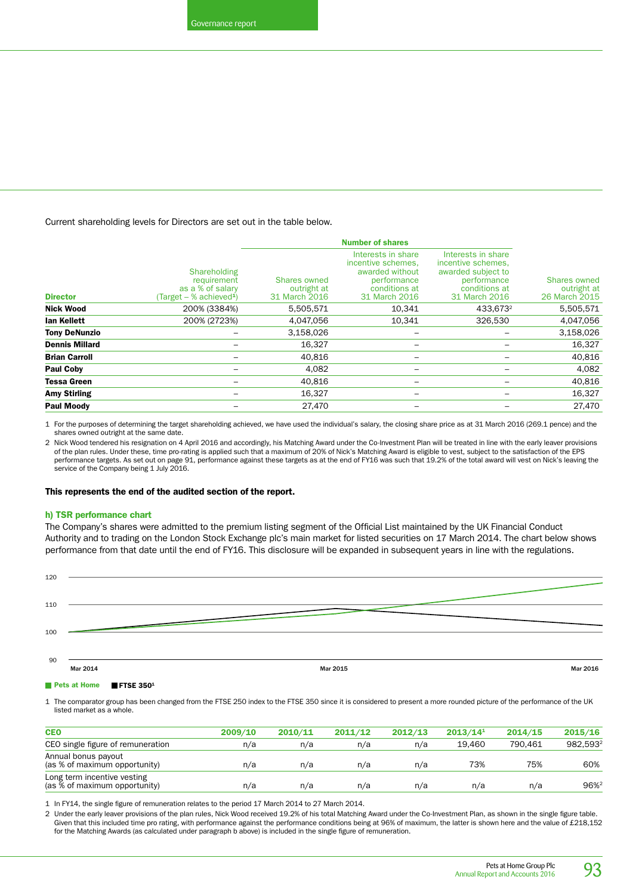Current shareholding levels for Directors are set out in the table below.

|                       |                                                                                        |                                                     | <b>Number of shares</b>                                                                                      |                                                                                                                 |                                              |
|-----------------------|----------------------------------------------------------------------------------------|-----------------------------------------------------|--------------------------------------------------------------------------------------------------------------|-----------------------------------------------------------------------------------------------------------------|----------------------------------------------|
| <b>Director</b>       | Shareholding<br>requirement<br>as a % of salary<br>(Target – % achieved <sup>1</sup> ) | <b>Shares owned</b><br>outright at<br>31 March 2016 | Interests in share<br>incentive schemes.<br>awarded without<br>performance<br>conditions at<br>31 March 2016 | Interests in share<br>incentive schemes,<br>awarded subject to<br>performance<br>conditions at<br>31 March 2016 | Shares owned<br>outright at<br>26 March 2015 |
| <b>Nick Wood</b>      | 200% (3384%)                                                                           | 5,505,571                                           | 10,341                                                                                                       | 433.673 <sup>2</sup>                                                                                            | 5,505,571                                    |
| lan Kellett           | 200% (2723%)                                                                           | 4,047,056                                           | 10,341                                                                                                       | 326,530                                                                                                         | 4,047,056                                    |
| <b>Tony DeNunzio</b>  |                                                                                        | 3,158,026                                           |                                                                                                              |                                                                                                                 | 3,158,026                                    |
| <b>Dennis Millard</b> |                                                                                        | 16,327                                              |                                                                                                              |                                                                                                                 | 16,327                                       |
| <b>Brian Carroll</b>  |                                                                                        | 40,816                                              |                                                                                                              |                                                                                                                 | 40,816                                       |
| <b>Paul Coby</b>      |                                                                                        | 4,082                                               |                                                                                                              |                                                                                                                 | 4,082                                        |
| <b>Tessa Green</b>    |                                                                                        | 40,816                                              |                                                                                                              |                                                                                                                 | 40,816                                       |
| <b>Amy Stirling</b>   |                                                                                        | 16,327                                              |                                                                                                              |                                                                                                                 | 16,327                                       |
| <b>Paul Moody</b>     |                                                                                        | 27,470                                              |                                                                                                              |                                                                                                                 | 27,470                                       |

1 For the purposes of determining the target shareholding achieved, we have used the individual's salary, the closing share price as at 31 March 2016 (269.1 pence) and the shares owned outright at the same date.

2 Nick Wood tendered his resignation on 4 April 2016 and accordingly, his Matching Award under the Co-Investment Plan will be treated in line with the early leaver provisions of the plan rules. Under these, time pro-rating is applied such that a maximum of 20% of Nick's Matching Award is eligible to vest, subject to the satisfaction of the EPS performance targets. As set out on page 91, performance against these targets as at the end of FY16 was such that 19.2% of the total award will vest on Nick's leaving the service of the Company being 1 July 2016.

### This represents the end of the audited section of the report.

### h) TSR performance chart

The Company's shares were admitted to the premium listing segment of the Official List maintained by the UK Financial Conduct Authority and to trading on the London Stock Exchange plc's main market for listed securities on 17 March 2014. The chart below shows performance from that date until the end of FY16. This disclosure will be expanded in subsequent years in line with the regulations.



#### **Pets at Home FTSE 3501**

1 The comparator group has been changed from the FTSE 250 index to the FTSE 350 since it is considered to present a more rounded picture of the performance of the UK listed market as a whole.

| <b>CEO</b>                                                   | 2009/10 | 2010/11 | 2011/12 | 2012/13 | 2013/14 <sup>1</sup> | 2014/15 | 2015/16              |
|--------------------------------------------------------------|---------|---------|---------|---------|----------------------|---------|----------------------|
| CEO single figure of remuneration                            | n/a     | n/a     | n/a     | n/a     | 19.460               | 790.461 | 982.593 <sup>2</sup> |
| Annual bonus payout<br>(as % of maximum opportunity)         | n/a     | n/a     | n/a     | n/a     | 73%                  | 75%     | 60%                  |
| Long term incentive vesting<br>(as % of maximum opportunity) | n/a     | n/a     | n/a     | n/a     | n/a                  | n/a     | 96%                  |

1 In FY14, the single figure of remuneration relates to the period 17 March 2014 to 27 March 2014.

2 Under the early leaver provisions of the plan rules, Nick Wood received 19.2% of his total Matching Award under the Co-Investment Plan, as shown in the single figure table. Given that this included time pro rating, with performance against the performance conditions being at 96% of maximum, the latter is shown here and the value of £218,152 for the Matching Awards (as calculated under paragraph b above) is included in the single figure of remuneration.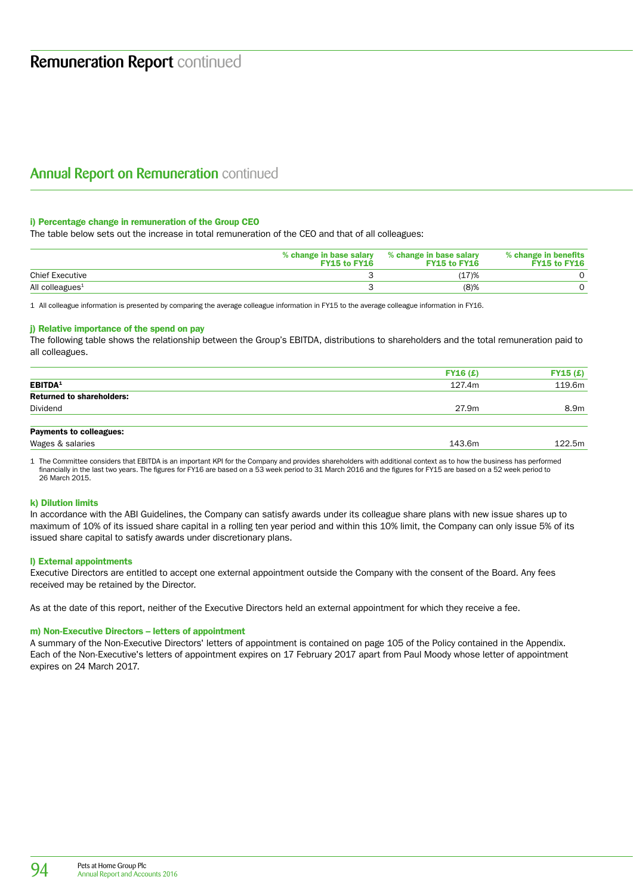## **Annual Report on Remuneration continued**

### i) Percentage change in remuneration of the Group CEO

The table below sets out the increase in total remuneration of the CEO and that of all colleagues:

|                             | % change in base salary<br><b>FY15 to FY16</b> | % change in base salary<br><b>FY15 to FY16</b> | % change in benefits<br><b>FY15 to FY16</b> |
|-----------------------------|------------------------------------------------|------------------------------------------------|---------------------------------------------|
| <b>Chief Executive</b>      |                                                | (17)%                                          |                                             |
| All colleagues <sup>1</sup> |                                                | $(8)$ %                                        |                                             |

1 All colleague information is presented by comparing the average colleague information in FY15 to the average colleague information in FY16.

### j) Relative importance of the spend on pay

The following table shows the relationship between the Group's EBITDA, distributions to shareholders and the total remuneration paid to all colleagues.

|                                  | FY16(f) | FY15(f) |
|----------------------------------|---------|---------|
| EBITDA <sup>1</sup>              | 127.4m  | 119.6m  |
| <b>Returned to shareholders:</b> |         |         |
| Dividend                         | 27.9m   | 8.9m    |
| <b>Payments to colleagues:</b>   |         |         |
| Wages & salaries                 | 143.6m  | 122.5m  |
|                                  |         |         |

1 The Committee considers that EBITDA is an important KPI for the Company and provides shareholders with additional context as to how the business has performed financially in the last two years. The figures for FY16 are based on a 53 week period to 31 March 2016 and the figures for FY15 are based on a 52 week period to 26 March 2015.

### k) Dilution limits

In accordance with the ABI Guidelines, the Company can satisfy awards under its colleague share plans with new issue shares up to maximum of 10% of its issued share capital in a rolling ten year period and within this 10% limit, the Company can only issue 5% of its issued share capital to satisfy awards under discretionary plans.

### l) External appointments

Executive Directors are entitled to accept one external appointment outside the Company with the consent of the Board. Any fees received may be retained by the Director.

As at the date of this report, neither of the Executive Directors held an external appointment for which they receive a fee.

### m) Non-Executive Directors – letters of appointment

A summary of the Non-Executive Directors' letters of appointment is contained on page 105 of the Policy contained in the Appendix. Each of the Non-Executive's letters of appointment expires on 17 February 2017 apart from Paul Moody whose letter of appointment expires on 24 March 2017.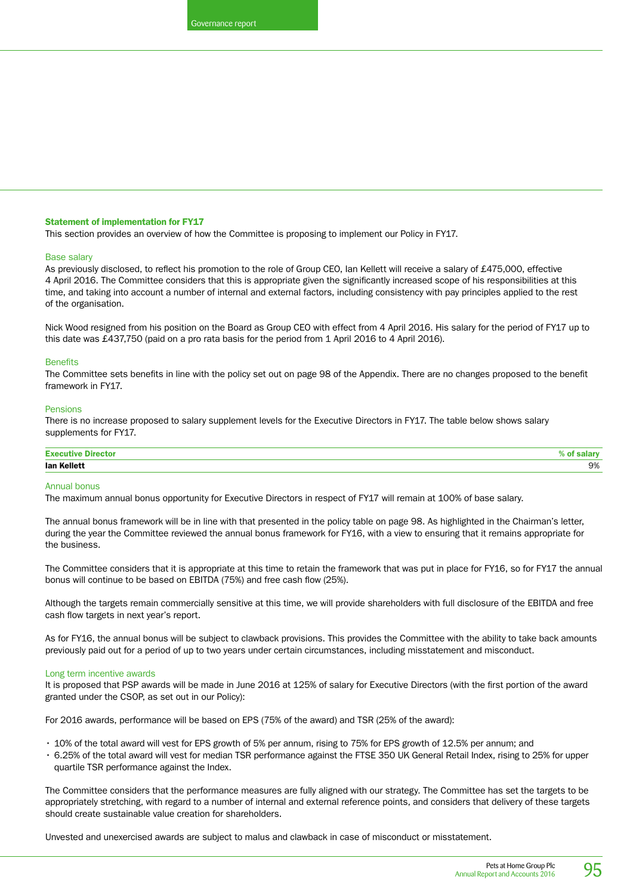### Statement of implementation for FY17

This section provides an overview of how the Committee is proposing to implement our Policy in FY17.

### Base salary

As previously disclosed, to reflect his promotion to the role of Group CEO, Ian Kellett will receive a salary of £475,000, effective 4 April 2016. The Committee considers that this is appropriate given the significantly increased scope of his responsibilities at this time, and taking into account a number of internal and external factors, including consistency with pay principles applied to the rest of the organisation.

Nick Wood resigned from his position on the Board as Group CEO with effect from 4 April 2016. His salary for the period of FY17 up to this date was £437,750 (paid on a pro rata basis for the period from 1 April 2016 to 4 April 2016).

### **Benefits**

The Committee sets benefits in line with the policy set out on page 98 of the Appendix. There are no changes proposed to the benefit framework in FY17.

### Pensions

There is no increase proposed to salary supplement levels for the Executive Directors in FY17. The table below shows salary supplements for FY17.

| <b>State of Contract Contract</b><br><b>EVP</b><br>the control of the control of the control of the control of the control of the control of the control of the control of the control of the control of the control of the control of the control of the control of the control |    |
|----------------------------------------------------------------------------------------------------------------------------------------------------------------------------------------------------------------------------------------------------------------------------------|----|
| lanV                                                                                                                                                                                                                                                                             | 9% |
|                                                                                                                                                                                                                                                                                  |    |

### Annual bonus

The maximum annual bonus opportunity for Executive Directors in respect of FY17 will remain at 100% of base salary.

The annual bonus framework will be in line with that presented in the policy table on page 98. As highlighted in the Chairman's letter, during the year the Committee reviewed the annual bonus framework for FY16, with a view to ensuring that it remains appropriate for the business.

The Committee considers that it is appropriate at this time to retain the framework that was put in place for FY16, so for FY17 the annual bonus will continue to be based on EBITDA (75%) and free cash flow (25%).

Although the targets remain commercially sensitive at this time, we will provide shareholders with full disclosure of the EBITDA and free cash flow targets in next year's report.

As for FY16, the annual bonus will be subject to clawback provisions. This provides the Committee with the ability to take back amounts previously paid out for a period of up to two years under certain circumstances, including misstatement and misconduct.

### Long term incentive awards

It is proposed that PSP awards will be made in June 2016 at 125% of salary for Executive Directors (with the first portion of the award granted under the CSOP, as set out in our Policy):

For 2016 awards, performance will be based on EPS (75% of the award) and TSR (25% of the award):

- 10% of the total award will vest for EPS growth of 5% per annum, rising to 75% for EPS growth of 12.5% per annum; and
- 6.25% of the total award will vest for median TSR performance against the FTSE 350 UK General Retail Index, rising to 25% for upper quartile TSR performance against the Index.

The Committee considers that the performance measures are fully aligned with our strategy. The Committee has set the targets to be appropriately stretching, with regard to a number of internal and external reference points, and considers that delivery of these targets should create sustainable value creation for shareholders.

Unvested and unexercised awards are subject to malus and clawback in case of misconduct or misstatement.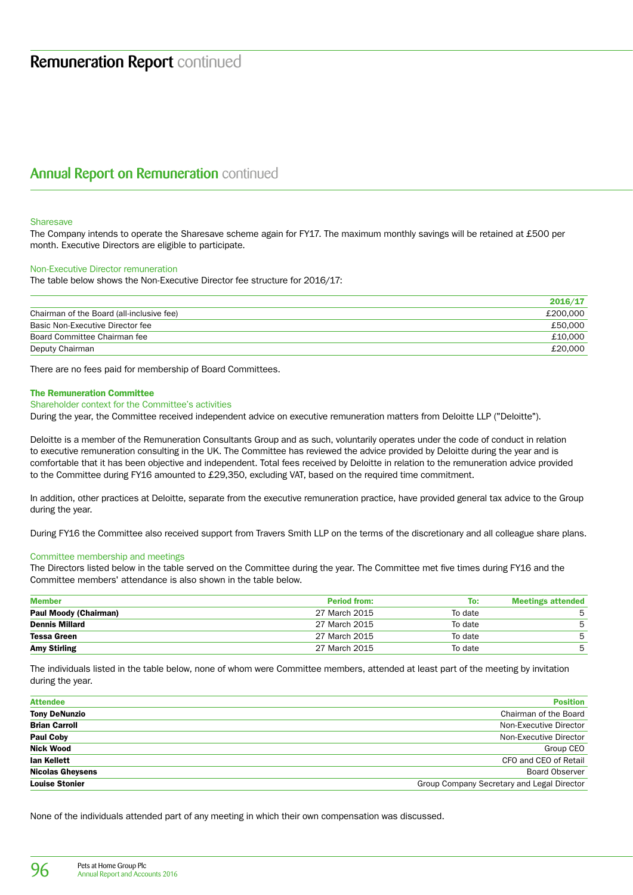## **Remuneration Report continued**

## **Annual Report on Remuneration continued**

### Sharesave

The Company intends to operate the Sharesave scheme again for FY17. The maximum monthly savings will be retained at £500 per month. Executive Directors are eligible to participate.

### Non-Executive Director remuneration

The table below shows the Non-Executive Director fee structure for 2016/17:

|                                           | 2016/17  |
|-------------------------------------------|----------|
| Chairman of the Board (all-inclusive fee) | £200,000 |
| Basic Non-Executive Director fee          | £50.000  |
| Board Committee Chairman fee              | £10.000  |
| Deputy Chairman                           | £20,000  |

There are no fees paid for membership of Board Committees.

### The Remuneration Committee

Shareholder context for the Committee's activities

During the year, the Committee received independent advice on executive remuneration matters from Deloitte LLP ("Deloitte").

Deloitte is a member of the Remuneration Consultants Group and as such, voluntarily operates under the code of conduct in relation to executive remuneration consulting in the UK. The Committee has reviewed the advice provided by Deloitte during the year and is comfortable that it has been objective and independent. Total fees received by Deloitte in relation to the remuneration advice provided to the Committee during FY16 amounted to £29,350, excluding VAT, based on the required time commitment.

In addition, other practices at Deloitte, separate from the executive remuneration practice, have provided general tax advice to the Group during the year.

During FY16 the Committee also received support from Travers Smith LLP on the terms of the discretionary and all colleague share plans.

### Committee membership and meetings

The Directors listed below in the table served on the Committee during the year. The Committee met five times during FY16 and the Committee members' attendance is also shown in the table below.

| <b>Member</b>                | <b>Period from:</b> | To:     | <b>Meetings attended</b> |
|------------------------------|---------------------|---------|--------------------------|
| <b>Paul Moody (Chairman)</b> | 27 March 2015       | To date |                          |
| <b>Dennis Millard</b>        | 27 March 2015       | To date | ՟                        |
| <b>Tessa Green</b>           | 27 March 2015       | To date | 一                        |
| <b>Amy Stirling</b>          | 27 March 2015       | To date |                          |

The individuals listed in the table below, none of whom were Committee members, attended at least part of the meeting by invitation during the year.

| <b>Attendee</b>         | <b>Position</b>                            |
|-------------------------|--------------------------------------------|
| <b>Tony DeNunzio</b>    | Chairman of the Board                      |
| <b>Brian Carroll</b>    | Non-Executive Director                     |
| <b>Paul Coby</b>        | Non-Executive Director                     |
| <b>Nick Wood</b>        | Group CEO                                  |
| lan Kellett             | CFO and CEO of Retail                      |
| <b>Nicolas Gheysens</b> | <b>Board Observer</b>                      |
| <b>Louise Stonier</b>   | Group Company Secretary and Legal Director |

None of the individuals attended part of any meeting in which their own compensation was discussed.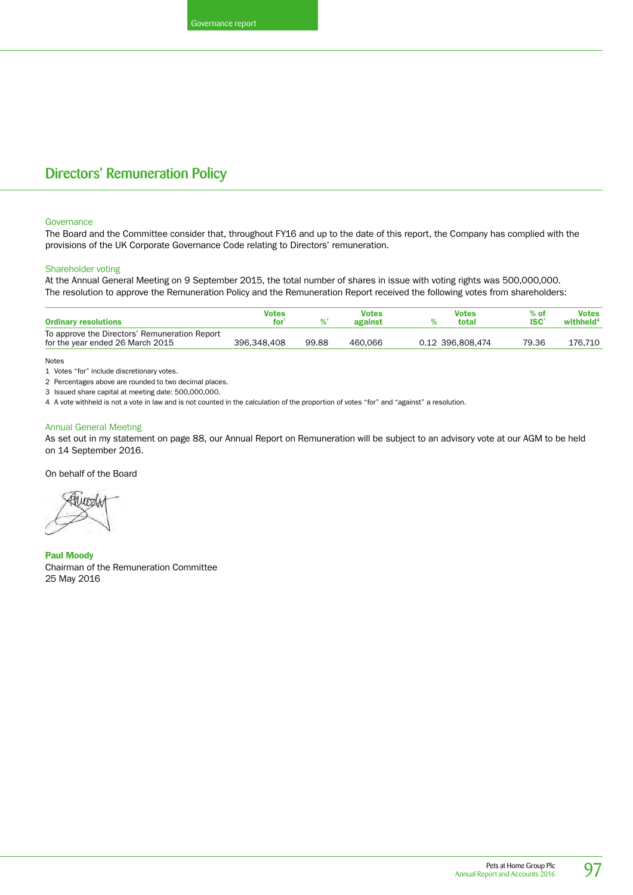## Directors' Remuneration Policy

### **Governance**

The Board and the Committee consider that, throughout FY16 and up to the date of this report, the Company has complied with the provisions of the UK Corporate Governance Code relating to Directors' remuneration.

### Shareholder voting

At the Annual General Meeting on 9 September 2015, the total number of shares in issue with voting rights was 500,000,000. The resolution to approve the Remuneration Policy and the Remuneration Report received the following votes from shareholders:

| <b>Ordinary resolutions</b>                                                       | Votes<br>for | $% ^{2}$ | Votes<br>against | <b>Votes</b><br>total | $%$ of<br>$ISC3$ | Votes<br>withheld $4$ |
|-----------------------------------------------------------------------------------|--------------|----------|------------------|-----------------------|------------------|-----------------------|
| To approve the Directors' Remuneration Report<br>for the year ended 26 March 2015 | 396.348.408  | 99.88    | 460.066          | 0.12 396.808.474      | 79.36            | 176.710               |

Notes

1 Votes "for" include discretionary votes.

2 Percentages above are rounded to two decimal places.

3 Issued share capital at meeting date: 500,000,000.

4 A vote withheld is not a vote in law and is not counted in the calculation of the proportion of votes "for" and "against" a resolution.

### Annual General Meeting

As set out in my statement on page 88, our Annual Report on Remuneration will be subject to an advisory vote at our AGM to be held on 14 September 2016.

On behalf of the Board

Paul Moody Chairman of the Remuneration Committee 25 May 2016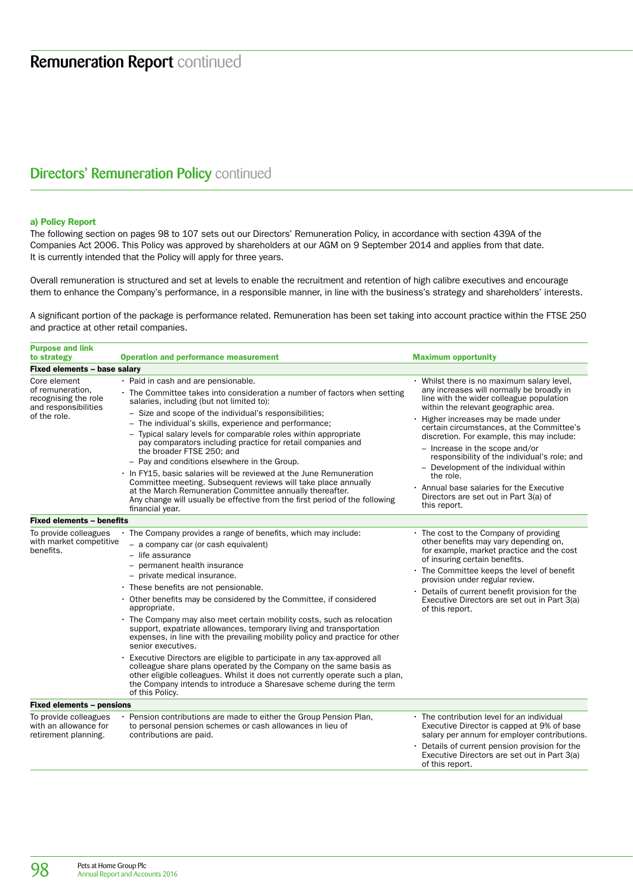## **Directors' Remuneration Policy continued**

### a) Policy Report

The following section on pages 98 to 107 sets out our Directors' Remuneration Policy, in accordance with section 439A of the Companies Act 2006. This Policy was approved by shareholders at our AGM on 9 September 2014 and applies from that date. It is currently intended that the Policy will apply for three years.

Overall remuneration is structured and set at levels to enable the recruitment and retention of high calibre executives and encourage them to enhance the Company's performance, in a responsible manner, in line with the business's strategy and shareholders' interests.

A significant portion of the package is performance related. Remuneration has been set taking into account practice within the FTSE 250 and practice at other retail companies.

| <b>Purpose and link</b><br>to strategy                                                           | <b>Operation and performance measurement</b>                                                                                                                                                                                                                                                                                                                                                                                                                                                                                                                                                                                                                                                                                                                                                                                                                                                                | <b>Maximum opportunity</b>                                                                                                                                                                                                                                                                                                                                                                                                                                                                                                                               |
|--------------------------------------------------------------------------------------------------|-------------------------------------------------------------------------------------------------------------------------------------------------------------------------------------------------------------------------------------------------------------------------------------------------------------------------------------------------------------------------------------------------------------------------------------------------------------------------------------------------------------------------------------------------------------------------------------------------------------------------------------------------------------------------------------------------------------------------------------------------------------------------------------------------------------------------------------------------------------------------------------------------------------|----------------------------------------------------------------------------------------------------------------------------------------------------------------------------------------------------------------------------------------------------------------------------------------------------------------------------------------------------------------------------------------------------------------------------------------------------------------------------------------------------------------------------------------------------------|
| Fixed elements - base salary                                                                     |                                                                                                                                                                                                                                                                                                                                                                                                                                                                                                                                                                                                                                                                                                                                                                                                                                                                                                             |                                                                                                                                                                                                                                                                                                                                                                                                                                                                                                                                                          |
| Core element<br>of remuneration.<br>recognising the role<br>and responsibilities<br>of the role. | · Paid in cash and are pensionable.<br>• The Committee takes into consideration a number of factors when setting<br>salaries, including (but not limited to):<br>- Size and scope of the individual's responsibilities;<br>- The individual's skills, experience and performance;<br>- Typical salary levels for comparable roles within appropriate<br>pay comparators including practice for retail companies and<br>the broader FTSE 250; and<br>- Pay and conditions elsewhere in the Group.<br>. In FY15, basic salaries will be reviewed at the June Remuneration<br>Committee meeting. Subsequent reviews will take place annually<br>at the March Remuneration Committee annually thereafter.<br>Any change will usually be effective from the first period of the following<br>financial year.                                                                                                     | • Whilst there is no maximum salary level,<br>any increases will normally be broadly in<br>line with the wider colleague population<br>within the relevant geographic area.<br>Higher increases may be made under<br>certain circumstances, at the Committee's<br>discretion. For example, this may include:<br>- Increase in the scope and/or<br>responsibility of the individual's role; and<br>- Development of the individual within<br>the role.<br>Annual base salaries for the Executive<br>Directors are set out in Part 3(a) of<br>this report. |
| <b>Fixed elements - benefits</b>                                                                 |                                                                                                                                                                                                                                                                                                                                                                                                                                                                                                                                                                                                                                                                                                                                                                                                                                                                                                             |                                                                                                                                                                                                                                                                                                                                                                                                                                                                                                                                                          |
| To provide colleagues<br>with market competitive<br>benefits.                                    | . The Company provides a range of benefits, which may include:<br>- a company car (or cash equivalent)<br>- life assurance<br>- permanent health insurance<br>- private medical insurance.<br>· These benefits are not pensionable.<br>• Other benefits may be considered by the Committee, if considered<br>appropriate.<br>• The Company may also meet certain mobility costs, such as relocation<br>support, expatriate allowances, temporary living and transportation<br>expenses, in line with the prevailing mobility policy and practice for other<br>senior executives.<br>Executive Directors are eligible to participate in any tax-approved all<br>colleague share plans operated by the Company on the same basis as<br>other eligible colleagues. Whilst it does not currently operate such a plan,<br>the Company intends to introduce a Sharesave scheme during the term<br>of this Policy. | $\cdot$ The cost to the Company of providing<br>other benefits may vary depending on,<br>for example, market practice and the cost<br>of insuring certain benefits.<br>The Committee keeps the level of benefit<br>provision under regular review.<br>Details of current benefit provision for the<br>Executive Directors are set out in Part 3(a)<br>of this report.                                                                                                                                                                                    |
| <b>Fixed elements - pensions</b>                                                                 |                                                                                                                                                                                                                                                                                                                                                                                                                                                                                                                                                                                                                                                                                                                                                                                                                                                                                                             |                                                                                                                                                                                                                                                                                                                                                                                                                                                                                                                                                          |
| To provide colleagues<br>with an allowance for<br>retirement planning.                           | · Pension contributions are made to either the Group Pension Plan,<br>to personal pension schemes or cash allowances in lieu of<br>contributions are paid.                                                                                                                                                                                                                                                                                                                                                                                                                                                                                                                                                                                                                                                                                                                                                  | • The contribution level for an individual<br>Executive Director is capped at 9% of base<br>salary per annum for employer contributions.<br>Details of current pension provision for the<br>Executive Directors are set out in Part 3(a)<br>of this report.                                                                                                                                                                                                                                                                                              |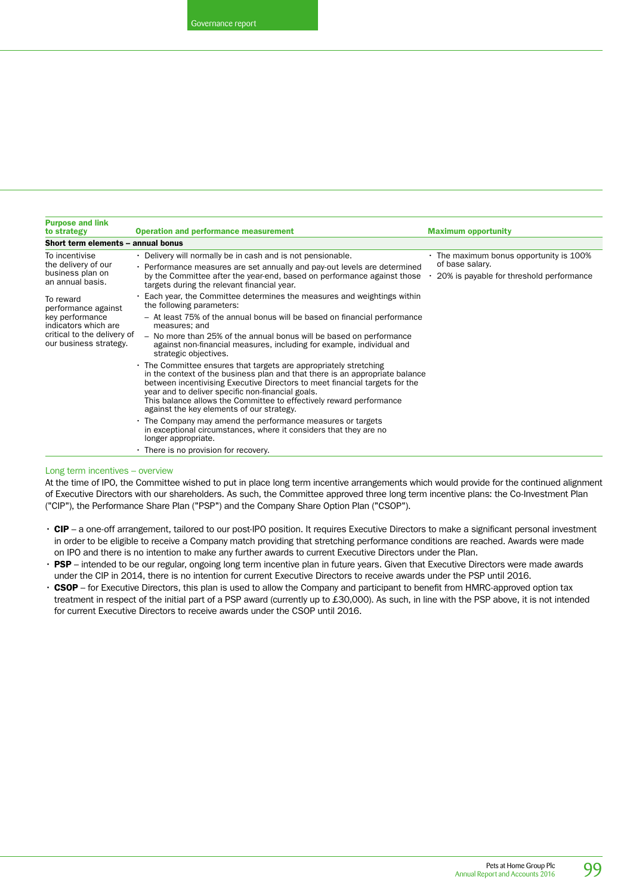| <b>Purpose and link</b><br>to strategy                                                                                               | <b>Operation and performance measurement</b>                                                                                                                                                                                                                                                                                                                                                                                                                                                                                                                                                                                                                                                                                                                                                                                                                                                                                                                                                        | <b>Maximum opportunity</b>                                                                                   |
|--------------------------------------------------------------------------------------------------------------------------------------|-----------------------------------------------------------------------------------------------------------------------------------------------------------------------------------------------------------------------------------------------------------------------------------------------------------------------------------------------------------------------------------------------------------------------------------------------------------------------------------------------------------------------------------------------------------------------------------------------------------------------------------------------------------------------------------------------------------------------------------------------------------------------------------------------------------------------------------------------------------------------------------------------------------------------------------------------------------------------------------------------------|--------------------------------------------------------------------------------------------------------------|
| Short term elements - annual bonus                                                                                                   |                                                                                                                                                                                                                                                                                                                                                                                                                                                                                                                                                                                                                                                                                                                                                                                                                                                                                                                                                                                                     |                                                                                                              |
| To incentivise<br>the delivery of our<br>business plan on<br>an annual basis.                                                        | • Delivery will normally be in cash and is not pensionable.<br>• Performance measures are set annually and pay-out levels are determined<br>by the Committee after the year-end, based on performance against those<br>targets during the relevant financial year.                                                                                                                                                                                                                                                                                                                                                                                                                                                                                                                                                                                                                                                                                                                                  | $\cdot$ The maximum bonus opportunity is 100%<br>of base salary.<br>20% is payable for threshold performance |
| To reward<br>performance against<br>key performance<br>indicators which are<br>critical to the delivery of<br>our business strategy. | . Each year, the Committee determines the measures and weightings within<br>the following parameters:<br>- At least 75% of the annual bonus will be based on financial performance<br>measures; and<br>- No more than 25% of the annual bonus will be based on performance<br>against non-financial measures, including for example, individual and<br>strategic objectives.<br>• The Committee ensures that targets are appropriately stretching<br>in the context of the business plan and that there is an appropriate balance<br>between incentivising Executive Directors to meet financial targets for the<br>year and to deliver specific non-financial goals.<br>This balance allows the Committee to effectively reward performance<br>against the key elements of our strategy.<br>• The Company may amend the performance measures or targets<br>in exceptional circumstances, where it considers that they are no<br>longer appropriate.<br>$\cdot$ There is no provision for recovery. |                                                                                                              |

### Long term incentives – overview

At the time of IPO, the Committee wished to put in place long term incentive arrangements which would provide for the continued alignment of Executive Directors with our shareholders. As such, the Committee approved three long term incentive plans: the Co-Investment Plan ("CIP"), the Performance Share Plan ("PSP") and the Company Share Option Plan ("CSOP").

- CIP a one-off arrangement, tailored to our post-IPO position. It requires Executive Directors to make a significant personal investment in order to be eligible to receive a Company match providing that stretching performance conditions are reached. Awards were made on IPO and there is no intention to make any further awards to current Executive Directors under the Plan.
- PSP intended to be our regular, ongoing long term incentive plan in future years. Given that Executive Directors were made awards under the CIP in 2014, there is no intention for current Executive Directors to receive awards under the PSP until 2016.
- CSOP for Executive Directors, this plan is used to allow the Company and participant to benefit from HMRC-approved option tax treatment in respect of the initial part of a PSP award (currently up to £30,000). As such, in line with the PSP above, it is not intended for current Executive Directors to receive awards under the CSOP until 2016.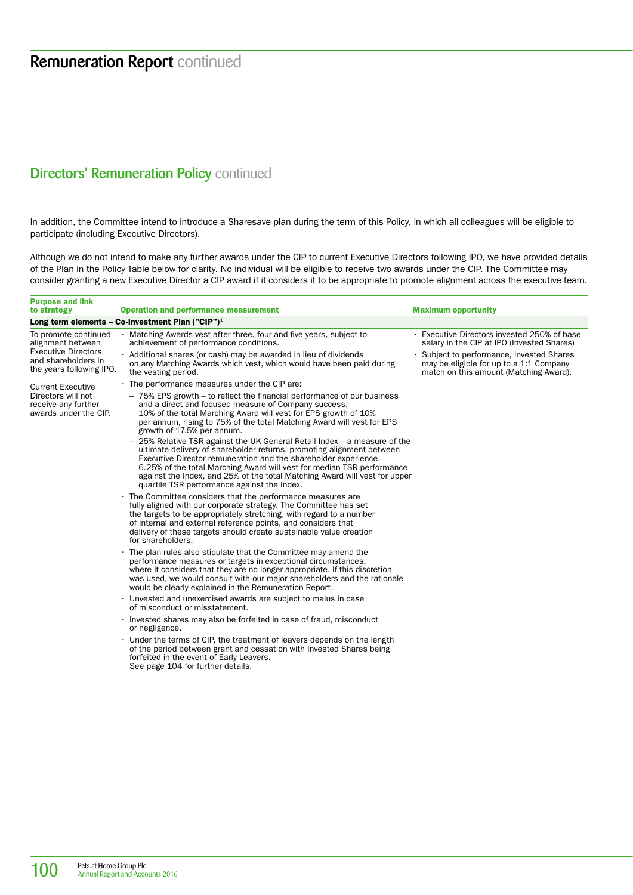## **Directors' Remuneration Policy continued**

In addition, the Committee intend to introduce a Sharesave plan during the term of this Policy, in which all colleagues will be eligible to participate (including Executive Directors).

Although we do not intend to make any further awards under the CIP to current Executive Directors following IPO, we have provided details of the Plan in the Policy Table below for clarity. No individual will be eligible to receive two awards under the CIP. The Committee may consider granting a new Executive Director a CIP award if it considers it to be appropriate to promote alignment across the executive team.

| <b>Purpose and link</b><br>to strategy                                        | <b>Operation and performance measurement</b>                                                                                                                                                                                                                                                                                                                                                                                                                                                                                        | <b>Maximum opportunity</b>                                                                                                   |
|-------------------------------------------------------------------------------|-------------------------------------------------------------------------------------------------------------------------------------------------------------------------------------------------------------------------------------------------------------------------------------------------------------------------------------------------------------------------------------------------------------------------------------------------------------------------------------------------------------------------------------|------------------------------------------------------------------------------------------------------------------------------|
|                                                                               | Long term elements – Co-Investment Plan ("CIP") $1$                                                                                                                                                                                                                                                                                                                                                                                                                                                                                 |                                                                                                                              |
| To promote continued<br>alignment between                                     | • Matching Awards vest after three, four and five years, subject to<br>achievement of performance conditions.                                                                                                                                                                                                                                                                                                                                                                                                                       | • Executive Directors invested 250% of base<br>salary in the CIP at IPO (Invested Shares)                                    |
| <b>Executive Directors</b><br>and shareholders in<br>the years following IPO. | · Additional shares (or cash) may be awarded in lieu of dividends<br>on any Matching Awards which vest, which would have been paid during<br>the vesting period.                                                                                                                                                                                                                                                                                                                                                                    | Subject to performance, Invested Shares<br>may be eligible for up to a 1:1 Company<br>match on this amount (Matching Award). |
| <b>Current Executive</b>                                                      | . The performance measures under the CIP are:                                                                                                                                                                                                                                                                                                                                                                                                                                                                                       |                                                                                                                              |
| Directors will not<br>receive any further<br>awards under the CIP.            | - 75% EPS growth – to reflect the financial performance of our business<br>and a direct and focused measure of Company success.<br>10% of the total Marching Award will vest for EPS growth of 10%<br>per annum, rising to 75% of the total Matching Award will vest for EPS<br>growth of 17.5% per annum.<br>- 25% Relative TSR against the UK General Retail Index - a measure of the<br>ultimate delivery of shareholder returns, promoting alignment between<br>Executive Director remuneration and the shareholder experience. |                                                                                                                              |
|                                                                               | 6.25% of the total Marching Award will vest for median TSR performance<br>against the Index, and 25% of the total Matching Award will vest for upper<br>quartile TSR performance against the Index.                                                                                                                                                                                                                                                                                                                                 |                                                                                                                              |
|                                                                               | • The Committee considers that the performance measures are<br>fully aligned with our corporate strategy. The Committee has set<br>the targets to be appropriately stretching, with regard to a number<br>of internal and external reference points, and considers that<br>delivery of these targets should create sustainable value creation<br>for shareholders.                                                                                                                                                                  |                                                                                                                              |
|                                                                               | . The plan rules also stipulate that the Committee may amend the<br>performance measures or targets in exceptional circumstances,<br>where it considers that they are no longer appropriate. If this discretion<br>was used, we would consult with our major shareholders and the rationale<br>would be clearly explained in the Remuneration Report.                                                                                                                                                                               |                                                                                                                              |
|                                                                               | • Unvested and unexercised awards are subject to malus in case<br>of misconduct or misstatement.                                                                                                                                                                                                                                                                                                                                                                                                                                    |                                                                                                                              |
|                                                                               | . Invested shares may also be forfeited in case of fraud, misconduct<br>or negligence.                                                                                                                                                                                                                                                                                                                                                                                                                                              |                                                                                                                              |
|                                                                               | • Under the terms of CIP, the treatment of leavers depends on the length<br>of the period between grant and cessation with Invested Shares being<br>forfeited in the event of Early Leavers.<br>See page 104 for further details.                                                                                                                                                                                                                                                                                                   |                                                                                                                              |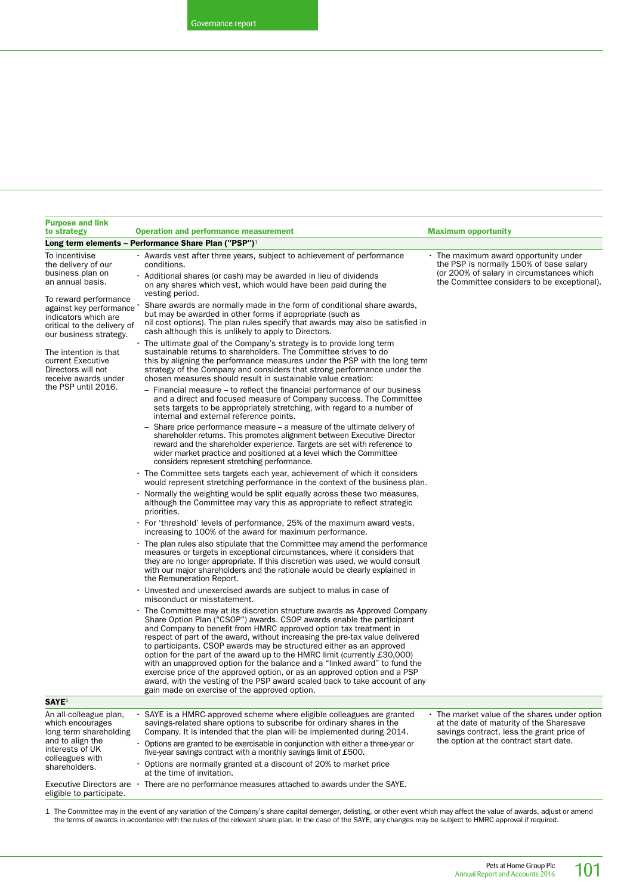Purpose and link

| to strategy                                                                                                                       | <b>Operation and performance measurement</b>                                                                                                                                                                                                                                                                                                                                                                                                                                                                                                                                                                                                                                                                                                             | <b>Maximum opportunity</b>                                                                                                                                                         |
|-----------------------------------------------------------------------------------------------------------------------------------|----------------------------------------------------------------------------------------------------------------------------------------------------------------------------------------------------------------------------------------------------------------------------------------------------------------------------------------------------------------------------------------------------------------------------------------------------------------------------------------------------------------------------------------------------------------------------------------------------------------------------------------------------------------------------------------------------------------------------------------------------------|------------------------------------------------------------------------------------------------------------------------------------------------------------------------------------|
|                                                                                                                                   | Long term elements – Performance Share Plan ("PSP") $1$                                                                                                                                                                                                                                                                                                                                                                                                                                                                                                                                                                                                                                                                                                  |                                                                                                                                                                                    |
| To incentivise<br>the delivery of our<br>business plan on<br>an annual basis.                                                     | • Awards vest after three years, subject to achievement of performance<br>conditions.<br>· Additional shares (or cash) may be awarded in lieu of dividends<br>on any shares which vest, which would have been paid during the<br>vesting period.                                                                                                                                                                                                                                                                                                                                                                                                                                                                                                         | $\cdot$ The maximum award opportunity under<br>the PSP is normally 150% of base salary<br>(or 200% of salary in circumstances which<br>the Committee considers to be exceptional). |
| To reward performance<br>against key performance<br>indicators which are<br>critical to the delivery of<br>our business strategy. | Share awards are normally made in the form of conditional share awards,<br>but may be awarded in other forms if appropriate (such as<br>nil cost options). The plan rules specify that awards may also be satisfied in<br>cash although this is unlikely to apply to Directors.                                                                                                                                                                                                                                                                                                                                                                                                                                                                          |                                                                                                                                                                                    |
| The intention is that<br>current Executive<br>Directors will not<br>receive awards under<br>the PSP until 2016.                   | The ultimate goal of the Company's strategy is to provide long term<br>sustainable returns to shareholders. The Committee strives to do<br>this by aligning the performance measures under the PSP with the long term<br>strategy of the Company and considers that strong performance under the<br>chosen measures should result in sustainable value creation:                                                                                                                                                                                                                                                                                                                                                                                         |                                                                                                                                                                                    |
|                                                                                                                                   | - Financial measure – to reflect the financial performance of our business<br>and a direct and focused measure of Company success. The Committee<br>sets targets to be appropriately stretching, with regard to a number of<br>internal and external reference points.                                                                                                                                                                                                                                                                                                                                                                                                                                                                                   |                                                                                                                                                                                    |
|                                                                                                                                   | Share price performance measure $-$ a measure of the ultimate delivery of<br>shareholder returns. This promotes alignment between Executive Director<br>reward and the shareholder experience. Targets are set with reference to<br>wider market practice and positioned at a level which the Committee<br>considers represent stretching performance.                                                                                                                                                                                                                                                                                                                                                                                                   |                                                                                                                                                                                    |
|                                                                                                                                   | • The Committee sets targets each year, achievement of which it considers<br>would represent stretching performance in the context of the business plan.                                                                                                                                                                                                                                                                                                                                                                                                                                                                                                                                                                                                 |                                                                                                                                                                                    |
|                                                                                                                                   | • Normally the weighting would be split equally across these two measures,<br>although the Committee may vary this as appropriate to reflect strategic<br>priorities.                                                                                                                                                                                                                                                                                                                                                                                                                                                                                                                                                                                    |                                                                                                                                                                                    |
|                                                                                                                                   | • For 'threshold' levels of performance, 25% of the maximum award vests,<br>increasing to 100% of the award for maximum performance.                                                                                                                                                                                                                                                                                                                                                                                                                                                                                                                                                                                                                     |                                                                                                                                                                                    |
|                                                                                                                                   | $\cdot$ The plan rules also stipulate that the Committee may amend the performance<br>measures or targets in exceptional circumstances, where it considers that<br>they are no longer appropriate. If this discretion was used, we would consult<br>with our major shareholders and the rationale would be clearly explained in<br>the Remuneration Report.                                                                                                                                                                                                                                                                                                                                                                                              |                                                                                                                                                                                    |
|                                                                                                                                   | • Unvested and unexercised awards are subject to malus in case of<br>misconduct or misstatement.                                                                                                                                                                                                                                                                                                                                                                                                                                                                                                                                                                                                                                                         |                                                                                                                                                                                    |
|                                                                                                                                   | • The Committee may at its discretion structure awards as Approved Company<br>Share Option Plan ("CSOP") awards. CSOP awards enable the participant<br>and Company to benefit from HMRC approved option tax treatment in<br>respect of part of the award, without increasing the pre-tax value delivered<br>to participants. CSOP awards may be structured either as an approved<br>option for the part of the award up to the HMRC limit (currently £30,000)<br>with an unapproved option for the balance and a "linked award" to fund the<br>exercise price of the approved option, or as an approved option and a PSP<br>award, with the vesting of the PSP award scaled back to take account of any<br>gain made on exercise of the approved option. |                                                                                                                                                                                    |
| SAYE <sup>1</sup>                                                                                                                 |                                                                                                                                                                                                                                                                                                                                                                                                                                                                                                                                                                                                                                                                                                                                                          |                                                                                                                                                                                    |
| An all-colleague plan,<br>which encourages<br>long term shareholding<br>and to align the                                          | • SAYE is a HMRC-approved scheme where eligible colleagues are granted<br>savings-related share options to subscribe for ordinary shares in the<br>Company. It is intended that the plan will be implemented during 2014.<br>$\cdot$ Options are granted to be exercisable in conjunction with either a three-year or                                                                                                                                                                                                                                                                                                                                                                                                                                    | . The market value of the shares under option<br>at the date of maturity of the Sharesave<br>savings contract, less the grant price of<br>the option at the contract start date.   |
| interests of UK<br>colleagues with<br>shareholders.                                                                               | five-year savings contract with a monthly savings limit of £500.<br>• Options are normally granted at a discount of 20% to market price                                                                                                                                                                                                                                                                                                                                                                                                                                                                                                                                                                                                                  |                                                                                                                                                                                    |
|                                                                                                                                   | at the time of invitation.<br>Executive Directors are $\cdot$ There are no performance measures attached to awards under the SAYE.                                                                                                                                                                                                                                                                                                                                                                                                                                                                                                                                                                                                                       |                                                                                                                                                                                    |

1 The Committee may in the event of any variation of the Company's share capital demerger, delisting, or other event which may affect the value of awards, adjust or amend the terms of awards in accordance with the rules of the relevant share plan. In the case of the SAYE, any changes may be subject to HMRC approval if required.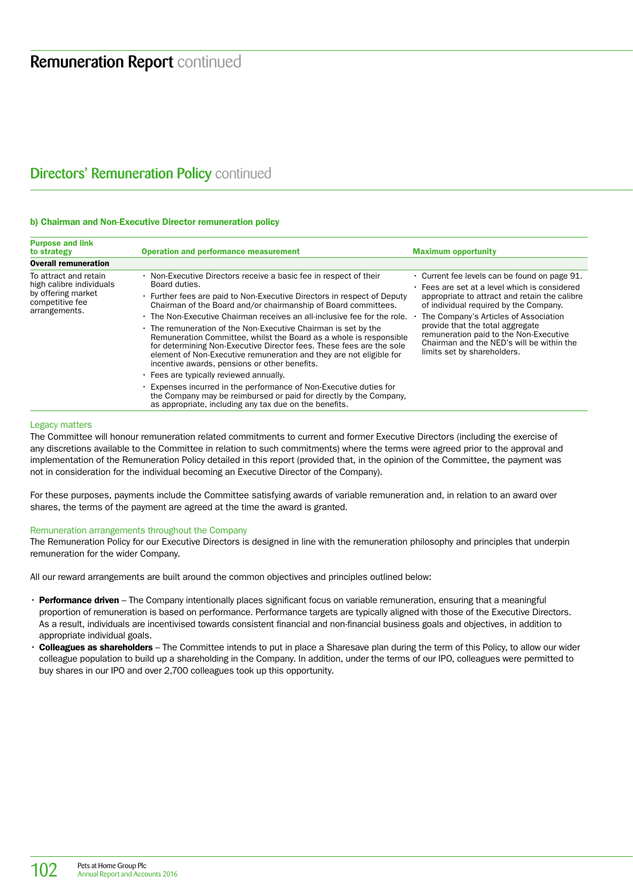## **Directors' Remuneration Policy continued**

### b) Chairman and Non-Executive Director remuneration policy

| <b>Purpose and link</b><br>to strategy            | <b>Operation and performance measurement</b>                                                                                                                                                                                                                                                                                         | <b>Maximum opportunity</b>                                                                                                                             |
|---------------------------------------------------|--------------------------------------------------------------------------------------------------------------------------------------------------------------------------------------------------------------------------------------------------------------------------------------------------------------------------------------|--------------------------------------------------------------------------------------------------------------------------------------------------------|
| <b>Overall remuneration</b>                       |                                                                                                                                                                                                                                                                                                                                      |                                                                                                                                                        |
| To attract and retain<br>high calibre individuals | • Non-Executive Directors receive a basic fee in respect of their<br>Board duties.                                                                                                                                                                                                                                                   | $\cdot$ Current fee levels can be found on page 91.<br>• Fees are set at a level which is considered                                                   |
| by offering market<br>competitive fee             | • Further fees are paid to Non-Executive Directors in respect of Deputy<br>Chairman of the Board and/or chairmanship of Board committees.                                                                                                                                                                                            | appropriate to attract and retain the calibre<br>of individual required by the Company.                                                                |
| arrangements.                                     | • The Non-Executive Chairman receives an all-inclusive fee for the role.                                                                                                                                                                                                                                                             | The Company's Articles of Association                                                                                                                  |
|                                                   | • The remuneration of the Non-Executive Chairman is set by the<br>Remuneration Committee, whilst the Board as a whole is responsible<br>for determining Non-Executive Director fees. These fees are the sole<br>element of Non-Executive remuneration and they are not eligible for<br>incentive awards, pensions or other benefits. | provide that the total aggregate<br>remuneration paid to the Non-Executive<br>Chairman and the NED's will be within the<br>limits set by shareholders. |
|                                                   | $\cdot$ Fees are typically reviewed annually.                                                                                                                                                                                                                                                                                        |                                                                                                                                                        |
|                                                   | . Expenses incurred in the performance of Non-Executive duties for<br>the Company may be reimbursed or paid for directly by the Company.<br>as appropriate, including any tax due on the benefits.                                                                                                                                   |                                                                                                                                                        |

### Legacy matters

The Committee will honour remuneration related commitments to current and former Executive Directors (including the exercise of any discretions available to the Committee in relation to such commitments) where the terms were agreed prior to the approval and implementation of the Remuneration Policy detailed in this report (provided that, in the opinion of the Committee, the payment was not in consideration for the individual becoming an Executive Director of the Company).

For these purposes, payments include the Committee satisfying awards of variable remuneration and, in relation to an award over shares, the terms of the payment are agreed at the time the award is granted.

### Remuneration arrangements throughout the Company

The Remuneration Policy for our Executive Directors is designed in line with the remuneration philosophy and principles that underpin remuneration for the wider Company.

All our reward arrangements are built around the common objectives and principles outlined below:

- Performance driven The Company intentionally places significant focus on variable remuneration, ensuring that a meaningful proportion of remuneration is based on performance. Performance targets are typically aligned with those of the Executive Directors. As a result, individuals are incentivised towards consistent financial and non-financial business goals and objectives, in addition to appropriate individual goals.
- **Colleagues as shareholders** The Committee intends to put in place a Sharesave plan during the term of this Policy, to allow our wider colleague population to build up a shareholding in the Company. In addition, under the terms of our IPO, colleagues were permitted to buy shares in our IPO and over 2,700 colleagues took up this opportunity.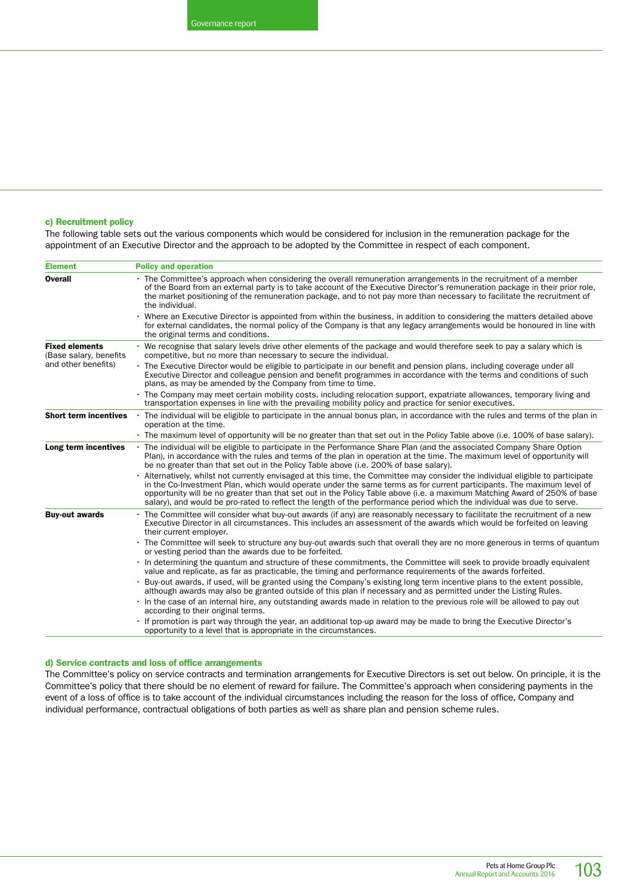### c) Recruitment policy

The following table sets out the various components which would be considered for inclusion in the remuneration package for the appointment of an Executive Director and the approach to be adopted by the Committee in respect of each component.

| <b>Element</b>                                  | <b>Policy and operation</b>                                                                                                                                                                                                                                                                                                                                                                                                                                                                                     |
|-------------------------------------------------|-----------------------------------------------------------------------------------------------------------------------------------------------------------------------------------------------------------------------------------------------------------------------------------------------------------------------------------------------------------------------------------------------------------------------------------------------------------------------------------------------------------------|
| <b>Overall</b>                                  | • The Committee's approach when considering the overall remuneration arrangements in the recruitment of a member<br>of the Board from an external party is to take account of the Executive Director's remuneration package in their prior role,<br>the market positioning of the remuneration package, and to not pay more than necessary to facilitate the recruitment of<br>the individual.                                                                                                                  |
|                                                 | • Where an Executive Director is appointed from within the business, in addition to considering the matters detailed above<br>for external candidates, the normal policy of the Company is that any legacy arrangements would be honoured in line with<br>the original terms and conditions.                                                                                                                                                                                                                    |
| <b>Fixed elements</b><br>(Base salary, benefits | • We recognise that salary levels drive other elements of the package and would therefore seek to pay a salary which is<br>competitive, but no more than necessary to secure the individual.                                                                                                                                                                                                                                                                                                                    |
| and other benefits)                             | • The Executive Director would be eligible to participate in our benefit and pension plans, including coverage under all<br>Executive Director and colleague pension and benefit programmes in accordance with the terms and conditions of such<br>plans, as may be amended by the Company from time to time.                                                                                                                                                                                                   |
|                                                 | • The Company may meet certain mobility costs, including relocation support, expatriate allowances, temporary living and<br>transportation expenses in line with the prevailing mobility policy and practice for senior executives.                                                                                                                                                                                                                                                                             |
| <b>Short term incentives</b>                    | • The individual will be eligible to participate in the annual bonus plan, in accordance with the rules and terms of the plan in<br>operation at the time.                                                                                                                                                                                                                                                                                                                                                      |
|                                                 | · The maximum level of opportunity will be no greater than that set out in the Policy Table above (i.e. 100% of base salary).                                                                                                                                                                                                                                                                                                                                                                                   |
| Long term incentives                            | • The individual will be eligible to participate in the Performance Share Plan (and the associated Company Share Option<br>Plan), in accordance with the rules and terms of the plan in operation at the time. The maximum level of opportunity will<br>be no greater than that set out in the Policy Table above (i.e. 200% of base salary).                                                                                                                                                                   |
|                                                 | · Alternatively, whilst not currently envisaged at this time, the Committee may consider the individual eligible to participate<br>in the Co-Investment Plan, which would operate under the same terms as for current participants. The maximum level of<br>opportunity will be no greater than that set out in the Policy Table above (i.e. a maximum Matching Award of 250% of base<br>salary), and would be pro-rated to reflect the length of the performance period which the individual was due to serve. |
| <b>Buy-out awards</b>                           | . The Committee will consider what buy-out awards (if any) are reasonably necessary to facilitate the recruitment of a new<br>Executive Director in all circumstances. This includes an assessment of the awards which would be forfeited on leaving<br>their current employer.                                                                                                                                                                                                                                 |
|                                                 | • The Committee will seek to structure any buy-out awards such that overall they are no more generous in terms of quantum<br>or vesting period than the awards due to be forfeited.                                                                                                                                                                                                                                                                                                                             |
|                                                 | . In determining the quantum and structure of these commitments, the Committee will seek to provide broadly equivalent<br>value and replicate, as far as practicable, the timing and performance requirements of the awards forfeited.                                                                                                                                                                                                                                                                          |
|                                                 | . Buy-out awards, if used, will be granted using the Company's existing long term incentive plans to the extent possible,<br>although awards may also be granted outside of this plan if necessary and as permitted under the Listing Rules.                                                                                                                                                                                                                                                                    |
|                                                 | . In the case of an internal hire, any outstanding awards made in relation to the previous role will be allowed to pay out<br>according to their original terms.                                                                                                                                                                                                                                                                                                                                                |
|                                                 | . If promotion is part way through the year, an additional top-up award may be made to bring the Executive Director's<br>opportunity to a level that is appropriate in the circumstances.                                                                                                                                                                                                                                                                                                                       |

### d) Service contracts and loss of office arrangements

The Committee's policy on service contracts and termination arrangements for Executive Directors is set out below. On principle, it is the Committee's policy that there should be no element of reward for failure. The Committee's approach when considering payments in the event of a loss of office is to take account of the individual circumstances including the reason for the loss of office, Company and individual performance, contractual obligations of both parties as well as share plan and pension scheme rules.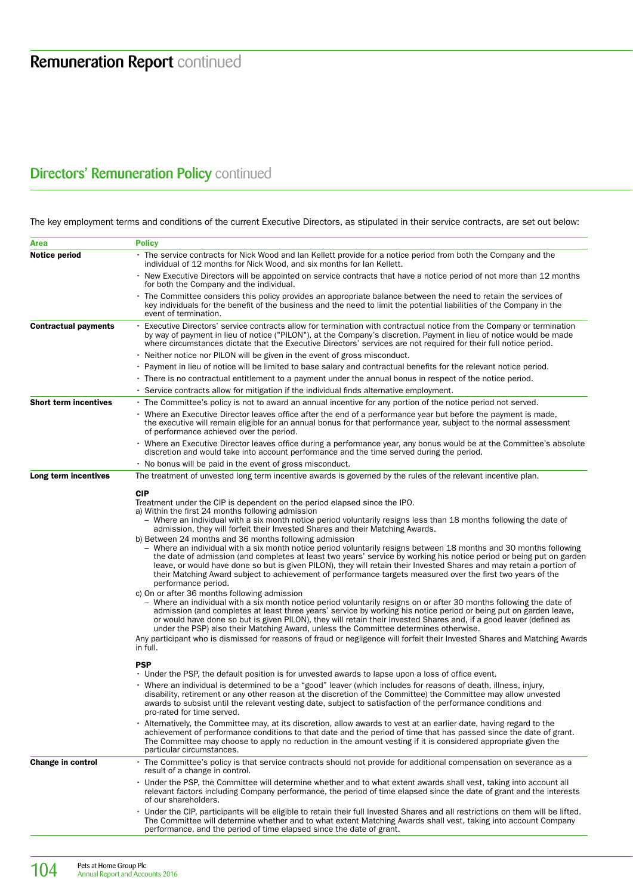## **Directors' Remuneration Policy continued**

The key employment terms and conditions of the current Executive Directors, as stipulated in their service contracts, are set out below:

| Area                         | <b>Policy</b>                                                                                                                                                                                                                                                                                                                                                                                                                                                                                                                                                      |
|------------------------------|--------------------------------------------------------------------------------------------------------------------------------------------------------------------------------------------------------------------------------------------------------------------------------------------------------------------------------------------------------------------------------------------------------------------------------------------------------------------------------------------------------------------------------------------------------------------|
| Notice period                | The service contracts for Nick Wood and lan Kellett provide for a notice period from both the Company and the<br>individual of 12 months for Nick Wood, and six months for lan Kellett.                                                                                                                                                                                                                                                                                                                                                                            |
|                              | • New Executive Directors will be appointed on service contracts that have a notice period of not more than 12 months<br>for both the Company and the individual.                                                                                                                                                                                                                                                                                                                                                                                                  |
|                              | • The Committee considers this policy provides an appropriate balance between the need to retain the services of<br>key individuals for the benefit of the business and the need to limit the potential liabilities of the Company in the<br>event of termination.                                                                                                                                                                                                                                                                                                 |
| <b>Contractual payments</b>  | Executive Directors' service contracts allow for termination with contractual notice from the Company or termination<br>by way of payment in lieu of notice ("PILON"), at the Company's discretion. Payment in lieu of notice would be made<br>where circumstances dictate that the Executive Directors' services are not required for their full notice period.                                                                                                                                                                                                   |
|                              | • Neither notice nor PILON will be given in the event of gross misconduct.                                                                                                                                                                                                                                                                                                                                                                                                                                                                                         |
|                              | . Payment in lieu of notice will be limited to base salary and contractual benefits for the relevant notice period.                                                                                                                                                                                                                                                                                                                                                                                                                                                |
|                              | $\cdot$ There is no contractual entitlement to a payment under the annual bonus in respect of the notice period.                                                                                                                                                                                                                                                                                                                                                                                                                                                   |
|                              | . Service contracts allow for mitigation if the individual finds alternative employment.                                                                                                                                                                                                                                                                                                                                                                                                                                                                           |
| <b>Short term incentives</b> | The Committee's policy is not to award an annual incentive for any portion of the notice period not served.                                                                                                                                                                                                                                                                                                                                                                                                                                                        |
|                              | · Where an Executive Director leaves office after the end of a performance year but before the payment is made,<br>the executive will remain eligible for an annual bonus for that performance year, subject to the normal assessment<br>of performance achieved over the period.                                                                                                                                                                                                                                                                                  |
|                              | • Where an Executive Director leaves office during a performance year, any bonus would be at the Committee's absolute<br>discretion and would take into account performance and the time served during the period.                                                                                                                                                                                                                                                                                                                                                 |
|                              | $\cdot$ No bonus will be paid in the event of gross misconduct.                                                                                                                                                                                                                                                                                                                                                                                                                                                                                                    |
| Long term incentives         | The treatment of unvested long term incentive awards is governed by the rules of the relevant incentive plan.                                                                                                                                                                                                                                                                                                                                                                                                                                                      |
|                              | <b>CIP</b><br>Treatment under the CIP is dependent on the period elapsed since the IPO.<br>a) Within the first 24 months following admission<br>- Where an individual with a six month notice period voluntarily resigns less than 18 months following the date of<br>admission, they will forfeit their Invested Shares and their Matching Awards.                                                                                                                                                                                                                |
|                              | b) Between 24 months and 36 months following admission<br>– Where an individual with a six month notice period voluntarily resigns between 18 months and 30 months following<br>the date of admission (and completes at least two years' service by working his notice period or being put on garden<br>leave, or would have done so but is given PILON), they will retain their Invested Shares and may retain a portion of<br>their Matching Award subject to achievement of performance targets measured over the first two years of the<br>performance period. |
|                              | c) On or after 36 months following admission<br>- Where an individual with a six month notice period voluntarily resigns on or after 30 months following the date of<br>admission (and completes at least three years' service by working his notice period or being put on garden leave,<br>or would have done so but is given PILON), they will retain their Invested Shares and, if a good leaver (defined as<br>under the PSP) also their Matching Award, unless the Committee determines otherwise.                                                           |
|                              | Any participant who is dismissed for reasons of fraud or negligence will forfeit their Invested Shares and Matching Awards<br>in full.                                                                                                                                                                                                                                                                                                                                                                                                                             |
|                              | <b>PSP</b>                                                                                                                                                                                                                                                                                                                                                                                                                                                                                                                                                         |
|                              | . Under the PSP, the default position is for unvested awards to lapse upon a loss of office event.                                                                                                                                                                                                                                                                                                                                                                                                                                                                 |
|                              | · Where an individual is determined to be a "good" leaver (which includes for reasons of death, illness, injury,<br>disability, retirement or any other reason at the discretion of the Committee) the Committee may allow unvested<br>awards to subsist until the relevant vesting date, subject to satisfaction of the performance conditions and<br>pro-rated for time served.                                                                                                                                                                                  |
|                              | • Alternatively, the Committee may, at its discretion, allow awards to vest at an earlier date, having regard to the<br>achievement of performance conditions to that date and the period of time that has passed since the date of grant.<br>The Committee may choose to apply no reduction in the amount vesting if it is considered appropriate given the<br>particular circumstances.                                                                                                                                                                          |
| <b>Change in control</b>     | • The Committee's policy is that service contracts should not provide for additional compensation on severance as a<br>result of a change in control.                                                                                                                                                                                                                                                                                                                                                                                                              |
|                              | . Under the PSP, the Committee will determine whether and to what extent awards shall vest, taking into account all<br>relevant factors including Company performance, the period of time elapsed since the date of grant and the interests<br>of our shareholders.                                                                                                                                                                                                                                                                                                |
|                              | · Under the CIP, participants will be eligible to retain their full Invested Shares and all restrictions on them will be lifted.<br>The Committee will determine whether and to what extent Matching Awards shall vest, taking into account Company<br>performance, and the period of time elapsed since the date of grant.                                                                                                                                                                                                                                        |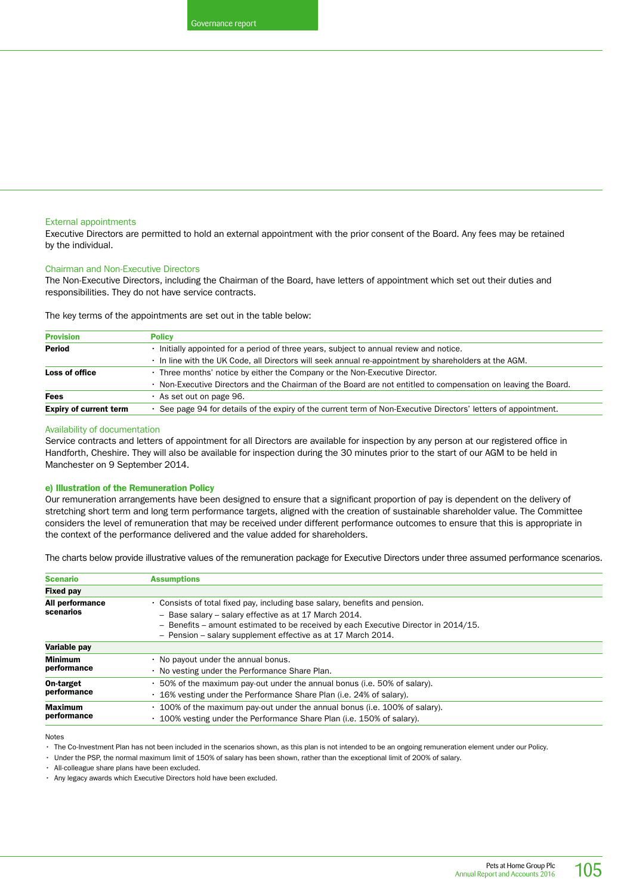### External appointments

Executive Directors are permitted to hold an external appointment with the prior consent of the Board. Any fees may be retained by the individual.

### Chairman and Non-Executive Directors

The Non-Executive Directors, including the Chairman of the Board, have letters of appointment which set out their duties and responsibilities. They do not have service contracts.

The key terms of the appointments are set out in the table below:

| <b>Provision</b>              | <b>Policy</b>                                                                                                 |  |
|-------------------------------|---------------------------------------------------------------------------------------------------------------|--|
| Period                        | Initially appointed for a period of three years, subject to annual review and notice.                         |  |
|                               | . In line with the UK Code, all Directors will seek annual re-appointment by shareholders at the AGM.         |  |
| Loss of office                | Three months' notice by either the Company or the Non-Executive Director.                                     |  |
|                               | Non-Executive Directors and the Chairman of the Board are not entitled to compensation on leaving the Board.  |  |
| <b>Fees</b>                   | As set out on page 96.                                                                                        |  |
| <b>Expiry of current term</b> | See page 94 for details of the expiry of the current term of Non-Executive Directors' letters of appointment. |  |

### Availability of documentation

Service contracts and letters of appointment for all Directors are available for inspection by any person at our registered office in Handforth, Cheshire. They will also be available for inspection during the 30 minutes prior to the start of our AGM to be held in Manchester on 9 September 2014.

### e) Illustration of the Remuneration Policy

Our remuneration arrangements have been designed to ensure that a significant proportion of pay is dependent on the delivery of stretching short term and long term performance targets, aligned with the creation of sustainable shareholder value. The Committee considers the level of remuneration that may be received under different performance outcomes to ensure that this is appropriate in the context of the performance delivered and the value added for shareholders.

The charts below provide illustrative values of the remuneration package for Executive Directors under three assumed performance scenarios.

| <b>Scenario</b>               | <b>Assumptions</b>                                                                  |
|-------------------------------|-------------------------------------------------------------------------------------|
| <b>Fixed pay</b>              |                                                                                     |
| All performance<br>scenarios  | . Consists of total fixed pay, including base salary, benefits and pension.         |
|                               | - Base salary - salary effective as at 17 March 2014.                               |
|                               | - Benefits - amount estimated to be received by each Executive Director in 2014/15. |
|                               | - Pension - salary supplement effective as at 17 March 2014.                        |
| Variable pay                  |                                                                                     |
| <b>Minimum</b><br>performance | $\cdot$ No payout under the annual bonus.                                           |
|                               | • No vesting under the Performance Share Plan.                                      |
| On-target<br>performance      | • 50% of the maximum pay-out under the annual bonus (i.e. 50% of salary).           |
|                               | 16% vesting under the Performance Share Plan (i.e. 24% of salary).                  |
| <b>Maximum</b><br>performance | 100% of the maximum pay-out under the annual bonus (i.e. 100% of salary).<br>٠      |
|                               | 100% vesting under the Performance Share Plan (i.e. 150% of salary).                |

Notes

• The Co-Investment Plan has not been included in the scenarios shown, as this plan is not intended to be an ongoing remuneration element under our Policy.

• Under the PSP, the normal maximum limit of 150% of salary has been shown, rather than the exceptional limit of 200% of salary.

• All-colleague share plans have been excluded.

• Any legacy awards which Executive Directors hold have been excluded.

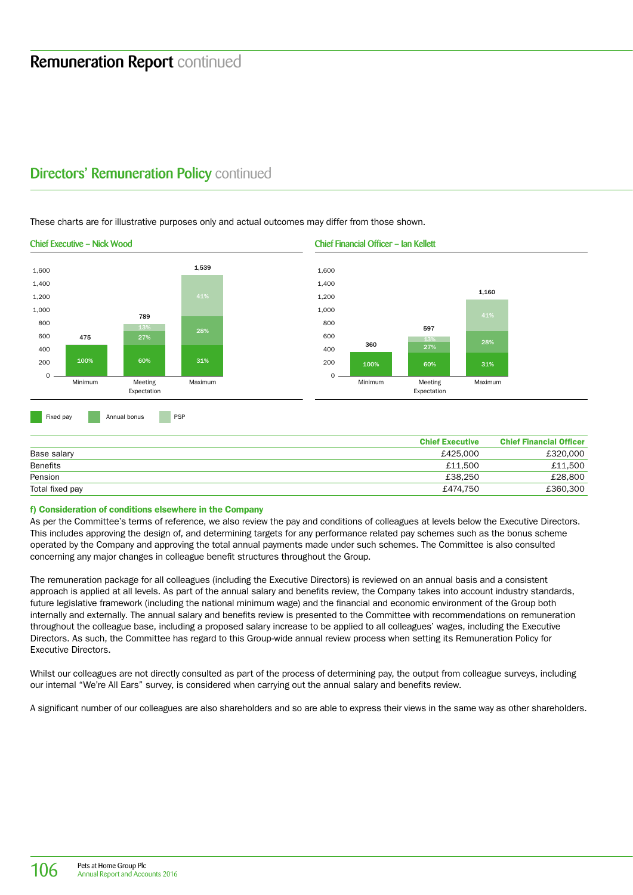## **Directors' Remuneration Policy continued**

These charts are for illustrative purposes only and actual outcomes may differ from those shown.



|                 | <b>Chief Executive</b> | <b>Chief Financial Officer</b> |
|-----------------|------------------------|--------------------------------|
| Base salary     | £425.000               | £320,000                       |
| <b>Benefits</b> | £11.500                | £11,500                        |
| Pension         | £38.250                | £28,800                        |
| Total fixed pay | £474.750               | £360,300                       |

### f) Consideration of conditions elsewhere in the Company

As per the Committee's terms of reference, we also review the pay and conditions of colleagues at levels below the Executive Directors. This includes approving the design of, and determining targets for any performance related pay schemes such as the bonus scheme operated by the Company and approving the total annual payments made under such schemes. The Committee is also consulted concerning any major changes in colleague benefit structures throughout the Group.

The remuneration package for all colleagues (including the Executive Directors) is reviewed on an annual basis and a consistent approach is applied at all levels. As part of the annual salary and benefits review, the Company takes into account industry standards, future legislative framework (including the national minimum wage) and the financial and economic environment of the Group both internally and externally. The annual salary and benefits review is presented to the Committee with recommendations on remuneration throughout the colleague base, including a proposed salary increase to be applied to all colleagues' wages, including the Executive Directors. As such, the Committee has regard to this Group-wide annual review process when setting its Remuneration Policy for Executive Directors.

Whilst our colleagues are not directly consulted as part of the process of determining pay, the output from colleague surveys, including our internal "We're All Ears" survey, is considered when carrying out the annual salary and benefits review.

A significant number of our colleagues are also shareholders and so are able to express their views in the same way as other shareholders.